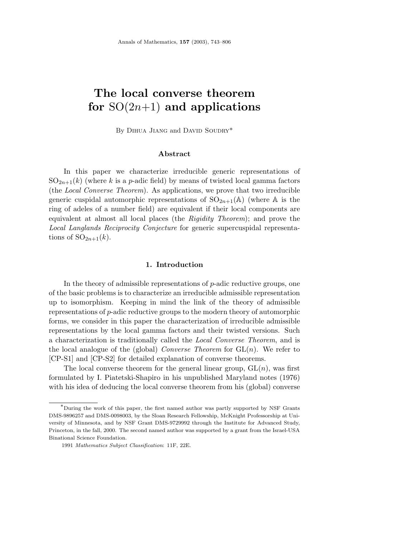# **The local converse theorem for** SO(2*n*+1) **and applications**

By DIHUA JIANG and DAVID SOUDRY\*

## **Abstract**

In this paper we characterize irreducible generic representations of  $SO_{2n+1}(k)$  (where k is a *p*-adic field) by means of twisted local gamma factors (the Local Converse Theorem). As applications, we prove that two irreducible generic cuspidal automorphic representations of  $SO_{2n+1}(\mathbb{A})$  (where  $\mathbb{A}$  is the ring of adeles of a number field) are equivalent if their local components are equivalent at almost all local places (the Rigidity Theorem); and prove the Local Langlands Reciprocity Conjecture for generic supercuspidal representations of  $SO_{2n+1}(k)$ .

## **1. Introduction**

In the theory of admissible representations of *p*-adic reductive groups, one of the basic problems is to characterize an irreducible admissible representation up to isomorphism. Keeping in mind the link of the theory of admissible representations of *p*-adic reductive groups to the modern theory of automorphic forms, we consider in this paper the characterization of irreducible admissible representations by the local gamma factors and their twisted versions. Such a characterization is traditionally called the Local Converse Theorem, and is the local analogue of the (global) Converse Theorem for  $GL(n)$ . We refer to [CP-S1] and [CP-S2] for detailed explanation of converse theorems.

The local converse theorem for the general linear group,  $GL(n)$ , was first formulated by I. Piatetski-Shapiro in his unpublished Maryland notes (1976) with his idea of deducing the local converse theorem from his (global) converse

<sup>∗</sup>During the work of this paper, the first named author was partly supported by NSF Grants DMS-9896257 and DMS-0098003, by the Sloan Research Fellowship, McKnight Professorship at University of Minnesota, and by NSF Grant DMS-9729992 through the Institute for Advanced Study, Princeton, in the fall, 2000. The second named author was supported by a grant from the Israel-USA Binational Science Foundation.

<sup>1991</sup> *Mathematics Subject Classification*: 11F, 22E.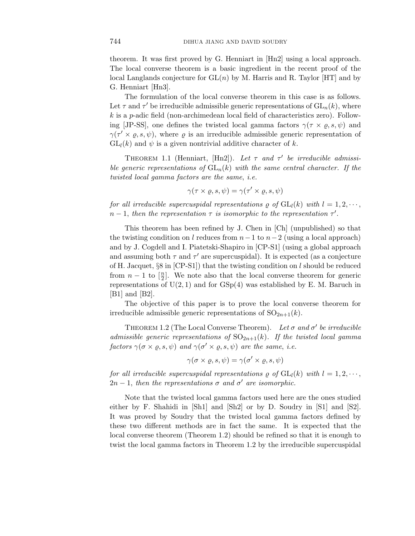theorem. It was first proved by G. Henniart in [Hn2] using a local approach. The local converse theorem is a basic ingredient in the recent proof of the local Langlands conjecture for  $GL(n)$  by M. Harris and R. Taylor [HT] and by G. Henniart [Hn3].

The formulation of the local converse theorem in this case is as follows. Let  $\tau$  and  $\tau'$  be irreducible admissible generic representations of  $\mathrm{GL}_n(k)$ , where *k* is a *p*-adic field (non-archimedean local field of characteristics zero). Following [JP-SS], one defines the twisted local gamma factors  $\gamma(\tau \times \varrho, s, \psi)$  and  $\gamma(\tau' \times \varrho, s, \psi)$ , where  $\varrho$  is an irreducible admissible generic representation of  $GL_l(k)$  and  $\psi$  is a given nontrivial additive character of k.

THEOREM 1.1 (Henniart, [Hn2]). Let  $\tau$  and  $\tau'$  be irreducible admissible generic representations of  $GL_n(k)$  with the same central character. If the twisted local gamma factors are the same, i.e.

$$
\gamma(\tau \times \varrho, s, \psi) = \gamma(\tau' \times \varrho, s, \psi)
$$

for all irreducible supercuspidal representations  $\rho$  of  $GL_l(k)$  with  $l = 1, 2, \dots$ ,  $n-1$ , then the representation  $\tau$  is isomorphic to the representation  $\tau'$ .

This theorem has been refined by J. Chen in [Ch] (unpublished) so that the twisting condition on *l* reduces from  $n-1$  to  $n-2$  (using a local approach) and by J. Cogdell and I. Piatetski-Shapiro in [CP-S1] (using a global approach and assuming both  $\tau$  and  $\tau'$  are supercuspidal). It is expected (as a conjecture of H. Jacquet, §8 in [CP-S1]) that the twisting condition on *l* should be reduced from  $n-1$  to  $\lfloor \frac{n}{2} \rfloor$ . We note also that the local converse theorem for generic representations of  $U(2, 1)$  and for  $GSp(4)$  was established by E. M. Baruch in  $|B1|$  and  $|B2|$ .

The objective of this paper is to prove the local converse theorem for irreducible admissible generic representations of  $SO_{2n+1}(k)$ .

THEOREM 1.2 (The Local Converse Theorem). Let  $\sigma$  and  $\sigma'$  be irreducible admissible generic representations of  $SO_{2n+1}(k)$ . If the twisted local gamma  $factors \gamma(\sigma \times \varrho, s, \psi) \text{ and } \gamma(\sigma' \times \varrho, s, \psi) \text{ are the same, i.e.}$ 

$$
\gamma(\sigma \times \varrho, s, \psi) = \gamma(\sigma' \times \varrho, s, \psi)
$$

for all irreducible supercuspidal representations  $\rho$  of  $GL_l(k)$  with  $l = 1, 2, \cdots$ ,  $2n-1$ , then the representations  $\sigma$  and  $\sigma'$  are isomorphic.

Note that the twisted local gamma factors used here are the ones studied either by F. Shahidi in [Sh1] and [Sh2] or by D. Soudry in [S1] and [S2]. It was proved by Soudry that the twisted local gamma factors defined by these two different methods are in fact the same. It is expected that the local converse theorem (Theorem 1.2) should be refined so that it is enough to twist the local gamma factors in Theorem 1.2 by the irreducible supercuspidal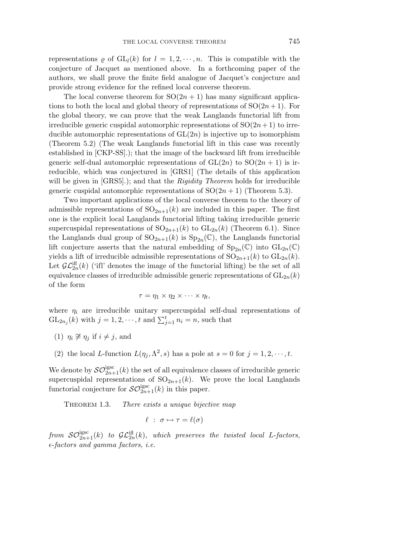representations  $\rho$  of  $GL_l(k)$  for  $l = 1, 2, \dots, n$ . This is compatible with the conjecture of Jacquet as mentioned above. In a forthcoming paper of the authors, we shall prove the finite field analogue of Jacquet's conjecture and provide strong evidence for the refined local converse theorem.

The local converse theorem for  $SO(2n + 1)$  has many significant applications to both the local and global theory of representations of  $SO(2n+1)$ . For the global theory, we can prove that the weak Langlands functorial lift from irreducible generic cuspidal automorphic representations of  $SO(2n+1)$  to irreducible automorphic representations of GL(2*n*) is injective up to isomorphism (Theorem 5.2) (The weak Langlands functorial lift in this case was recently established in [CKP-SS].); that the image of the backward lift from irreducible generic self-dual automorphic representations of  $GL(2n)$  to  $SO(2n + 1)$  is irreducible, which was conjectured in [GRS1] (The details of this application will be given in [GRS5].); and that the *Rigidity Theorem* holds for irreducible generic cuspidal automorphic representations of  $SO(2n + 1)$  (Theorem 5.3).

Two important applications of the local converse theorem to the theory of admissible representations of  $SO_{2n+1}(k)$  are included in this paper. The first one is the explicit local Langlands functorial lifting taking irreducible generic supercuspidal representations of  $SO_{2n+1}(k)$  to  $GL_{2n}(k)$  (Theorem 6.1). Since the Langlands dual group of  $SO_{2n+1}(k)$  is  $Sp_{2n}(\mathbb{C})$ , the Langlands functorial lift conjecture asserts that the natural embedding of  $Sp_{2n}(\mathbb{C})$  into  $GL_{2n}(\mathbb{C})$ yields a lift of irreducible admissible representations of  $SO_{2n+1}(k)$  to  $GL_{2n}(k)$ . Let  $\mathcal{GL}_{2n}^{*if*fl}(k)$  ('ifl' denotes the image of the functorial lifting) be the set of all equivalence classes of irreducible admissible generic representations of  $GL_{2n}(k)$ of the form

$$
\tau = \eta_1 \times \eta_2 \times \cdots \times \eta_t,
$$

where  $\eta_i$  are irreducible unitary supercuspidal self-dual representations of  $GL_{2n_j}(k)$  with  $j = 1, 2, \dots, t$  and  $\sum_{j=1}^t n_j = n$ , such that

- (1)  $\eta_i \not\cong \eta_j$  if  $i \neq j$ , and
- (2) the local *L*-function  $L(\eta_i, \Lambda^2, s)$  has a pole at  $s = 0$  for  $j = 1, 2, \dots, t$ .

We denote by  $\mathcal{SO}_{2n+1}^{\text{igsc}}(k)$  the set of all equivalence classes of irreducible generic supercuspidal representations of  $SO_{2n+1}(k)$ . We prove the local Langlands functorial conjecture for  $\mathcal{SO}_{2n+1}^{\text{igsc}}(k)$  in this paper.

THEOREM 1.3. There exists a unique bijective map

$$
\ell \; : \; \sigma \mapsto \tau = \ell(\sigma)
$$

from  $\mathcal{SO}^{\text{igsc}}_{2n+1}(k)$  to  $\mathcal{GL}^{\text{ifl}}_{2n}(k)$ , which preserves the twisted local *L*-factors,  $\epsilon$ -factors and gamma factors, *i.e.*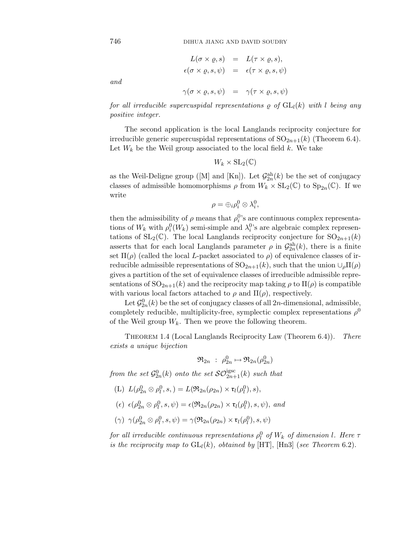$$
L(\sigma \times \varrho, s) = L(\tau \times \varrho, s),
$$
  
\n
$$
\epsilon(\sigma \times \varrho, s, \psi) = \epsilon(\tau \times \varrho, s, \psi)
$$
  
\n
$$
\gamma(\sigma \times \varrho, s, \psi) = \gamma(\tau \times \varrho, s, \psi)
$$

and

for all irreducible supercuspidal representations 
$$
\rho
$$
 of  $GL_l(k)$  with  $l$  being any positive integer.

The second application is the local Langlands reciprocity conjecture for irreducible generic supercuspidal representations of  $SO_{2n+1}(k)$  (Theorem 6.4). Let  $W_k$  be the Weil group associated to the local field  $k$ . We take

$$
W_k\times\mathrm{SL}_2(\mathbb{C})
$$

as the Weil-Deligne group ([M] and [Kn]). Let  $\mathcal{G}_{2n}^{ah}(k)$  be the set of conjugacy classes of admissible homomorphisms  $\rho$  from  $W_k \times SL_2(\mathbb{C})$  to  $Sp_{2n}(\mathbb{C})$ . If we write

$$
\rho = \oplus_i \rho_i^0 \otimes \lambda_i^0,
$$

then the admissibility of  $\rho$  means that  $\rho_i^0$ 's are continuous complex representations of  $W_k$  with  $\rho_i^0(W_k)$  semi-simple and  $\lambda_i^0$ 's are algebraic complex representations of  $SL_2(\mathbb{C})$ . The local Langlands reciprocity conjecture for  $SO_{2n+1}(k)$ asserts that for each local Langlands parameter  $\rho$  in  $\mathcal{G}_{2n}^{ah}(k)$ , there is a finite set  $\Pi(\rho)$  (called the local *L*-packet associated to  $\rho$ ) of equivalence classes of irreducible admissible representations of  $SO_{2n+1}(k)$ , such that the union  $\cup_{\rho} \Pi(\rho)$ gives a partition of the set of equivalence classes of irreducible admissible representations of  $SO_{2n+1}(k)$  and the reciprocity map taking  $\rho$  to  $\Pi(\rho)$  is compatible with various local factors attached to  $\rho$  and  $\Pi(\rho)$ , respectively.

Let  $\mathcal{G}_{2n}^0(k)$  be the set of conjugacy classes of all  $2n$ -dimensional, admissible, completely reducible, multiplicity-free, symplectic complex representations  $\rho^0$ of the Weil group  $W_k$ . Then we prove the following theorem.

THEOREM 1.4 (Local Langlands Reciprocity Law (Theorem 6.4)). There exists a unique bijection

$$
\mathfrak{R}_{2n} \; : \; \rho_{2n}^0 \mapsto \mathfrak{R}_{2n}(\rho_{2n}^0)
$$

from the set  $\mathcal{G}_{2n}^{0}(k)$  onto the set  $\mathcal{SO}^{\text{igsc}}_{2n+1}(k)$  such that

- $(L) L(\rho_{2n}^0 \otimes \rho_l^0, s, ) = L(\Re_{2n}(\rho_{2n}) \times \mathfrak{r}_l(\rho_l^0), s),$
- $(\epsilon) \epsilon(\rho_{2n}^0 \otimes \rho_l^0, s, \psi) = \epsilon(\Re_{2n}(\rho_{2n}) \times \mathfrak{r}_l(\rho_l^0), s, \psi), \text{ and}$
- $(\gamma) \gamma(\rho_{2n}^0 \otimes \rho_l^0, s, \psi) = \gamma(\Re_{2n}(\rho_{2n}) \times \mathfrak{r}_l(\rho_l^0), s, \psi)$

for all irreducible continuous representations  $\rho_l^0$  of  $W_k$  of dimension *l*. Here  $\tau$ is the reciprocity map to  $GL_l(k)$ , obtained by  $[HT]$ ,  $[Hn3]$  (see Theorem 6.2).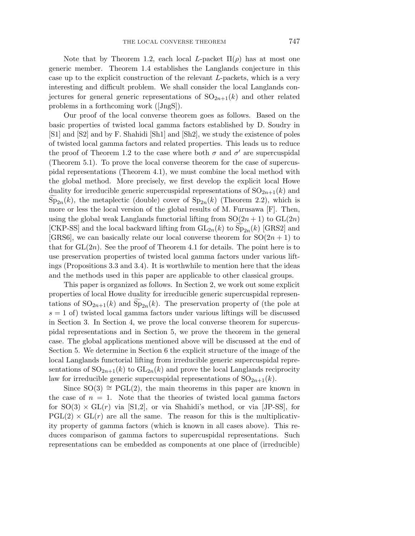Note that by Theorem 1.2, each local *L*-packet  $\Pi(\rho)$  has at most one generic member. Theorem 1.4 establishes the Langlands conjecture in this case up to the explicit construction of the relevant *L*-packets, which is a very interesting and difficult problem. We shall consider the local Langlands conjectures for general generic representations of  $SO_{2n+1}(k)$  and other related problems in a forthcoming work ([JngS]).

Our proof of the local converse theorem goes as follows. Based on the basic properties of twisted local gamma factors established by D. Soudry in [S1] and [S2] and by F. Shahidi [Sh1] and [Sh2], we study the existence of poles of twisted local gamma factors and related properties. This leads us to reduce the proof of Theorem 1.2 to the case where both  $\sigma$  and  $\sigma'$  are supercuspidal (Theorem 5.1). To prove the local converse theorem for the case of supercuspidal representations (Theorem 4.1), we must combine the local method with the global method. More precisely, we first develop the explicit local Howe duality for irreducible generic supercuspidal representations of  $SO_{2n+1}(k)$  and  $Sp_{2n}(k)$ , the metaplectic (double) cover of  $Sp_{2n}(k)$  (Theorem 2.2), which is more or less the local version of the global results of M. Furusawa [F]. Then, using the global weak Langlands functorial lifting from  $SO(2n+1)$  to  $GL(2n)$ [CKP-SS] and the local backward lifting from  $GL_{2n}(k)$  to  $Sp_{2n}(k)$  [GRS2] and [GRS6], we can basically relate our local converse theorem for  $SO(2n+1)$  to that for  $GL(2n)$ . See the proof of Theorem 4.1 for details. The point here is to use preservation properties of twisted local gamma factors under various liftings (Propositions 3.3 and 3.4). It is worthwhile to mention here that the ideas and the methods used in this paper are applicable to other classical groups.

This paper is organized as follows. In Section 2, we work out some explicit properties of local Howe duality for irreducible generic supercuspidal representations of  $\mathrm{SO}_{2n+1}(k)$  and  $\mathrm{Sp}_{2n}(k)$ . The preservation property of (the pole at  $s = 1$  of) twisted local gamma factors under various liftings will be discussed in Section 3. In Section 4, we prove the local converse theorem for supercuspidal representations and in Section 5, we prove the theorem in the general case. The global applications mentioned above will be discussed at the end of Section 5. We determine in Section 6 the explicit structure of the image of the local Langlands functorial lifting from irreducible generic supercuspidal representations of  $SO_{2n+1}(k)$  to  $GL_{2n}(k)$  and prove the local Langlands reciprocity law for irreducible generic supercuspidal representations of  $SO_{2n+1}(k)$ .

Since  $SO(3) \cong PGL(2)$ , the main theorems in this paper are known in the case of  $n = 1$ . Note that the theories of twisted local gamma factors for  $SO(3) \times GL(r)$  via [S1,2], or via Shahidi's method, or via [JP-SS], for  $PGL(2) \times GL(r)$  are all the same. The reason for this is the multiplicativity property of gamma factors (which is known in all cases above). This reduces comparison of gamma factors to supercuspidal representations. Such representations can be embedded as components at one place of (irreducible)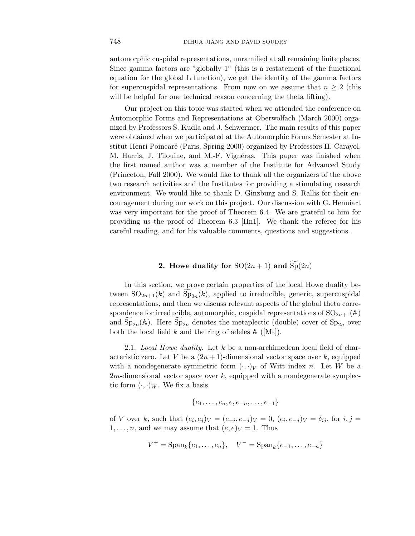automorphic cuspidal representations, unramified at all remaining finite places. Since gamma factors are "globally 1" (this is a restatement of the functional equation for the global L function), we get the identity of the gamma factors for supercuspidal representations. From now on we assume that  $n \geq 2$  (this will be helpful for one technical reason concerning the theta lifting).

Our project on this topic was started when we attended the conference on Automorphic Forms and Representations at Oberwolfach (March 2000) organized by Professors S. Kudla and J. Schwermer. The main results of this paper were obtained when we participated at the Automorphic Forms Semester at Institut Henri Poincar´e (Paris, Spring 2000) organized by Professors H. Carayol, M. Harris, J. Tilouine, and M.-F. Vignéras. This paper was finished when the first named author was a member of the Institute for Advanced Study (Princeton, Fall 2000). We would like to thank all the organizers of the above two research activities and the Institutes for providing a stimulating research environment. We would like to thank D. Ginzburg and S. Rallis for their encouragement during our work on this project. Our discussion with G. Henniart was very important for the proof of Theorem 6.4. We are grateful to him for providing us the proof of Theorem 6.3 [Hn1]. We thank the referee for his careful reading, and for his valuable comments, questions and suggestions.

## **2.** Howe duality for  $SO(2n+1)$  and  $Sp(2n)$

In this section, we prove certain properties of the local Howe duality between  $SO_{2n+1}(k)$  and  $Sp_{2n}(k)$ , applied to irreducible, generic, supercuspidal representations, and then we discuss relevant aspects of the global theta correspondence for irreducible, automorphic, cuspidal representations of  $SO_{2n+1}(\mathbb{A})$ and  $\widetilde{\mathrm{Sp}}_{2n}(\mathbb{A})$ . Here  $\widetilde{\mathrm{Sp}}_{2n}$  denotes the metaplectic (double) cover of  $\mathrm{Sp}_{2n}$  over both the local field  $k$  and the ring of adeles  $A([Mt])$ .

2.1. Local Howe duality. Let *k* be a non-archimedean local field of characteristic zero. Let *V* be a  $(2n+1)$ -dimensional vector space over *k*, equipped with a nondegenerate symmetric form  $(\cdot, \cdot)_V$  of Witt index *n*. Let *W* be a 2*m*-dimensional vector space over *k*, equipped with a nondegenerate symplectic form  $(\cdot, \cdot)_W$ . We fix a basis

$$
\{e_1,\ldots,e_n,e,e_{-n},\ldots,e_{-1}\}
$$

of *V* over *k*, such that  $(e_i, e_j)_V = (e_{-i}, e_{-j})_V = 0$ ,  $(e_i, e_{-j})_V = \delta_{ij}$ , for  $i, j =$  $1, \ldots, n$ , and we may assume that  $(e, e)<sub>V</sub> = 1$ . Thus

$$
V^+ = \mathrm{Span}_k\{e_1, \dots, e_n\}, \quad V^- = \mathrm{Span}_k\{e_{-1}, \dots, e_{-n}\}\
$$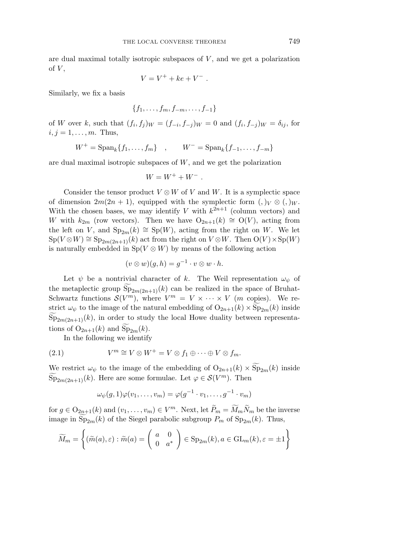are dual maximal totally isotropic subspaces of *V* , and we get a polarization of  $V$ ,

$$
V=V^++ke+V^-\ .
$$

Similarly, we fix a basis

$$
\{f_1,\ldots,f_m,f_{-m},\ldots,f_{-1}\}
$$

of W over k, such that  $(f_i, f_j)_W = (f_{-i}, f_{-i})_W = 0$  and  $(f_i, f_{-i})_W = \delta_{ij}$ , for  $i, j = 1, \ldots, m$ . Thus,

$$
W^{+} = \text{Span}_{k} \{ f_{1}, \dots, f_{m} \} , \qquad W^{-} = \text{Span}_{k} \{ f_{-1}, \dots, f_{-m} \}
$$

are dual maximal isotropic subspaces of *W*, and we get the polarization

$$
W = W^+ + W^-.
$$

Consider the tensor product  $V \otimes W$  of  $V$  and  $W$ . It is a symplectic space of dimension  $2m(2n + 1)$ , equipped with the symplectic form  $($ ,  $)_V \otimes ($ ,  $)_W$ . With the chosen bases, we may identify *V* with  $k^{2n+1}$  (column vectors) and *W* with  $k_{2m}$  (row vectors). Then we have  $O_{2n+1}(k) \cong O(V)$ , acting from the left on *V*, and  $Sp_{2m}(k) \cong Sp(W)$ , acting from the right on *W*. We let  $Sp(V \otimes W) \cong Sp_{2m(2n+1)}(k)$  act from the right on  $V \otimes W$ . Then  $O(V) \times Sp(W)$ is naturally embedded in  $Sp(V \otimes W)$  by means of the following action

$$
(v \otimes w)(g, h) = g^{-1} \cdot v \otimes w \cdot h.
$$

Let  $\psi$  be a nontrivial character of k. The Weil representation  $\omega_{\psi}$  of the metaplectic group  $\text{Sp}_{2m(2n+1)}(k)$  can be realized in the space of Bruhat-Schwartz functions  $\mathcal{S}(V^m)$ , where  $V^m = V \times \cdots \times V$  (*m* copies). We restrict  $\omega_{\psi}$  to the image of the natural embedding of  $O_{2n+1}(k) \times Sp_{2m}(k)$  inside  $Sp_{2m(2n+1)}(k)$ , in order to study the local Howe duality between representations of  $O_{2n+1}(k)$  and  $Sp_{2m}(k)$ .

In the following we identify

(2.1) 
$$
V^m \cong V \otimes W^+ = V \otimes f_1 \oplus \cdots \oplus V \otimes f_m.
$$

We restrict  $\omega_{\psi}$  to the image of the embedding of  $O_{2n+1}(k) \times Sp_{2m}(k)$  inside  $\widetilde{\mathrm{Sp}}_{2m(2n+1)}(k)$ . Here are some formulae. Let  $\varphi \in \mathcal{S}(V^m)$ . Then

$$
\omega_{\psi}(g,1)\varphi(v_1,\ldots,v_m)=\varphi(g^{-1}\cdot v_1,\ldots,g^{-1}\cdot v_m)
$$

for  $g \in O_{2n+1}(k)$  and  $(v_1, \ldots, v_m) \in V^m$ . Next, let  $\widetilde{P}_m = \widetilde{M}_m \widetilde{N}_m$  be the inverse image in  $Sp_{2m}(k)$  of the Siegel parabolic subgroup  $P_m$  of  $Sp_{2m}(k)$ . Thus,

$$
\widetilde{M}_m = \left\{ (\widetilde{m}(a), \varepsilon) : \widetilde{m}(a) = \left( \begin{array}{cc} a & 0 \\ 0 & a^* \end{array} \right) \in \text{Sp}_{2m}(k), a \in \text{GL}_m(k), \varepsilon = \pm 1 \right\}
$$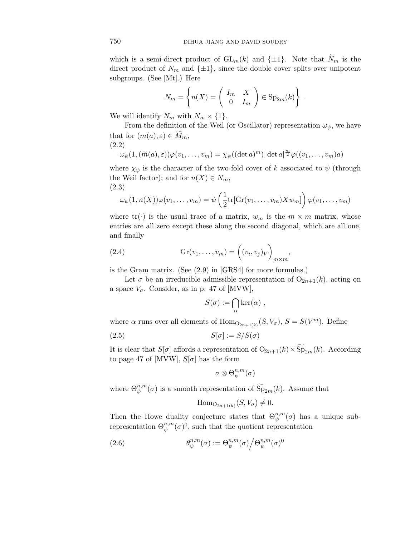which is a semi-direct product of  $GL_m(k)$  and  $\{\pm 1\}$ . Note that  $\widetilde{N}_m$  is the direct product of  $N_m$  and  $\{\pm 1\}$ , since the double cover splits over unipotent subgroups. (See [Mt].) Here

$$
N_m = \left\{ n(X) = \left( \begin{array}{cc} I_m & X \\ 0 & I_m \end{array} \right) \in \mathrm{Sp}_{2m}(k) \right\} .
$$

We will identify  $N_m$  with  $N_m \times \{1\}$ .

From the definition of the Weil (or Oscillator) representation  $\omega_{\psi}$ , we have that for  $(m(a), \varepsilon) \in M_m$ , (2.2)

$$
\omega_{\psi}(1,(\widetilde{m}(a),\varepsilon))\varphi(v_1,\ldots,v_m)=\chi_{\psi}((\det a)^m)|\det a|^{\frac{m}{2}}\varphi((v_1,\ldots,v_m)a)
$$

where  $\chi_{\psi}$  is the character of the two-fold cover of *k* associated to  $\psi$  (through the Weil factor); and for  $n(X) \in N_m$ , (2.3)

$$
\omega_{\psi}(1,n(X))\varphi(v_1,\ldots,v_m)=\psi\left(\frac{1}{2}\mathrm{tr}[\mathrm{Gr}(v_1,\ldots,v_m)Xw_m]\right)\varphi(v_1,\ldots,v_m)
$$

where  $tr(\cdot)$  is the usual trace of a matrix,  $w_m$  is the  $m \times m$  matrix, whose entries are all zero except these along the second diagonal, which are all one, and finally

*,*

(2.4) 
$$
Gr(v_1, \ldots, v_m) = ((v_i, v_j)_V)_{m \times m}
$$

is the Gram matrix. (See (2.9) in [GRS4] for more formulas.)

Let  $\sigma$  be an irreducible admissible representation of  $O_{2n+1}(k)$ , acting on a space  $V_{\sigma}$ . Consider, as in p. 47 of [MVW],

$$
S(\sigma) := \bigcap_{\alpha} \ker(\alpha) ,
$$

where  $\alpha$  runs over all elements of  $\text{Hom}_{\text{O}_{2n+1(k)}}(S, V_{\sigma}), S = S(V^m)$ . Define

$$
(2.5) \tS[\sigma] := S/S(\sigma)
$$

It is clear that  $S[\sigma]$  affords a representation of  $O_{2n+1}(k) \times Sp_{2m}(k)$ . According to page 47 of [MVW],  $S[\sigma]$  has the form

$$
\sigma\otimes \Theta_{\psi}^{n,m}(\sigma)
$$

where  $\Theta_{\psi}^{n,m}(\sigma)$  is a smooth representation of  $\widetilde{\mathrm{Sp}}_{2m}(k)$ . Assume that

$$
\mathrm{Hom}_{\mathrm{O}_{2n+1(k)}}(S, V_{\sigma}) \neq 0.
$$

Then the Howe duality conjecture states that  $\Theta_{\psi}^{n,m}(\sigma)$  has a unique subrepresentation  $\Theta_{\psi}^{n,m}(\sigma)^0$ , such that the quotient representation

(2.6) 
$$
\theta_{\psi}^{n,m}(\sigma) := \Theta_{\psi}^{n,m}(\sigma) \Big/ \Theta_{\psi}^{n,m}(\sigma)^0
$$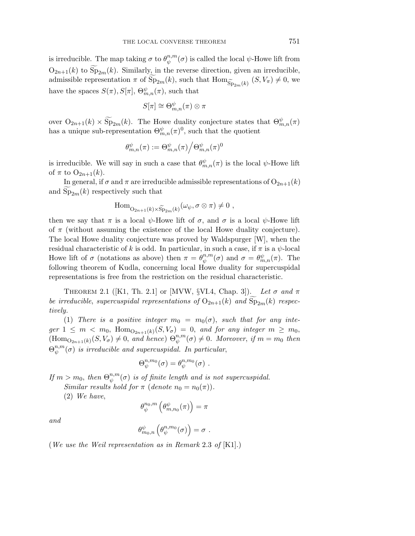is irreducible. The map taking  $\sigma$  to  $\theta_{\psi}^{n,m}(\sigma)$  is called the local  $\psi$ -Howe lift from  $O_{2n+1}(k)$  to  $Sp_{2m}(k)$ . Similarly, in the reverse direction, given an irreducible, admissible representation  $\pi$  of  $Sp_{2m}(k)$ , such that  $Hom_{\widetilde{Sp}_{2m}(k)}(S, V_{\pi}) \neq 0$ , we have the spaces  $S(\pi)$ ,  $S[\pi]$ ,  $\Theta_{m,n}^{\psi}(\pi)$ , such that

$$
S[\pi]\cong \Theta_{m,n}^{\psi}(\pi)\otimes \pi
$$

over  $O_{2n+1}(k) \times Sp_{2m}(k)$ . The Howe duality conjecture states that  $\Theta_{m,n}^{\psi}(\pi)$ has a unique sub-representation  $\Theta_{m,n}^{\psi}(\pi)^0$ , such that the quotient

$$
\theta_{m,n}^{\psi}(\pi):=\Theta_{m,n}^{\psi}(\pi)\Big/\Theta_{m,n}^{\psi}(\pi)^0
$$

is irreducible. We will say in such a case that  $\theta_{m,n}^{\psi}(\pi)$  is the local  $\psi$ -Howe lift of  $\pi$  to  $O_{2n+1}(k)$ .

In general, if  $\sigma$  and  $\pi$  are irreducible admissible representations of  $O_{2n+1}(k)$ and  $\text{Sp}_{2m}(k)$  respectively such that

$$
\mathrm{Hom}_{\mathrm{O}_{2n+1}(k)\times \widetilde{\mathrm{Sp}}_{2m}(k)}(\omega_{\psi}, \sigma\otimes \pi)\neq 0 ,
$$

then we say that  $\pi$  is a local  $\psi$ -Howe lift of  $\sigma$ , and  $\sigma$  is a local  $\psi$ -Howe lift of *π* (without assuming the existence of the local Howe duality conjecture). The local Howe duality conjecture was proved by Waldspurger [W], when the residual characteristic of *k* is odd. In particular, in such a case, if  $\pi$  is a  $\psi$ -local Howe lift of  $\sigma$  (notations as above) then  $\pi = \theta_{\psi}^{n,m}(\sigma)$  and  $\sigma = \theta_{m,n}^{\psi}(\pi)$ . The following theorem of Kudla, concerning local Howe duality for supercuspidal representations is free from the restriction on the residual characteristic.

THEOREM 2.1 ([K1, Th. 2.1] or [MVW, §VI.4, Chap. 3]). Let  $\sigma$  and  $\pi$ be irreducible, supercuspidal representations of  $O_{2n+1}(k)$  and  $Sp_{2m}(k)$  respectively.

(1) There is a positive integer  $m_0 = m_0(\sigma)$ , such that for any inte $ger\ 1 \leq m \lt m_0$ ,  $Hom_{O_{2n+1}(k)}(S, V_{\sigma}) = 0$ , and for any integer  $m \geq m_0$ ,  $(\text{Hom}_{\text{O}_{2n+1}(k)}(S, V_{\sigma}) \neq 0, \text{ and hence}) \Theta_{\psi}^{n,m}(\sigma) \neq 0.$  Moreover, if  $m = m_0$  then  $\Theta_{\psi}^{n,m}(\sigma)$  is irreducible and supercuspidal. In particular,

$$
\Theta_{\psi}^{n,m_0}(\sigma) = \theta_{\psi}^{n,m_0}(\sigma) \ .
$$

If  $m > m_0$ , then  $\Theta_{\psi}^{n,m}(\sigma)$  is of finite length and is not supercuspidal.

Similar results hold for  $\pi$  (denote  $n_0 = n_0(\pi)$ ).

(2) We have,

$$
\theta_\psi^{n_0,m}\left(\theta_{m,n_0}^\psi(\pi)\right)=\pi
$$

and

$$
\theta_{m_0,n}^{\psi}\left(\theta_{\psi}^{n,m_0}(\sigma)\right)=\sigma.
$$

(We use the Weil representation as in Remark 2.3 of [K1].)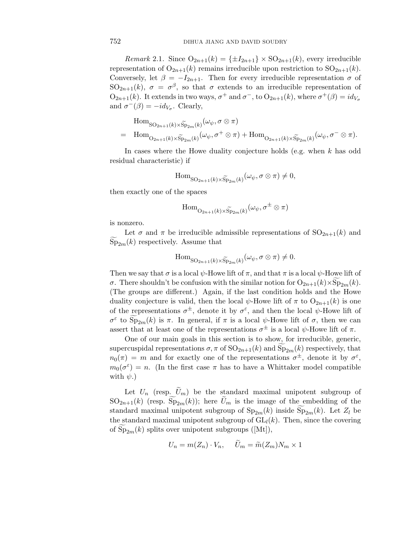*Remark* 2.1. Since  $O_{2n+1}(k) = {\pm I_{2n+1}} \times SO_{2n+1}(k)$ , every irreducible representation of  $O_{2n+1}(k)$  remains irreducible upon restriction to  $SO_{2n+1}(k)$ . Conversely, let  $\beta = -I_{2n+1}$ . Then for every irreducible representation  $\sigma$  of SO<sub>2n+1</sub>(k),  $\sigma = \sigma^{\beta}$ , so that  $\sigma$  extends to an irreducible representation of  $O_{2n+1}(k)$ . It extends in two ways,  $\sigma^+$  and  $\sigma^-$ , to  $O_{2n+1}(k)$ , where  $\sigma^+(\beta) = id_{V_{\sigma}}$ and  $\sigma^{-}(\beta) = -id_{V_{\sigma}}$ . Clearly,

$$
\text{Hom}_{\text{SO}_{2n+1}(k)\times \widetilde{\text{Sp}}_{2m}(k)}(\omega_{\psi}, \sigma \otimes \pi)
$$
\n
$$
= \text{Hom}_{\text{O}_{2n+1}(k)\times \widetilde{\text{Sp}}_{2m}(k)}(\omega_{\psi}, \sigma^{+} \otimes \pi) + \text{Hom}_{\text{O}_{2n+1}(k)\times \widetilde{\text{Sp}}_{2m}(k)}(\omega_{\psi}, \sigma^{-} \otimes \pi).
$$

In cases where the Howe duality conjecture holds (e.g. when *k* has odd residual characteristic) if

$$
\mathrm{Hom}_{\mathrm{SO}_{2n+1}(k)\times \widetilde{\mathrm{Sp}}_{2m}(k)}(\omega_{\psi}, \sigma\otimes \pi)\neq 0,
$$

then exactly one of the spaces

$$
\mathrm{Hom}_{\mathrm{O}_{2n+1}(k)\times \widetilde{\mathrm{Sp}}_{2m}(k)}(\omega_{\psi}, \sigma^{\pm}\otimes \pi)
$$

is nonzero.

Let  $\sigma$  and  $\pi$  be irreducible admissible representations of  $SO_{2n+1}(k)$  and  $Sp_{2m}(k)$  respectively. Assume that

$$
\mathrm{Hom}_{\mathrm{SO}_{2n+1}(k)\times \widetilde{\mathrm{Sp}}_{2m}(k)}(\omega_{\psi}, \sigma\otimes \pi)\neq 0.
$$

Then we say that  $\sigma$  is a local  $\psi$ -Howe lift of  $\pi$ , and that  $\pi$  is a local  $\psi$ -Howe lift of *σ*. There shouldn't be confusion with the similar notion for  $O_{2n+1}(k) \times Sp_{2m}(k)$ . (The groups are different.) Again, if the last condition holds and the Howe duality conjecture is valid, then the local  $\psi$ -Howe lift of  $\pi$  to  $O_{2n+1}(k)$  is one of the representations  $\sigma^{\pm}$ , denote it by  $\sigma^{\varepsilon}$ , and then the local  $\psi$ -Howe lift of  $\sigma^{\varepsilon}$  to  $\text{Sp}_{2m}(k)$  is  $\pi$ . In general, if  $\pi$  is a local  $\psi$ -Howe lift of  $\sigma$ , then we can assert that at least one of the representations  $\sigma^{\pm}$  is a local  $\psi$ -Howe lift of  $\pi$ .

One of our main goals in this section is to show, for irreducible, generic, supercuspidal representations  $\sigma$ ,  $\pi$  of  $SO_{2n+1}(k)$  and  $Sp_{2m}(k)$  respectively, that  $n_0(\pi) = m$  and for exactly one of the representations  $\sigma^{\pm}$ , denote it by  $\sigma^{\varepsilon}$ ,  $m_0(\sigma^{\varepsilon}) = n$ . (In the first case  $\pi$  has to have a Whittaker model compatible with  $\psi$ .)

Let  $U_n$  (resp.  $\tilde{U}_m$ ) be the standard maximal unipotent subgroup of  $SO_{2n+1}(k)$  (resp.  $Sp_{2m}(k)$ ); here  $U_m$  is the image of the embedding of the standard maximal unipotent subgroup of  $Sp_{2m}(k)$  inside  $Sp_{2m}(k)$ . Let  $Z_l$  be the standard maximal unipotent subgroup of  $GL_l(k)$ . Then, since the covering of  $Sp_{2m}(k)$  splits over unipotent subgroups ([Mt]),

$$
U_n = m(Z_n) \cdot V_n, \quad \tilde{U}_m = \tilde{m}(Z_m) N_m \times 1
$$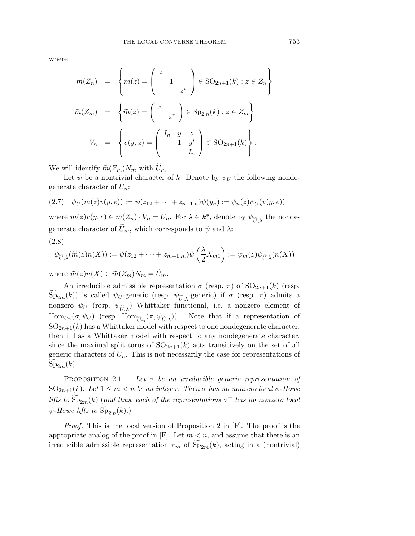where

$$
m(Z_n) = \left\{ m(z) = \begin{pmatrix} z \\ 1 \\ z^* \end{pmatrix} \in SO_{2n+1}(k) : z \in Z_n \right\}
$$

$$
\widetilde{m}(Z_m) = \left\{ \widetilde{m}(z) = \begin{pmatrix} z \\ z^* \end{pmatrix} \in Sp_{2m}(k) : z \in Z_m \right\}
$$

$$
V_n = \left\{ v(y, z) = \begin{pmatrix} I_n & y & z \\ 1 & y' \\ & I_n \end{pmatrix} \in SO_{2n+1}(k) \right\}.
$$

We will identify  $\widetilde{m}(Z_m)N_m$  with  $\widetilde{U}_m$ .

Let  $\psi$  be a nontrivial character of k. Denote by  $\psi_U$  the following nondegenerate character of *U*n:

$$
(2.7) \quad \psi_U(m(z)v(y,e)) := \psi(z_{12} + \dots + z_{n-1,n})\psi(y_n) := \psi_n(z)\psi_U(v(y,e))
$$

where  $m(z)v(y, e) \in m(Z_n) \cdot V_n = U_n$ . For  $\lambda \in k^*$ , denote by  $\psi_{\widetilde{U}, \lambda}$  the nondegenerate character of  $\tilde{U}_m$ , which corresponds to  $\psi$  and  $\lambda$ :

$$
(2.8)
$$

$$
\psi_{\widetilde{U},\lambda}(\widetilde{m}(z)n(X)) := \psi(z_{12} + \dots + z_{m-1,m})\psi\left(\frac{\lambda}{2}X_{m1}\right) := \psi_m(z)\psi_{\widetilde{U},\lambda}(n(X))
$$

where  $\widetilde{m}(z)n(X) \in \widetilde{m}(Z_m)N_m = \widetilde{U}_m$ .

An irreducible admissible representation  $\sigma$  (resp.  $\pi$ ) of SO<sub>2n+1</sub>(*k*) (resp.  $\text{Sp}_{2m}(k)$ ) is called  $\psi_U$ -generic (resp.  $\psi_{\widetilde{U},\lambda}$ -generic) if  $\sigma$  (resp.  $\pi$ ) admits a<br>nonzero  $\psi_{\widetilde{U}}$  (resp.  $\psi_{\widetilde{U}}$ ) Whittaker functional i.e. a nonzero element of nonzero  $\psi_U$  (resp.  $\psi_{\widetilde{U},\lambda}$ ) Whittaker functional, i.e. a nonzero element of  $\text{Hom}_{U_n}(\sigma, \psi_U)$  (resp.  $\text{Hom}_{\widetilde{U}_m}(\pi, \psi_{\widetilde{U},\lambda})$ ). Note that if a representation of  $SO_{2n+1}(k)$  has a Whittaker model with respect to one nondegenerate character, then it has a Whittaker model with respect to any nondegenerate character, since the maximal split torus of  $SO_{2n+1}(k)$  acts transitively on the set of all generic characters of  $U_n$ . This is not necessarily the case for representations of  $Sp_{2m}(k)$ .

PROPOSITION 2.1. Let  $\sigma$  be an irreducible generic representation of SO<sub>2n+1</sub>(k). Let  $1 \leq m < n$  be an integer. Then  $\sigma$  has no nonzero local  $\psi$ -Howe lifts to  $\text{Sp}_{2m}(k)$  (and thus, each of the representations  $\sigma^{\pm}$  has no nonzero local  $\psi$ -Howe lifts to  $Sp_{2m}(k)$ .)

Proof. This is the local version of Proposition 2 in [F]. The proof is the appropriate analog of the proof in  $[F]$ . Let  $m < n$ , and assume that there is an irreducible admissible representation  $\pi_m$  of  $Sp_{2m}(k)$ , acting in a (nontrivial)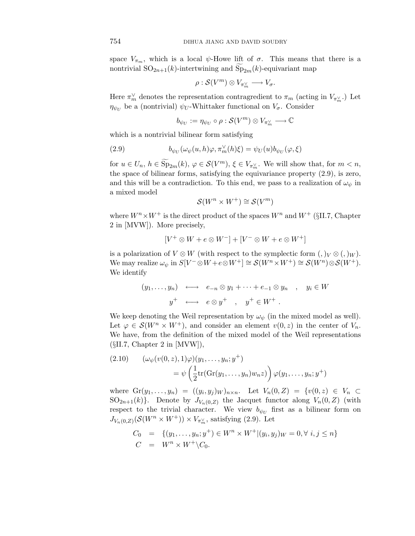space  $V_{\pi_m}$ , which is a local  $\psi$ -Howe lift of  $\sigma$ . This means that there is a nontrivial  $SO_{2n+1}(k)$ -intertwining and  $Sp_{2m}(k)$ -equivariant map

$$
\rho: \mathcal{S}(V^m) \otimes V_{\pi_m^{\vee}} \longrightarrow V_{\sigma}.
$$

Here  $\pi_m^{\vee}$  denotes the representation contragredient to  $\pi_m$  (acting in  $V_{\pi_m^{\vee}}$ .) Let  $\eta_{\psi_U}$  be a (nontrivial)  $\psi_U$ -Whittaker functional on  $V_{\sigma}$ . Consider

$$
b_{\psi_U}:=\eta_{\psi_U}\circ\rho:\mathcal{S}(V^m)\otimes V_{\pi_{m}^{\vee}}\longrightarrow\mathbb{C}
$$

which is a nontrivial bilinear form satisfying

(2.9) 
$$
b_{\psi_U}(\omega_\psi(u,h)\varphi,\pi_m^\vee(h)\xi)=\psi_U(u)b_{\psi_U}(\varphi,\xi)
$$

for  $u \in U_n$ ,  $h \in \text{Sp}_{2m}(k)$ ,  $\varphi \in \mathcal{S}(V^m)$ ,  $\xi \in V_{\pi_m^{\vee}}$ . We will show that, for  $m < n$ , the space of bilinear forms, satisfying the equivariance property (2.9), is zero, and this will be a contradiction. To this end, we pass to a realization of  $\omega_{\psi}$  in a mixed model

$$
\mathcal{S}(W^n \times W^+) \cong \mathcal{S}(V^m)
$$

where  $W^n \times W^+$  is the direct product of the spaces  $W^n$  and  $W^+$  (§II.7, Chapter 2 in [MVW]). More precisely,

$$
[V^+ \otimes W + e \otimes W^-] + [V^- \otimes W + e \otimes W^+]
$$

is a polarization of  $V \otimes W$  (with respect to the symplectic form  $($ ,  $)_V \otimes ($ ,  $)_W$ ). We may realize  $\omega_{\psi}$  in  $S[V^{-} \otimes W + e \otimes W^{+}] \cong S(W^{n} \times W^{+}) \cong S(W^{n}) \otimes S(W^{+}).$ We identify

$$
(y_1, \ldots, y_n) \longleftrightarrow e_{-n} \otimes y_1 + \cdots + e_{-1} \otimes y_n , y_i \in W
$$
  
 $y^+ \longleftrightarrow e \otimes y^+ , y^+ \in W^+ .$ 

We keep denoting the Weil representation by  $\omega_{\psi}$  (in the mixed model as well). Let  $\varphi \in \mathcal{S}(W^n \times W^+)$ , and consider an element  $v(0, z)$  in the center of  $V_n$ . We have, from the definition of the mixed model of the Weil representations  $(SII.7, Chapter 2 in [MVW]),$ 

(2.10) 
$$
(\omega_{\psi}(v(0, z), 1)\varphi)(y_1, \dots, y_n; y^+)
$$

$$
= \psi\left(\frac{1}{2}\text{tr}(\text{Gr}(y_1, \dots, y_n)w_nz)\right)\varphi(y_1, \dots, y_n; y^+)
$$

where  $Gr(y_1,...,y_n) = ((y_i,y_j)_W)_{n \times n}$ . Let  $V_n(0,Z) = \{v(0,z) \in V_n \subset$  $SO_{2n+1}(k)$ . Denote by  $J_{V_n(0,Z)}$  the Jacquet functor along  $V_n(0,Z)$  (with respect to the trivial character. We view  $b_{\psi_U}$  first as a bilinear form on  $J_{V_n(0,Z)}(\mathcal{S}(W^n \times W^+)) \times V_{\pi_m^{\vee}}$ , satisfying (2.9). Let

$$
C_0 = \{(y_1, \dots, y_n; y^+) \in W^n \times W^+ | (y_i, y_j)_W = 0, \forall i, j \le n\}
$$
  

$$
C = W^n \times W^+ \backslash C_0.
$$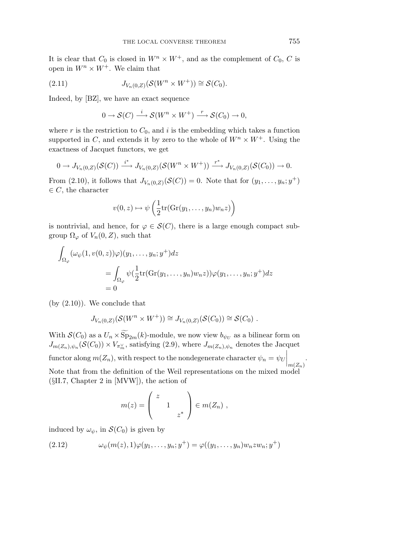It is clear that  $C_0$  is closed in  $W^n \times W^+$ , and as the complement of  $C_0$ , C is open in  $W^n \times W^+$ . We claim that

(2.11) 
$$
J_{V_n(0,Z)}(\mathcal{S}(W^n \times W^+)) \cong \mathcal{S}(C_0).
$$

Indeed, by [BZ], we have an exact sequence

$$
0 \to \mathcal{S}(C) \xrightarrow{i} \mathcal{S}(W^n \times W^+) \xrightarrow{r} \mathcal{S}(C_0) \to 0,
$$

where  $r$  is the restriction to  $C_0$ , and  $i$  is the embedding which takes a function supported in *C*, and extends it by zero to the whole of  $W^n \times W^+$ . Using the exactness of Jacquet functors, we get

$$
0 \to J_{V_n(0,Z)}(\mathcal{S}(C)) \xrightarrow{i^*} J_{V_n(0,Z)}(\mathcal{S}(W^n \times W^+)) \xrightarrow{r^*} J_{V_n(0,Z)}(\mathcal{S}(C_0)) \to 0.
$$

From (2.10), it follows that  $J_{V_n(0,Z)}(\mathcal{S}(C)) = 0$ . Note that for  $(y_1,\ldots,y_n; y^+)$  $\in C$ , the character

$$
v(0, z) \mapsto \psi\left(\frac{1}{2}\mathrm{tr}(\mathrm{Gr}(y_1, \ldots, y_n)w_n z)\right)
$$

is nontrivial, and hence, for  $\varphi \in \mathcal{S}(C)$ , there is a large enough compact subgroup  $\Omega_{\varphi}$  of  $V_n(0,Z)$ , such that

$$
\int_{\Omega_{\varphi}} (\omega_{\psi}(1, v(0, z))\varphi)(y_1, \dots, y_n; y^+) dz
$$
  
= 
$$
\int_{\Omega_{\varphi}} \psi(\frac{1}{2} \text{tr}(\text{Gr}(y_1, \dots, y_n)w_n z))\varphi(y_1, \dots, y_n; y^+) dz
$$
  
= 0

 $(by (2.10))$ . We conclude that

$$
J_{V_n(0,Z)}(\mathcal{S}(W^n \times W^+)) \cong J_{V_n(0,Z)}(\mathcal{S}(C_0)) \cong \mathcal{S}(C_0) .
$$

With  $\mathcal{S}(C_0)$  as a  $U_n \times \text{Sp}_{2m}(k)$ -module, we now view  $b_{\psi_U}$  as a bilinear form on  $J_{m(Z_n),\psi_n}(\mathcal{S}(C_0)) \times V_{\pi_m^{\vee}}$ , satisfying (2.9), where  $J_{m(Z_n),\psi_n}$  denotes the Jacquet  $\text{functor along } m(Z_n), \text{ with respect to the nondegenerate character } \psi_n = \psi_U \Big|$  $\Big|_{m(Z_n)}$ . Note that from the definition of the Weil representations on the mixed model (§II.7, Chapter 2 in [MVW]), the action of

$$
m(z) = \left(\begin{array}{cc} z \\ & 1 \\ & & z^* \end{array}\right) \in m(Z_n) ,
$$

induced by  $\omega_{\psi}$ , in  $\mathcal{S}(C_0)$  is given by

(2.12) 
$$
\omega_{\psi}(m(z), 1)\varphi(y_1, \ldots, y_n; y^+) = \varphi((y_1, \ldots, y_n)w_nzw_n; y^+)
$$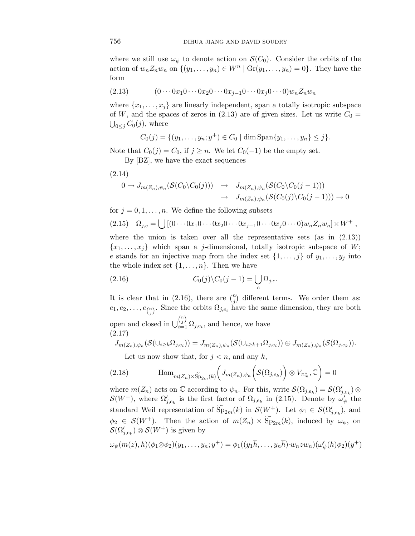where we still use  $\omega_{\psi}$  to denote action on  $\mathcal{S}(C_0)$ . Consider the orbits of the action of  $w_n Z_n w_n$  on  $\{(y_1, \ldots, y_n) \in W^n | \operatorname{Gr}(y_1, \ldots, y_n) = 0\}$ . They have the form

$$
(2.13) \qquad (0\cdots 0x_1 0\cdots 0x_2 0\cdots 0x_{j-1} 0\cdots 0x_j 0\cdots 0) w_n Z_n w_n
$$

where  $\{x_1, \ldots, x_j\}$  are linearly independent, span a totally isotropic subspace of *W*, and the spaces of zeros in (2.13) are of given sizes. Let us write  $C_0 =$  $\bigcup_{0\leq j} C_0(j)$ , where

$$
C_0(j) = \{(y_1, \ldots, y_n; y^+) \in C_0 \mid \dim \text{Span}\{y_1, \ldots, y_n\} \leq j\}.
$$

Note that  $C_0(j) = C_0$ , if  $j \geq n$ . We let  $C_0(-1)$  be the empty set.

By [BZ], we have the exact sequences

(2.14)

$$
0 \to J_{m(Z_n), \psi_n}(\mathcal{S}(C_0 \setminus C_0(j))) \to J_{m(Z_n), \psi_n}(\mathcal{S}(C_0 \setminus C_0(j-1)))
$$
  

$$
\to J_{m(Z_n), \psi_n}(\mathcal{S}(C_0(j) \setminus C_0(j-1))) \to 0
$$

for  $j = 0, 1, \ldots, n$ . We define the following subsets

$$
(2.15) \quad \Omega_{j,e} = \bigcup \left[ (0 \cdots 0 x_1 0 \cdots 0 x_2 0 \cdots 0 x_{j-1} 0 \cdots 0 x_j 0 \cdots 0) w_n Z_n w_n \right] \times W^+ ,
$$

where the union is taken over all the representative sets (as in  $(2.13)$ )  ${x_1, \ldots, x_j}$  which span a *j*-dimensional, totally isotropic subspace of *W*; *e* stands for an injective map from the index set  $\{1,\ldots,j\}$  of  $y_1,\ldots,y_j$  into the whole index set  $\{1,\ldots,n\}$ . Then we have

(2.16) 
$$
C_0(j)\setminus C_0(j-1) = \bigcup_e \Omega_{j,e}.
$$

It is clear that in (2.16), there are  $\binom{n}{j}$  different terms. We order them as:  $e_1, e_2, \ldots, e_{\binom{n}{j}}$ . Since the orbits  $\Omega_{j,e_i}$  have the same dimension, they are both open and closed in  $\bigcup_{i=1}^{n \choose j} \Omega_{j,e_i}$ , and hence, we have (2.17)

$$
J_{m(Z_n),\psi_n}(\mathcal{S}(\cup_{i\geq k}\Omega_{j,e_i}))=J_{m(Z_n),\psi_n}(\mathcal{S}(\cup_{i\geq k+1}\Omega_{j,e_i}))\oplus J_{m(Z_n),\psi_n}(\mathcal{S}(\Omega_{j,e_k})).
$$

Let us now show that, for  $j < n$ , and any k,

(2.18) 
$$
\text{Hom}_{m(Z_n)\times \widetilde{\text{Sp}}_{2m}(k)}\bigg(J_{m(Z_n),\psi_n}\bigg(\mathcal{S}(\Omega_{j,e_k})\bigg) \otimes V_{\pi_m^{\vee}},\mathbb{C}\bigg)=0
$$

where  $m(Z_n)$  acts on  $\mathbb C$  according to  $\psi_n$ . For this, write  $\mathcal{S}(\Omega_{j,e_k}) = \mathcal{S}(\Omega'_{j,e_k}) \otimes$  $\mathcal{S}(W^+)$ , where  $\Omega'_{j,e_k}$  is the first factor of  $\Omega_{j,e_k}$  in (2.15). Denote by  $\omega_{\psi}^j$  the standard Weil representation of  $\widetilde{\text{Sp}}_{2m}(k)$  in  $\mathcal{S}(W^+)$ . Let  $\phi_1 \in \mathcal{S}(\Omega'_{j,e_k})$ , and  $\phi_2 \in \mathcal{S}(W^+)$ . Then the action of  $m(Z_n) \times \widetilde{\text{Sp}}_{2m}(k)$ , induced by  $\omega_{\psi}$ , on  $\mathcal{S}(\Omega'_{j,e_k})\otimes \mathcal{S}(W^+)$  is given by

$$
\omega_{\psi}(m(z),h)(\phi_1 \otimes \phi_2)(y_1,\ldots,y_n; y^+) = \phi_1((y_1\overline{h},\ldots,y_n\overline{h}) \cdot w_nzw_n)(\omega_{\psi}'(h)\phi_2)(y^+)
$$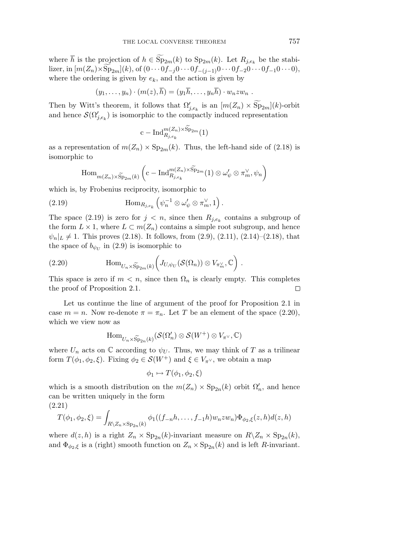where *h* is the projection of  $h \in \text{Sp}_{2m}(k)$  to  $\text{Sp}_{2m}(k)$ . Let  $R_{j,e_k}$  be the stabilizer, in  $[m(Z_n) \times \text{Sp}_{2m}](k)$ , of  $(0 \cdots 0f_{-j}0 \cdots 0f_{-(j-1)}0 \cdots 0f_{-2}0 \cdots 0f_{-1}0 \cdots 0)$ , where the ordering is given by  $e_k$ , and the action is given by

$$
(y_1,\ldots,y_n)\cdot(m(z),\overline{h})=(y_1\overline{h},\ldots,y_n\overline{h})\cdot w_nzw_n.
$$

Then by Witt's theorem, it follows that  $\Omega'_{j,e_k}$  is an  $[m(Z_n) \times Sp_{2m}](k)$ -orbit and hence  $\mathcal{S}(\Omega_{j,e_k}')$  is isomorphic to the compactly induced representation

$$
\mathrm{c-Ind}_{R_{j,e_k}}^{m(Z_n)\times \widetilde{\mathrm{Sp}}_{2m}}(1)
$$

as a representation of  $m(Z_n) \times \text{Sp}_{2m}(k)$ . Thus, the left-hand side of (2.18) is isomorphic to

$$
\mathrm{Hom}_{m(Z_n)\times \widetilde{\mathrm{Sp}}_{2m}(k)}\left(\mathrm{c-Ind}_{R_{j,e_k}}^{m(Z_n)\times \widetilde{\mathrm{Sp}}_{2m}}(1)\otimes \omega'_\psi\otimes \pi_{m}^\vee, \psi_n\right)
$$

which is, by Frobenius reciprocity, isomorphic to

(2.19) 
$$
\text{Hom}_{R_{j,e_k}}\left(\psi_n^{-1}\otimes\omega'_{\psi}\otimes\pi_m^{\vee},1\right).
$$

The space (2.19) is zero for  $j < n$ , since then  $R_{j,e_k}$  contains a subgroup of the form  $L \times 1$ , where  $L \subset m(Z_n)$  contains a simple root subgroup, and hence  $\psi_n|_L \neq 1$ . This proves (2.18). It follows, from (2.9), (2.11), (2.14)–(2.18), that the space of  $b_{\psi_U}$  in (2.9) is isomorphic to

(2.20) 
$$
\text{Hom}_{U_n \times \widetilde{\text{Sp}}_{2m}(k)} \bigg( J_{U, \psi_U}(\mathcal{S}(\Omega_n)) \otimes V_{\pi_m^{\vee}}, \mathbb{C} \bigg) .
$$

This space is zero if  $m < n$ , since then  $\Omega_n$  is clearly empty. This completes the proof of Proposition 2.1.  $\Box$ 

Let us continue the line of argument of the proof for Proposition 2.1 in case  $m = n$ . Now re-denote  $\pi = \pi_n$ . Let *T* be an element of the space (2.20), which we view now as

$$
\mathrm{Hom}_{U_n\times \widetilde{\mathrm{Sp}}_{2n}(k)}(\mathcal{S}(\Omega'_n)\otimes \mathcal{S}(W^+)\otimes V_{\pi^\vee},\mathbb{C})
$$

where  $U_n$  acts on  $\mathbb C$  according to  $\psi_U$ . Thus, we may think of *T* as a trilinear form  $T(\phi_1, \phi_2, \xi)$ . Fixing  $\phi_2 \in \mathcal{S}(W^+)$  and  $\xi \in V_{\pi^{\vee}}$ , we obtain a map

$$
\phi_1 \mapsto T(\phi_1, \phi_2, \xi)
$$

which is a smooth distribution on the  $m(Z_n) \times \text{Sp}_{2n}(k)$  orbit  $\Omega'_n$ , and hence can be written uniquely in the form

(2.21)

$$
T(\phi_1, \phi_2, \xi) = \int_{R \setminus Z_n \times \mathrm{Sp}_{2n}(k)} \phi_1((f_{-n}h, \dots, f_{-1}h)w_nzw_n)\Phi_{\phi_2,\xi}(z,h)d(z,h)
$$

where  $d(z, h)$  is a right  $Z_n \times \mathrm{Sp}_{2n}(k)$ -invariant measure on  $R \backslash Z_n \times \mathrm{Sp}_{2n}(k)$ , and  $\Phi_{\phi_2,\xi}$  is a (right) smooth function on  $Z_n \times \text{Sp}_{2n}(k)$  and is left *R*-invariant.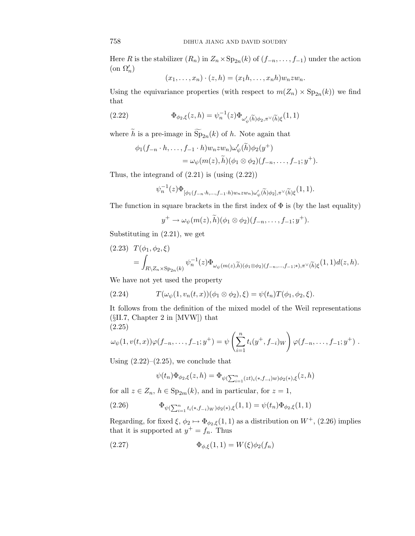Here *R* is the stabilizer  $(R_n)$  in  $Z_n \times \mathrm{Sp}_{2n}(k)$  of  $(f_{-n},...,f_{-1})$  under the action  $(\text{on } \Omega'_n)$ 

$$
(x_1,\ldots,x_n)\cdot(z,h)=(x_1h,\ldots,x_nh)w_nzw_n.
$$

Using the equivariance properties (with respect to  $m(Z_n) \times Sp_{2n}(k)$ ) we find that

(2.22) 
$$
\Phi_{\phi_2,\xi}(z,h) = \psi_n^{-1}(z)\Phi_{\omega'_{\psi}(\widetilde{h})\phi_2,\pi^{\vee}(\widetilde{h})\xi}(1,1)
$$

where *h* is a pre-image in  $Sp_{2n}(k)$  of *h*. Note again that

$$
\phi_1(f_{-n} \cdot h, \dots, f_{-1} \cdot h) w_n z w_n) \omega'_{\psi}(\widetilde{h}) \phi_2(y^+) \n= \omega_{\psi}(m(z), \widetilde{h}) (\phi_1 \otimes \phi_2)(f_{-n}, \dots, f_{-1}; y^+).
$$

Thus, the integrand of  $(2.21)$  is  $(u\sin g (2.22))$ 

$$
\psi_n^{-1}(z)\Phi_{\left[\phi_1(f_{-n}\cdot h,\ldots,f_{-1}\cdot h)w_nzw_n\right)\omega_{\psi}'(\widetilde{h})\phi_2],\pi^\vee(\widetilde{h})\xi}(1,1).
$$

The function in square brackets in the first index of  $\Phi$  is (by the last equality)

$$
y^+ \to \omega_{\psi}(m(z),\tilde{h})(\phi_1 \otimes \phi_2)(f_{-n},\ldots,f_{-1};y^+).
$$

Substituting in (2.21), we get

$$
(2.23) T(\phi_1, \phi_2, \xi)
$$
  
= 
$$
\int_{R \setminus Z_n \times \mathrm{Sp}_{2n}(k)} \psi_n^{-1}(z) \Phi_{\omega_{\psi}(m(z), \widetilde{h})(\phi_1 \otimes \phi_2)(f_{-n}, \dots, f_{-1}; \ast), \pi^{\vee}(\widetilde{h}) \xi} (1, 1) d(z, h).
$$

We have not yet used the property

(2.24) 
$$
T(\omega_{\psi}(1, v_n(t, x))(\phi_1 \otimes \phi_2), \xi) = \psi(t_n)T(\phi_1, \phi_2, \xi).
$$

It follows from the definition of the mixed model of the Weil representations (§II.7, Chapter 2 in [MVW]) that (2.25)

$$
\omega_{\psi}(1,v(t,x))\varphi(f_{-n},\ldots,f_{-1};y^+) = \psi\left(\sum_{i=1}^n t_i(y^+,f_{-i})_W\right)\varphi(f_{-n},\ldots,f_{-1};y^+) .
$$

Using  $(2.22)$ – $(2.25)$ , we conclude that

$$
\psi(t_n)\Phi_{\phi_2,\xi}(z,h) = \Phi_{\psi(\sum_{i=1}^n (zt)_i(*,f_{-i})w)\phi_2(*),\xi}(z,h)
$$

for all  $z \in Z_n$ ,  $h \in \text{Sp}_{2m}(k)$ , and in particular, for  $z = 1$ ,

(2.26) 
$$
\Phi_{\psi(\sum_{i=1}^n t_i(*,f_{-i})_W)\phi_2(*),\xi}(1,1)=\psi(t_n)\Phi_{\phi_2,\xi}(1,1)
$$

Regarding, for fixed  $\xi$ ,  $\phi_2 \mapsto \Phi_{\phi_2,\xi}(1,1)$  as a distribution on  $W^+$ , (2.26) implies that it is supported at  $y^+ = f_n$ . Thus

(2.27) 
$$
\Phi_{\phi,\xi}(1,1) = W(\xi)\phi_2(f_n)
$$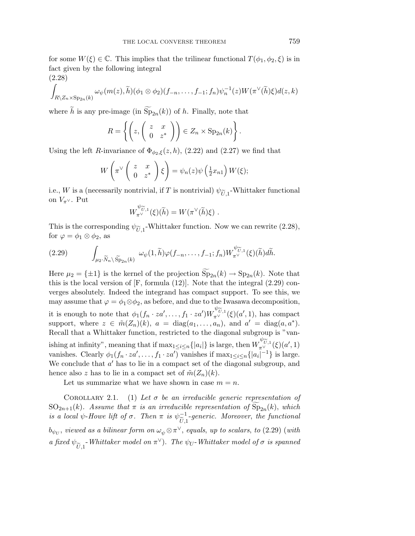for some  $W(\xi) \in \mathbb{C}$ . This implies that the trilinear functional  $T(\phi_1, \phi_2, \xi)$  is in fact given by the following integral

$$
(2.28)
$$

$$
\int_{R\setminus Z_n\times\mathrm{Sp}_{2n}(k)}\omega_{\psi}(m(z),\widetilde{h})(\phi_1\otimes\phi_2)(f_{-n},\ldots,f_{-1};f_n)\psi_n^{-1}(z)W(\pi^{\vee}(\widetilde{h})\xi)d(z,k)
$$

where *h* is any pre-image (in  $Sp_{2n}(k)$ ) of *h*. Finally, note that

$$
R = \left\{ \left( z, \left( \begin{array}{cc} z & x \\ 0 & z^* \end{array} \right) \right) \in Z_n \times \text{Sp}_{2n}(k) \right\}
$$

*.*

Using the left *R*-invariance of  $\Phi_{\phi_2,\xi}(z,h)$ , (2.22) and (2.27) we find that

$$
W\left(\pi^{\vee}\left(\begin{array}{cc}z & x\\0 & z^*\end{array}\right)\xi\right) = \psi_n(z)\psi\left(\frac{1}{2}x_{n1}\right)W(\xi);
$$

i.e., *W* is a (necessarily nontrivial, if *T* is nontrivial)  $\psi_{\tilde{U},1}$ -Whittaker functional on  $V_{\pi} \vee$ . Put

$$
W^{\psi_{\widetilde{U},1}}_{\pi^{\vee}}(\xi)(\widetilde{h})=W(\pi^{\vee}(\widetilde{h})\xi).
$$

This is the corresponding  $\psi_{\tilde{U},1}$ -Whittaker function. Now we can rewrite (2.28), for  $\varphi = \phi_1 \otimes \phi_2$ , as

(2.29) 
$$
\int_{\mu_2 \cdot \widetilde{N}_n \setminus \widetilde{\text{Sp}}_{2n}(k)} \omega_{\psi}(1,\widetilde{h}) \varphi(f_{-n},\ldots,f_{-1};f_n) W_{\pi^{\vee}}^{\psi_{\widetilde{U},1}}(\xi)(\widetilde{h}) d\widetilde{h}.
$$

Here  $\mu_2 = {\pm 1}$  is the kernel of the projection  $\text{Sp}_{2n}(k) \to \text{Sp}_{2n}(k)$ . Note that this is the local version of [F, formula (12)]. Note that the integral (2.29) converges absolutely. Indeed the integrand has compact support. To see this, we may assume that  $\varphi = \phi_1 \otimes \phi_2$ , as before, and due to the Iwasawa decomposition, it is enough to note that  $\phi_1(f_n \cdot za', \ldots, f_1 \cdot za')W_{\pi^{\vee}}^{\psi_{\widetilde{U},1}}(\xi)(a', 1)$ , has compact support, where  $z \in \tilde{m}(Z_n)(k)$ ,  $a = \text{diag}(a_1, \ldots, a_n)$ , and  $a' = \text{diag}(a, a^*)$ . Recall that a Whittaker function, restricted to the diagonal subgroup is "vanishing at infinity", meaning that if  $\max_{1 \leq i \leq n} \{|a_i|\}$  is large, then  $W^{\psi_{\widetilde{U},1}}_{\pi^{\vee}}(\xi)(a', 1)$ vanishes. Clearly  $\phi_1(f_n \cdot za', \ldots, f_1 \cdot za')$  vanishes if  $\max_{1 \leq i \leq n} \{|a_i|^{-1}\}$  is large. We conclude that *a*<sup> $\prime$ </sup> has to lie in a compact set of the diagonal subgroup, and hence also *z* has to lie in a compact set of  $\tilde{m}(Z_n)(k)$ .

Let us summarize what we have shown in case  $m = n$ .

COROLLARY 2.1. (1) Let  $\sigma$  be an irreducible generic representation of  $SO_{2n+1}(k)$ . Assume that  $\pi$  is an irreducible representation of  $Sp_{2n}(k)$ , which is a local  $\psi$ -Howe lift of  $\sigma$ . Then  $\pi$  is  $\psi^{-1}_{\widetilde{r}}$  $\frac{U,1}{U}$ -generic. Moreover, the functional *b*<sub> $\psi_U$ </sub>, viewed as a bilinear form on  $\omega_{\psi} \otimes \pi^{\vee}$ , equals, up to scalars, to (2.29) (with a fixed  $\psi_{\widetilde{U},1}$ -Whittaker model on  $\pi^{\vee}$ ). The  $\psi_{U}$ -Whittaker model of  $\sigma$  is spanned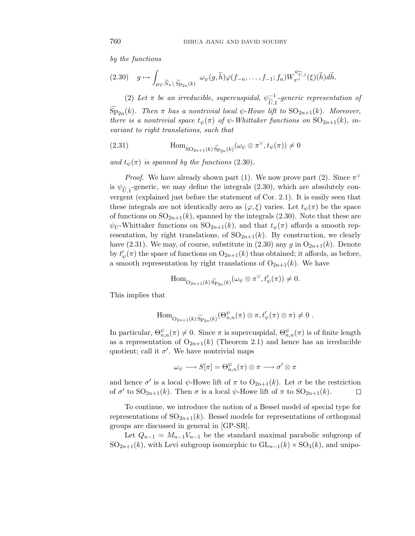by the functions

$$
(2.30) \quad g \mapsto \int_{\mu_2 \cdot \widetilde{N}_n \setminus \widetilde{\mathrm{Sp}}_{2n}(k)} \omega_{\psi}(g,\widetilde{h}) \varphi(f_{-n},\ldots,f_{-1};f_n) W_{\pi^{\vee}}^{\psi_{\widetilde{U},1}}(\xi)(\widetilde{h}) d\widetilde{h}.
$$

(2) Let  $\pi$  be an irreducible, supercuspidal,  $\psi_{\widetilde{r}}^{-1}$  $U, 1$ <br>1: Li -generic representation of  $\text{Sp}_{2n}(k)$ . Then  $\pi$  has a nontrivial local  $\psi$ -Howe lift to  $\text{SO}_{2n+1}(k)$ . Moreover, there is a nontrivial space  $t_{\psi}(\pi)$  of  $\psi$ -Whittaker functions on  $SO_{2n+1}(k)$ , invariant to right translations, such that

(2.31) 
$$
\text{Hom}_{\text{SO}_{2n+1}(k)\widetilde{\text{Sp}}_{2n}(k)}(\omega_{\psi}\otimes \pi^{\vee}, t_{\psi}(\pi))\neq 0
$$

and  $t_{\psi}(\pi)$  is spanned by the functions (2.30).

*Proof.* We have already shown part (1). We now prove part (2). Since  $\pi^{\vee}$ is  $\psi_{\tilde{U},1}$ -generic, we may define the integrals (2.30), which are absolutely convergent (explained just before the statement of Cor. 2.1). It is easily seen that these integrals are not identically zero as  $(\varphi, \xi)$  varies. Let  $t_{\psi}(\pi)$  be the space of functions on  $SO_{2n+1}(k)$ , spanned by the integrals  $(2.30)$ . Note that these are  $\psi_U$ -Whittaker functions on  $SO_{2n+1}(k)$ , and that  $t_{\psi}(\pi)$  affords a smooth representation, by right translations, of  $SO_{2n+1}(k)$ . By construction, we clearly have (2.31). We may, of course, substitute in (2.30) any  $g$  in  $O_{2n+1}(k)$ . Denote by  $t'_{\psi}(\pi)$  the space of functions on  $\mathrm{O}_{2n+1}(k)$  thus obtained; it affords, as before, a smooth representation by right translations of  $O_{2n+1}(k)$ . We have

$$
\operatorname{Hom}_{\mathcal{O}_{2n+1}(k)\widetilde{\operatorname{Sp}}_{2n}(k)}(\omega_{\psi}\otimes\pi^{\vee},t'_{\psi}(\pi))\neq 0.
$$

This implies that

$$
\operatorname{Hom}_{\mathcal{O}_{2n+1}(k)\widetilde{\operatorname{Sp}}_{2n}(k)}(\Theta_{n,n}^{\psi}(\pi)\otimes \pi, t'_{\psi}(\pi)\otimes \pi)\neq 0.
$$

In particular,  $\Theta_{n,n}^{\psi}(\pi) \neq 0$ . Since  $\pi$  is supercuspidal,  $\Theta_{n,n}^{\psi}(\pi)$  is of finite length as a representation of  $O_{2n+1}(k)$  (Theorem 2.1) and hence has an irreducible quotient; call it  $\sigma'$ . We have nontrivial maps

$$
\omega_\psi \longrightarrow S[\pi] = \Theta^\psi_{n,n}(\pi) \otimes \pi \longrightarrow \sigma' \otimes \pi
$$

and hence  $\sigma'$  is a local  $\psi$ -Howe lift of  $\pi$  to  $O_{2n+1}(k)$ . Let  $\sigma$  be the restriction of  $\sigma'$  to  $SO_{2n+1}(k)$ . Then  $\sigma$  is a local  $\psi$ -Howe lift of  $\pi$  to  $SO_{2n+1}(k)$ .  $\Box$ 

To continue, we introduce the notion of a Bessel model of special type for representations of  $SO_{2n+1}(k)$ . Bessel models for representations of orthogonal groups are discussed in general in [GP-SR].

Let  $Q_{n-1} = M_{n-1}V_{n-1}$  be the standard maximal parabolic subgroup of  $SO_{2n+1}(k)$ , with Levi subgroup isomorphic to  $GL_{n-1}(k) \times SO_3(k)$ , and unipo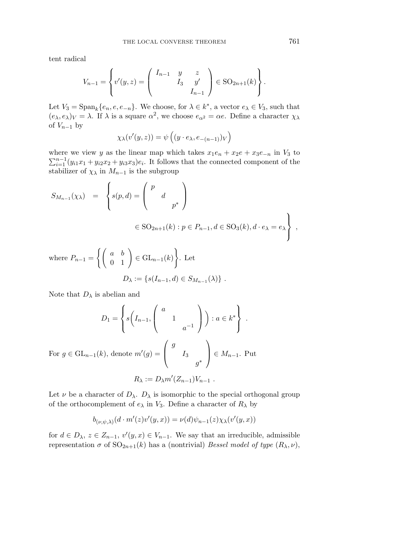tent radical

$$
V_{n-1} = \left\{ v'(y, z) = \begin{pmatrix} I_{n-1} & y & z \\ & I_3 & y' \\ & & I_{n-1} \end{pmatrix} \in SO_{2n+1}(k) \right\}.
$$

Let  $V_3 = \text{Span}_k\{e_n, e, e_{-n}\}.$  We choose, for  $\lambda \in k^*$ , a vector  $e_\lambda \in V_3$ , such that  $(e_{\lambda}, e_{\lambda})_V = \lambda$ . If  $\lambda$  is a square  $\alpha^2$ , we choose  $e_{\alpha^2} = \alpha e$ . Define a character  $\chi_{\lambda}$ of  $V_{n-1}$  by

$$
\chi_{\lambda}(v'(y,z)) = \psi\left((y \cdot e_{\lambda}, e_{-(n-1)})_V\right)
$$

where we view *y* as the linear map which takes  $x_1e_n + x_2e + x_3e_{-n}$  in  $V_3$  to  $\sum_{i=1}^{n-1} (y_{i1}x_1 + y_{i2}x_2 + y_{i3}x_3)e_i$ . It follows that the connected component of the stabilizer of  $\chi_{\lambda}$  in  $M_{n-1}$  is the subgroup

$$
S_{M_{n-1}}(\chi_{\lambda}) = \begin{cases} s(p,d) = \begin{pmatrix} p & \\ & d \\ & p^* \end{pmatrix} \\ \in SO_{2n+1}(k) : p \in P_{n-1}, d \in SO_3(k), d \cdot e_{\lambda} = e_{\lambda} \end{cases},
$$

where 
$$
P_{n-1} = \left\{ \begin{pmatrix} a & b \\ 0 & 1 \end{pmatrix} \in GL_{n-1}(k) \right\}
$$
. Let  

$$
D_{\lambda} := \left\{ s(I_{n-1}, d) \in S_{M_{n-1}}(\lambda) \right\}.
$$

Note that  $D_{\lambda}$  is abelian and

$$
D_1 = \left\{ s \left( I_{n-1}, \begin{pmatrix} a & & \\ & 1 & \\ & & a^{-1} \end{pmatrix} \right) : a \in k^* \right\} .
$$

For  $g \in GL_{n-1}(k)$ , denote  $m'(g) =$  $\sqrt{ }$  $\overline{ }$ *g I*3 *g*∗  $\setminus$  $\Big\}$  ∈ *M*<sub>n−1</sub>. Put  $R_{\lambda} := D_{\lambda} m' (Z_{n-1}) V_{n-1}$ .

Let  $\nu$  be a character of  $D_{\lambda}$ .  $D_{\lambda}$  is isomorphic to the special orthogonal group of the orthocomplement of  $e_{\lambda}$  in  $V_3$ . Define a character of  $R_{\lambda}$  by

$$
b_{(\nu,\psi,\lambda)}(d\cdot m'(z)v'(y,x)) = \nu(d)\psi_{n-1}(z)\chi_{\lambda}(v'(y,x))
$$

for  $d \in D_\lambda$ ,  $z \in Z_{n-1}$ ,  $v'(y, x) \in V_{n-1}$ . We say that an irreducible, admissible representation  $\sigma$  of  $SO_{2n+1}(k)$  has a (nontrivial) *Bessel model of type*  $(R_\lambda, \nu)$ ,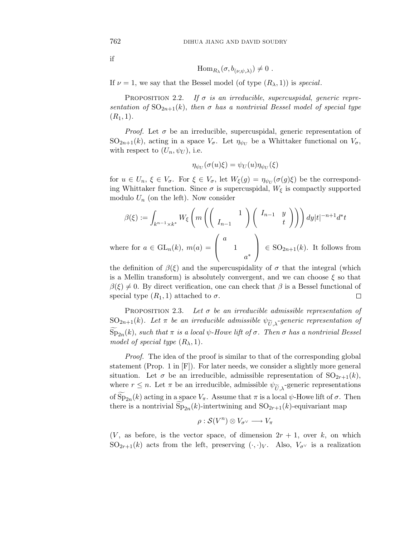$$
\quad\text{if}\quad
$$

$$
\mathrm{Hom}_{R_\lambda}(\sigma, b_{(\nu,\psi,\lambda)}) \neq 0.
$$

If  $\nu = 1$ , we say that the Bessel model (of type  $(R_{\lambda}, 1)$ ) is *special*.

PROPOSITION 2.2. If  $\sigma$  is an irreducible, supercuspidal, generic representation of  $SO_{2n+1}(k)$ , then  $\sigma$  has a nontrivial Bessel model of special type  $(R_1, 1).$ 

*Proof.* Let  $\sigma$  be an irreducible, supercuspidal, generic representation of SO<sub>2n+1</sub>(k), acting in a space  $V_{\sigma}$ . Let  $\eta_{\psi_U}$  be a Whittaker functional on  $V_{\sigma}$ , with respect to  $(U_n, \psi_U)$ , i.e.

$$
\eta_{\psi_U}(\sigma(u)\xi) = \psi_U(u)\eta_{\psi_U}(\xi)
$$

for  $u \in U_n$ ,  $\xi \in V_\sigma$ . For  $\xi \in V_\sigma$ , let  $W_\xi(g) = \eta_{\psi_U}(\sigma(g)\xi)$  be the corresponding Whittaker function. Since  $\sigma$  is supercuspidal,  $W_{\xi}$  is compactly supported modulo  $U_n$  (on the left). Now consider

$$
\beta(\xi) := \int_{k^{n-1} \times k^*} W_{\xi} \left( m \left( \begin{pmatrix} 1 \\ I_{n-1} \end{pmatrix} \begin{pmatrix} I_{n-1} & y \\ t & t \end{pmatrix} \right) \right) dy |t|^{-n+1} d^*t
$$

where for  $a \in GL_n(k)$ ,  $m(a) =$  $\overline{ }$ 1 *a*∗  $\Big\} \in \text{SO}_{2n+1}(k)$ . It follows from

the definition of  $\beta(\xi)$  and the supercuspidality of  $\sigma$  that the integral (which is a Mellin transform) is absolutely convergent, and we can choose *ξ* so that  $\beta(\xi) \neq 0$ . By direct verification, one can check that  $\beta$  is a Bessel functional of special type  $(R_1, 1)$  attached to  $\sigma$ . □

PROPOSITION 2.3. Let  $\sigma$  be an irreducible admissible representation of SO<sub>2n+1</sub>(k). Let  $\pi$  be an irreducible admissible  $\psi_{\widetilde{U},\lambda}$ -generic representation of  $\text{Sp}_{2n}(k)$ , such that  $\pi$  is a local  $\psi$ -Howe lift of  $\sigma$ . Then  $\sigma$  has a nontrivial Bessel model of special type  $(R_{\lambda}, 1)$ .

Proof. The idea of the proof is similar to that of the corresponding global statement (Prop. 1 in [F]). For later needs, we consider a slightly more general situation. Let  $\sigma$  be an irreducible, admissible representation of  $SO_{2r+1}(k)$ , where  $r \leq n$ . Let  $\pi$  be an irreducible, admissible  $\psi_{\widetilde{U},\lambda}$ -generic representations of  $Sp_{2n}(k)$  acting in a space  $V_{\pi}$ . Assume that  $\pi$  is a local  $\psi$ -Howe lift of  $\sigma$ . Then there is a nontrivial  $Sp_{2n}(k)$ -intertwining and  $SO_{2r+1}(k)$ -equivariant map

$$
\rho : \mathcal{S}(V^n) \otimes V_{\sigma^\vee} \longrightarrow V_\pi
$$

 $(V,$  as before, is the vector space, of dimension  $2r + 1$ , over *k*, on which  $SO_{2r+1}(k)$  acts from the left, preserving  $(\cdot, \cdot)_V$ . Also,  $V_{\sigma}$  is a realization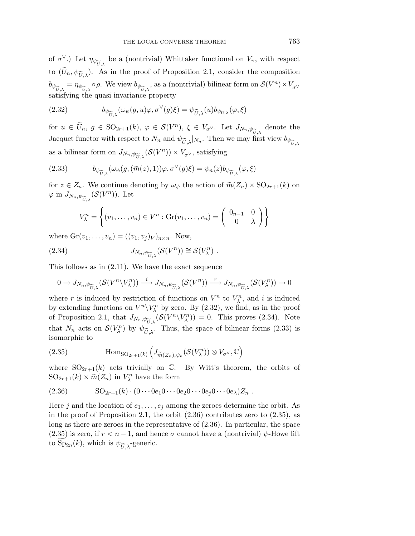of  $\sigma^{\vee}$ .) Let  $\eta_{\psi_{\widetilde{U}}}$  be a (nontrivial) Whittaker functional on  $V_{\pi}$ , with respect to  $(U_n, \psi_{\widetilde{U}})$ . As in the proof of Proposition 2.1, consider the composition  $b_{\psi_{\widetilde{U}}\lambda} = \eta_{\psi_{\widetilde{U}}\lambda} \circ \rho$ . We view  $b_{\psi_{\widetilde{U}}\lambda}$ , as a (nontrivial) bilinear form on  $\mathcal{S}(V^n) \times V_{\sigma^{\vee}}$ satisfying the quasi-invariance property

(2.32) 
$$
b_{\psi_{\widetilde{U},\lambda}}(\omega_{\psi}(g,u)\varphi,\sigma^{\vee}(g)\xi)=\psi_{\widetilde{U},\lambda}(u)b_{\psi_{U,\lambda}}(\varphi,\xi)
$$

for  $u \in \tilde{U}_n$ ,  $g \in SO_{2r+1}(k)$ ,  $\varphi \in \mathcal{S}(V^n)$ ,  $\xi \in V_{\sigma^{\vee}}$ . Let  $J_{N_n,\psi_{\widetilde{U},\lambda}}$  denote the Jacquet functor with respect to  $N_n$  and  $\psi_{\widetilde{\sigma}}$ , ly. Then we may first view  $b_{\omega}$ . Jacquet functor with respect to  $N_n$  and  $\psi_{\widetilde{U},\lambda}|_{N_n}$ . Then we may first view  $b_{\psi_{\widetilde{U},\lambda}}$ as a bilinear form on  $J_{N_n, \psi_{\widetilde{U}, \lambda}} (\mathcal{S}(V^n)) \times V_{\sigma^{\vee}},$  satisfying

(2.33) 
$$
b_{\psi_{\widetilde{U},\lambda}}(\omega_{\psi}(g,(\widetilde{m}(z),1))\varphi,\sigma^{\vee}(g)\xi)=\psi_n(z)b_{\psi_{\widetilde{U},\lambda}}(\varphi,\xi)
$$

for  $z \in Z_n$ . We continue denoting by  $\omega_{\psi}$  the action of  $\widetilde{m}(Z_n) \times SO_{2r+1}(k)$  on  $\varphi$  in  $J_{N_n,\psi_{\widetilde{U},\lambda}}(\mathcal{S}(V^n))$ . Let

$$
V_{\lambda}^{n} = \left\{ (v_1, \ldots, v_n) \in V^n : \text{Gr}(v_1, \ldots, v_n) = \left( \begin{array}{cc} 0_{n-1} & 0 \\ 0 & \lambda \end{array} \right) \right\}
$$

where  $\mathrm{Gr}(v_1,\ldots,v_n) = ((v_1,v_j)_V)_{n\times n}$ . Now,

(2.34) 
$$
J_{N_n,\psi_{\widetilde{U},\lambda}}(\mathcal{S}(V^n)) \cong \mathcal{S}(V^n_{\lambda}).
$$

This follows as in (2.11). We have the exact sequence

$$
0 \to J_{N_n, \psi_{\widetilde{U}, \lambda}}(\mathcal{S}(V^n \backslash V^n_{\lambda})) \xrightarrow{i} J_{N_n, \psi_{\widetilde{U}, \lambda}}(\mathcal{S}(V^n)) \xrightarrow{r} J_{N_n, \psi_{\widetilde{U}, \lambda}}(\mathcal{S}(V^n_{\lambda})) \to 0
$$

where *r* is induced by restriction of functions on  $V^n$  to  $V_\lambda^n$ , and *i* is induced by extending functions on  $V^n\backslash V^n_\lambda$  by zero. By (2.32), we find, as in the proof of Proposition 2.1, that  $J_{N_n,\psi_{\widetilde{U},\lambda}}(\mathcal{S}(V^n\backslash V^n_{\lambda})) = 0$ . This proves (2.34). Note<br>that  $N_n$  acts on  $\mathcal{S}(V^n)$  by  $\psi_{\widetilde{\infty}}$ . Thus, the space of bilinear forms (2.33) is that  $N_n$  acts on  $\mathcal{S}(V_\lambda^n)$  by  $\psi_{\widetilde{U},\lambda}$ . Thus, the space of bilinear forms (2.33) is isomorphic to isomorphic to

(2.35) 
$$
\text{Hom}_{\text{SO}_{2r+1}(k)}\left(J_{\widetilde{m}(Z_n),\psi_n}(\mathcal{S}(V_\lambda^n))\otimes V_{\sigma^\vee},\mathbb{C}\right)
$$

where  $SO_{2r+1}(k)$  acts trivially on  $\mathbb{C}$ . By Witt's theorem, the orbits of  $SO_{2r+1}(k) \times \widetilde{m}(Z_n)$  in  $V_{\lambda}^n$  have the form

$$
(2.36) \qquad \qquad \mathrm{SO}_{2r+1}(k)\cdot (0\cdots 0e_1 0\cdots 0e_2 0\cdots 0e_j 0\cdots 0e_\lambda)Z_n .
$$

Here *j* and the location of  $e_1, \ldots, e_j$  among the zeroes determine the orbit. As in the proof of Proposition 2.1, the orbit  $(2.36)$  contributes zero to  $(2.35)$ , as long as there are zeroes in the representative of (2.36). In particular, the space (2.35) is zero, if  $r < n - 1$ , and hence  $\sigma$  cannot have a (nontrivial)  $\psi$ -Howe lift to  $Sp_{2n}(k)$ , which is  $\psi_{\widetilde{U},\lambda}$ -generic.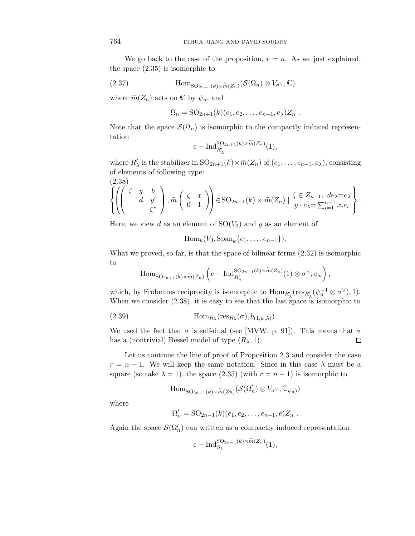We go back to the case of the proposition,  $r = n$ . As we just explained, the space (2.35) is isomorphic to

(2.37) 
$$
\text{Hom}_{\text{SO}_{2n+1}(k)\times \widetilde{m}(Z_n)}(\mathcal{S}(\Omega_n)\otimes V_{\sigma^{\vee}},\mathbb{C})
$$

where  $\widetilde{m}(Z_n)$  acts on  $\mathbb C$  by  $\psi_n$ , and

$$
\Omega_n = \mathrm{SO}_{2n+1}(k)(e_1,e_2,\ldots,e_{n-1},e_\lambda)Z_n.
$$

Note that the space  $\mathcal{S}(\Omega_n)$  is isomorphic to the compactly induced representation

$$
\mathrm{c-Ind}_{R'_\lambda}^{{\rm SO}_{2n+1}(k)\times \widetilde{m}(Z_n)}(1),
$$

where  $R'_{\lambda}$  is the stabilizer in  $SO_{2n+1}(k) \times \tilde{m}(Z_n)$  of  $(e_1, \ldots, e_{n-1}, e_{\lambda})$ , consisting of elements of following type:

(2.38)  
\n
$$
\left\{\left(\begin{pmatrix} \zeta & y & b \\ & d & y' \\ & & \zeta^* \end{pmatrix}, \widetilde{m}\begin{pmatrix} \zeta & x \\ 0 & 1 \end{pmatrix}\right) \in \text{SO}_{2n+1}(k) \times \widetilde{m}(Z_n) \mid \begin{matrix} \zeta \in Z_{n-1}, \ de \lambda = e_{\lambda} \\ y \cdot e_{\lambda} = \sum_{i=1}^{n-1} x_i e_i \end{matrix} \right\}.
$$

Here, we view *d* as an element of  $SO(V_3)$  and *y* as an element of

$$
\operatorname{Hom}_k(V_3, \operatorname{Span}_k\{e_1, \ldots, e_{n-1}\}).
$$

What we proved, so far, is that the space of bilinear forms (2.32) is isomorphic to

$$
\mathrm{Hom}_{\mathrm{SO}_{2n+1}(k)\times \widetilde{m}(Z_n)}\left(\mathrm{c-Ind}_{R'_\lambda}^{\mathrm{SO}_{2n+1}(k)\times \widetilde{m}(Z_n)}(1)\otimes \sigma^\vee, \psi_n\right),\,
$$

which, by Frobenius reciprocity is isomorphic to  $\text{Hom}_{R'_\lambda}(\text{res}_{R'_\lambda}(\psi_n^{-1} \otimes \sigma^{\vee}), 1).$ When we consider  $(2.38)$ , it is easy to see that the last space is isomorphic to

(2.39) 
$$
\text{Hom}_{R_{\lambda}}(\text{res}_{R_{\lambda}}(\sigma), b_{(1,\psi,\lambda)}).
$$

We used the fact that  $\sigma$  is self-dual (see [MVW, p. 91]). This means that  $\sigma$ has a (nontrivial) Bessel model of type  $(R_{\lambda}, 1)$ .  $\Box$ 

Let us continue the line of proof of Proposition 2.3 and consider the case  $r = n - 1$ . We will keep the same notation. Since in this case  $\lambda$  must be a square (so take  $\lambda = 1$ ), the space (2.35) (with  $r = n - 1$ ) is isomorphic to

$$
\mathrm{Hom}_{\mathrm{SO}_{2n-1}(k)\times \widetilde{m}(Zn)}(\mathcal{S}(\Omega'_n)\otimes V_{\sigma^{\vee}},\mathbb{C}_{\psi_n)})
$$

where

$$
\Omega'_n = SO_{2n-1}(k)(e_1, e_2, \ldots, e_{n-1}, e)Z_n.
$$

Again the space  $\mathcal{S}(\Omega'_n)$  can written as a compactly induced representation

$$
c-\operatorname{Ind}_{S_1}^{\mathrm{SO}_{2n-1}(k)\times m(Z_n)}(1),
$$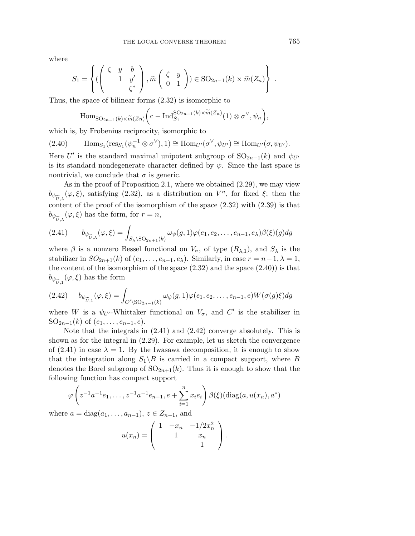where

$$
S_1 = \left\{ \begin{pmatrix} \zeta & y & b \\ 1 & y' & \zeta^* \end{pmatrix}, \widetilde{m} \begin{pmatrix} \zeta & y \\ 0 & 1 \end{pmatrix} \in SO_{2n-1}(k) \times \widetilde{m}(Z_n) \right\}.
$$

Thus, the space of bilinear forms (2.32) is isomorphic to

$$
\mathrm{Hom}_{\mathrm{SO}_{2n-1}(k)\times \widetilde{m}(Zn)}\bigg(\mathrm{c-Ind}_{S_1}^{\mathrm{SO}_{2n-1}(k)\times \widetilde{m}(Z_n)}(1)\otimes \sigma^{\vee}, \psi_n\bigg),\,
$$

which is, by Frobenius reciprocity, isomorphic to

 $(\text{2.40})$   $\text{Hom}_{S_1}(\text{res}_{S_1}(\psi_n^{-1} \otimes \sigma^{\vee}), 1) \cong \text{Hom}_{U'}(\sigma^{\vee}, \psi_{U'}) \cong \text{Hom}_{U'}(\sigma, \psi_{U'}).$ 

Here  $U'$  is the standard maximal unipotent subgroup of  $SO_{2n-1}(k)$  and  $\psi_{U'}$ is its standard nondegenerate character defined by  $\psi$ . Since the last space is nontrivial, we conclude that  $\sigma$  is generic.

As in the proof of Proposition 2.1, where we obtained (2.29), we may view  $b_{\psi_{\widetilde{U},\lambda}}(\varphi,\xi)$ , satisfying (2.32), as a distribution on  $V^n$ , for fixed  $\xi$ ; then the content of the proof of the isomorphism of the space (2.32) with (2.39) is that  $b_{\psi_{\widetilde{U}}}, (\varphi, \xi)$  has the form, for  $r = n$ ,

$$
(2.41) \t b_{\psi_{\widetilde{U},\lambda}}(\varphi,\xi) = \int_{S_{\lambda} \setminus \mathrm{SO}_{2n+1}(k)} \omega_{\psi}(g,1)\varphi(e_1,e_2,\ldots,e_{n-1},e_{\lambda})\beta(\xi)(g)dg
$$

where  $\beta$  is a nonzero Bessel functional on  $V_{\sigma}$ , of type  $(R_{\lambda,1})$ , and  $S_{\lambda}$  is the stabilizer in  $SO_{2n+1}(k)$  of  $(e_1, \ldots, e_{n-1}, e_\lambda)$ . Similarly, in case  $r = n-1, \lambda = 1$ , the content of the isomorphism of the space  $(2.32)$  and the space  $(2.40)$ ) is that  $b_{\psi_{\widetilde{U},1}}(\varphi,\xi)$  has the form

$$
(2.42) \qquad b_{\psi_{\widetilde{U},1}}(\varphi,\xi) = \int_{C' \backslash \mathrm{SO}_{2n-1}(k)} \omega_{\psi}(g,1)\varphi(e_1,e_2,\ldots,e_{n-1},e)W(\sigma(g)\xi)dg
$$

where *W* is a  $\psi_{U'}$ -Whittaker functional on  $V_{\sigma}$ , and  $C'$  is the stabilizer in SO<sub>2n−1</sub>(*k*) of ( $e_1, \ldots, e_{n-1}, e$ ).

Note that the integrals in (2.41) and (2.42) converge absolutely. This is shown as for the integral in (2.29). For example, let us sketch the convergence of (2.41) in case  $\lambda = 1$ . By the Iwasawa decomposition, it is enough to show that the integration along  $S_1 \backslash B$  is carried in a compact support, where *B* denotes the Borel subgroup of  $SO_{2n+1}(k)$ . Thus it is enough to show that the following function has compact support

$$
\varphi\left(z^{-1}a^{-1}e_1, \dots, z^{-1}a^{-1}e_{n-1}, e + \sum_{i=1}^n x_i e_i\right) \beta(\xi)(\text{diag}(a, u(x_n), a^*))
$$

where  $a = diag(a_1, \ldots, a_{n-1}), z \in Z_{n-1}$ , and

$$
u(x_n) = \begin{pmatrix} 1 & -x_n & -1/2x_n^2 \\ 1 & x_n & 1 \end{pmatrix}.
$$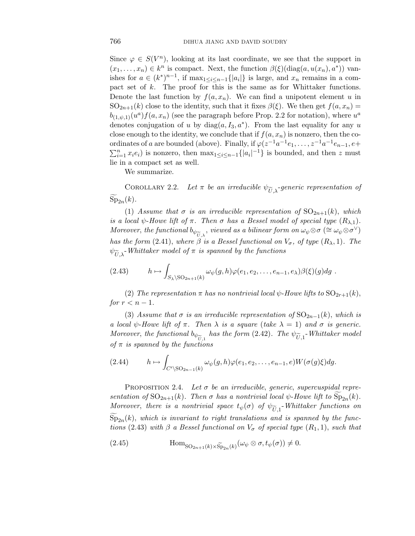Since  $\varphi \in S(V^n)$ , looking at its last coordinate, we see that the support in  $(x_1, \ldots, x_n) \in k^n$  is compact. Next, the function  $\beta(\xi)(\text{diag}(a, u(x_n), a^*))$  vanishes for  $a \in (k^*)^{n-1}$ , if max<sub>1≤i≤n−1</sub>{|a<sub>i</sub>|} is large, and  $x_n$  remains in a compact set of *k*. The proof for this is the same as for Whittaker functions. Denote the last function by  $f(a, x_n)$ . We can find a unipotent element *u* in SO<sub>2n+1</sub>(*k*) close to the identity, such that it fixes  $\beta(\xi)$ . We then get  $f(a, x_n) =$  $b_{(1,\psi,1)}(u^a) f(a,x_n)$  (see the paragraph before Prop. 2.2 for notation), where  $u^a$ denotes conjugation of *u* by diag $(a, I_3, a^*)$ . From the last equality for any *u* close enough to the identity, we conclude that if  $f(a, x_n)$  is nonzero, then the coordinates of *a* are bounded (above). Finally, if  $\varphi(z^{-1}a^{-1}e_1,\ldots,z^{-1}a^{-1}e_{n-1},e+$  $\sum_{i=1}^{n} x_i e_i$  is nonzero, then  $\max_{1 \leq i \leq n-1} \{|a_i|^{-1}\}$  is bounded, and then *z* must lie in a compact set as well.

We summarize.

COROLLARY 2.2. Let  $\pi$  be an irreducible  $\psi_{\widetilde{U},\lambda}$ -generic representation of  $Sp_{2n}(k)$ .

(1) Assume that  $\sigma$  is an irreducible representation of  $SO_{2n+1}(k)$ , which is a local  $\psi$ -Howe lift of  $\pi$ . Then  $\sigma$  has a Bessel model of special type  $(R_{\lambda,1})$ . Moreover, the functional  $b_{\psi_{U,\lambda}}$ , viewed as a bilinear form on  $\omega_{\psi} \otimes \sigma$  ( $\cong \omega_{\psi} \otimes \sigma^{\vee}$ ) has the form (2.41), where  $\beta$  is a Bessel functional on  $V_{\sigma}$ , of type  $(R_{\lambda}, 1)$ . The  $\psi_{\widetilde{U}}$ , *Whittaker model of*  $\pi$  *is spanned by the functions* 

$$
(2.43) \t\t h \mapsto \int_{S_{\lambda} \setminus \mathrm{SO}_{2n+1}(k)} \omega_{\psi}(g,h) \varphi(e_1,e_2,\ldots,e_{n-1},e_{\lambda}) \beta(\xi)(g) dg.
$$

(2) The representation  $\pi$  has no nontrivial local  $\psi$ -Howe lifts to  $SO_{2r+1}(k)$ , for  $r < n - 1$ .

(3) Assume that  $\sigma$  is an irreducible representation of  $SO_{2n-1}(k)$ , which is a local  $\psi$ -Howe lift of  $\pi$ . Then  $\lambda$  is a square (take  $\lambda = 1$ ) and  $\sigma$  is generic. Moreover, the functional  $b_{\psi_{U,1}}$  has the form (2.42). The  $\psi_{U,1}$ -Whittaker model<br>of  $\pi$  is spanned by the functions of  $\pi$  is spanned by the functions

$$
(2.44) \t\t h \mapsto \int_{C' \backslash \mathrm{SO}_{2n-1}(k)} \omega_{\psi}(g,h) \varphi(e_1,e_2,\ldots,e_{n-1},e) W(\sigma(g)\xi) dg.
$$

PROPOSITION 2.4. Let  $\sigma$  be an irreducible, generic, supercuspidal representation of  $SO_{2n+1}(k)$ . Then  $\sigma$  has a nontrivial local  $\psi$ -Howe lift to  $Sp_{2n}(k)$ . Moreover, there is a nontrivial space  $t_{\psi}(\sigma)$  of  $\psi_{\widetilde{U},1}$ -Whittaker functions on  $\text{Sp}_{2n}(k)$ , which is invariant to right translations and is spanned by the functions (2.43) with  $\beta$  a Bessel functional on  $V_{\sigma}$  of special type  $(R_1, 1)$ , such that

(2.45) 
$$
\text{Hom}_{\text{SO}_{2n+1}(k)\times \widetilde{\text{Sp}}_{2n}(k)}(\omega_{\psi}\otimes \sigma, t_{\psi}(\sigma))\neq 0.
$$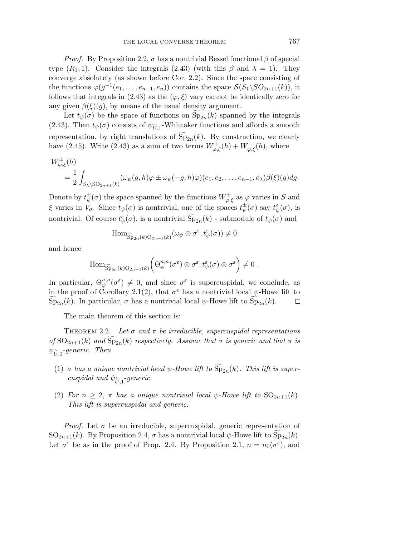*Proof.* By Proposition 2.2,  $\sigma$  has a nontrivial Bessel functional  $\beta$  of special type  $(R_1, 1)$ . Consider the integrals  $(2.43)$  (with this  $\beta$  and  $\lambda = 1$ ). They converge absolutely (as shown before Cor. 2.2). Since the space consisting of the functions  $\varphi(g^{-1}(e_1,\ldots,e_{n-1},e_n))$  contains the space  $\mathcal{S}(S_1\backslash SO_{2n+1}(k))$ , it follows that integrals in (2.43) as the  $(\varphi, \xi)$  vary cannot be identically zero for any given  $\beta(\xi)(g)$ , by means of the usual density argument.

Let  $t_{\psi}(\sigma)$  be the space of functions on  $Sp_{2n}(k)$  spanned by the integrals (2.43). Then  $t_{\psi}(\sigma)$  consists of  $\psi_{\widetilde{U},1}$ -Whittaker functions and affords a smooth representation, by right translations of  $Sp_{2n}(k)$ . By construction, we clearly have (2.45). Write (2.43) as a sum of two terms  $W^+_{\varphi,\xi}(h) + W^-_{\varphi,\xi}(h)$ , where

$$
W^{\pm}_{\varphi,\xi}(h)
$$
  
=  $\frac{1}{2} \int_{S_{\lambda} \setminus SO_{2n+1}(k)} (\omega_{\psi}(g,h)\varphi \pm \omega_{\psi}(-g,h)\varphi)(e_1,e_2,\ldots,e_{n-1},e_{\lambda})\beta(\xi)(g)dg.$ 

Denote by  $t^{\pm}_{\psi}(\sigma)$  the space spanned by the functions  $W^{\pm}_{\varphi,\xi}$  as  $\varphi$  varies in *S* and *ξ* varies in  $V_{\sigma}$ . Since  $t_{\psi}(\sigma)$  is nontrivial, one of the spaces  $t_{\psi}^{\pm}(\sigma)$  say  $t_{\psi}^{\varepsilon}(\sigma)$ , is nontrivial. Of course  $t^{\varepsilon}_{\psi}(\sigma)$ , is a nontrivial  $\widetilde{\mathrm{Sp}}_{2n}(k)$  - submodule of  $t_{\psi}(\sigma)$  and

$$
\mathrm{Hom}_{\widetilde{\mathrm{Sp}}_{2n}(k)\mathrm{O}_{2n+1}(k)}(\omega_{\psi}\otimes\sigma^{\varepsilon},t_{\psi}^{\varepsilon}(\sigma))\neq 0
$$

and hence

$$
\mathrm{Hom}_{\widetilde{\mathrm{Sp}}_{2n}(k)\mathrm{O}_{2n+1}(k)}\bigg(\Theta_{\psi}^{n,n}(\sigma^{\varepsilon})\otimes \sigma^{\varepsilon}, t_{\psi}^{\varepsilon}(\sigma)\otimes \sigma^{\varepsilon}\bigg)\neq 0\;.
$$

In particular,  $\Theta_{\psi}^{n,n}(\sigma^{\varepsilon}) \neq 0$ , and since  $\sigma^{\varepsilon}$  is supercuspidal, we conclude, as in the proof of Corollary 2.1(2), that  $\sigma^{\varepsilon}$  has a nontrivial local  $\psi$ -Howe lift to  $\text{Sp}_{2n}(k)$ . In particular,  $\sigma$  has a nontrivial local  $\psi$ -Howe lift to  $\text{Sp}_{2n}(k)$ .  $\Box$ 

The main theorem of this section is:

THEOREM 2.2. Let  $\sigma$  and  $\pi$  be irreducible, supercuspidal representations of  $SO_{2n+1}(k)$  and  $Sp_{2n}(k)$  respectively. Assume that  $\sigma$  is generic and that  $\pi$  is  $\psi_{\widetilde{H}}$  -generic. Then

- (1)  $\sigma$  has a unique nontrivial local  $\psi$ -Howe lift to  $\text{Sp}_{2n}(k)$ . This lift is supercuspidal and  $\psi_{\widetilde{U}}$  -generic.
- (2) For  $n \geq 2$ ,  $\pi$  has a unique nontrivial local  $\psi$ -Howe lift to  $SO_{2n+1}(k)$ . This lift is supercuspidal and generic.

*Proof.* Let  $\sigma$  be an irreducible, supercuspidal, generic representation of  $SO_{2n+1}(k)$ . By Proposition 2.4,  $\sigma$  has a nontrivial local  $\psi$ -Howe lift to  $Sp_{2n}(k)$ . Let  $\sigma^{\varepsilon}$  be as in the proof of Prop. 2.4. By Proposition 2.1,  $n = n_0(\sigma^{\varepsilon})$ , and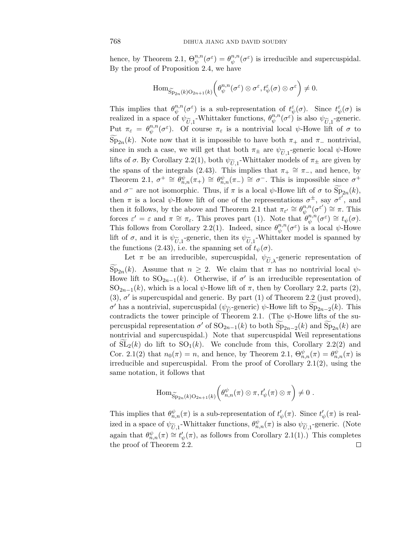hence, by Theorem 2.1,  $\Theta_{\psi}^{n,n}(\sigma^{\varepsilon}) = \theta_{\psi}^{n,n}(\sigma^{\varepsilon})$  is irreducible and supercuspidal. By the proof of Proposition 2.4, we have

$$
\mathrm{Hom}_{\widetilde{\mathrm{Sp}}_{2n}(k)\mathrm{O}_{2n+1}(k)}\bigg(\theta_{\psi}^{n,n}(\sigma^{\varepsilon})\otimes \sigma^{\varepsilon},t^{\varepsilon}_{\psi}(\sigma)\otimes \sigma^{\varepsilon}\bigg)\neq 0.
$$

This implies that  $\theta_{\psi}^{n,n}(\sigma^{\varepsilon})$  is a sub-representation of  $t_{\psi}^{\varepsilon}(\sigma)$ . Since  $t_{\psi}^{\varepsilon}(\sigma)$  is realized in a space of  $\psi_{\widetilde{U},1}$ -Whittaker functions,  $\theta_{\psi}^{n,n}(\sigma^{\varepsilon})$  is also  $\psi_{\widetilde{U},1}$ -generic.<br>Put  $\pi = \theta^{n,n}(\sigma^{\varepsilon})$ . Of course  $\pi$  is a portrivial local  $\psi$ . Howe lift of  $\sigma$  to Put  $\pi_{\varepsilon} = \theta_{\psi}^{n,n}(\sigma^{\varepsilon})$ . Of course  $\pi_{\varepsilon}$  is a nontrivial local  $\psi$ -Howe lift of  $\sigma$  to Sp<sub>2n</sub>(k). Note now that it is impossible to have both  $\pi_+$  and  $\pi_-$  nontrivial, since in such a case, we will get that both  $\pi_{\pm}$  are  $\psi_{\widetilde{U}}$  -generic local  $\psi$ -Howe lifts of  $\sigma$ . By Corollary 2.2(1), both  $\psi_{\tilde{U},1}$ -Whittaker models of  $\pi_{\pm}$  are given by the spans of the integrals (2.43). This implies that  $\pi_+ \cong \pi_-,$  and hence, by Theorem 2.1,  $\sigma^+ \cong \theta_{n,n}^{\psi}(\pi_+) \cong \theta_{n,n}^{\psi}(\pi_-) \cong \sigma^-$ . This is impossible since  $\sigma^+$ and  $\sigma^-$  are not isomorphic. Thus, if  $\pi$  is a local  $\psi$ -Howe lift of  $\sigma$  to  $\text{Sp}_{2n}(k)$ , then  $\pi$  is a local  $\psi$ -Howe lift of one of the representations  $\sigma^{\pm}$ , say  $\sigma^{\varepsilon'}$ , and then it follows, by the above and Theorem 2.1 that  $\pi_{\varepsilon'} \cong \theta_{\psi}^{n,n}(\sigma^{\varepsilon'}) \cong \pi$ . This forces  $\varepsilon' = \varepsilon$  and  $\pi \cong \pi_{\varepsilon}$ . This proves part (1). Note that  $\theta_{\psi}^{n,n}(\sigma^{\varepsilon}) \cong t_{\psi}(\sigma)$ . This follows from Corollary 2.2(1). Indeed, since  $\theta_{\psi}^{n,n}(\sigma^{\varepsilon})$  is a local  $\psi$ -Howe lift of  $\sigma$ , and it is  $\psi_{\tilde{U},1}$ -generic, then its  $\psi_{\tilde{U},1}$ -Whittaker model is spanned by the functions (2.43), i.e. the spanning set of  $t_{\psi}(\sigma)$ .

Let  $\pi$  be an irreducible, supercuspidal,  $\psi_{\tilde{U},\lambda}$ -generic representation of  $\text{Sp}_{2n}(k)$ . Assume that  $n \geq 2$ . We claim that  $\pi$  has no nontrivial local  $\psi$ -Howe lift to  $SO_{2n-1}(k)$ . Otherwise, if  $\sigma'$  is an irreducible representation of SO<sub>2n−1</sub>(*k*), which is a local  $\psi$ -Howe lift of  $\pi$ , then by Corollary 2.2, parts (2),  $(3)$ ,  $\sigma'$  is supercuspidal and generic. By part  $(1)$  of Theorem 2.2 (just proved), *σ*<sup>'</sup> has a nontrivial, supercuspidal ( $\psi_{\widetilde{U}}$ -generic)  $\psi$ -Howe lift to Sp<sub>2*n*-2</sub>(*k*). This contradicts the tower principle of Theorem 2.1. (The *ψ*-Howe lifts of the sucontradicts the tower principle of Theorem 2.1. (The  $\psi$ -Howe lifts of the supercuspidal representation  $\sigma'$  of  $SO_{2n-1}(k)$  to both  $Sp_{2n-2}(k)$  and  $Sp_{2n}(k)$  are nontrivial and supercuspidal.) Note that supercuspidal Weil representations of  $SL_2(k)$  do lift to  $SO_1(k)$ . We conclude from this, Corollary 2.2(2) and Cor. 2.1(2) that  $n_0(\pi) = n$ , and hence, by Theorem 2.1,  $\Theta_{n,n}^{\psi}(\pi) = \theta_{n,n}^{\psi}(\pi)$  is irreducible and supercuspidal. From the proof of Corollary 2.1(2), using the same notation, it follows that

$$
\mathrm{Hom}_{\widetilde{\mathrm{Sp}}_{2n}(k)\mathrm{O}_{2n+1}(k)}\bigg(\theta_{n,n}^{\psi}(\pi)\otimes\pi,t'_{\psi}(\pi)\otimes\pi\bigg)\neq 0\;.
$$

This implies that  $\theta_{n,n}^{\psi}(\pi)$  is a sub-representation of  $t'_{\psi}(\pi)$ . Since  $t'_{\psi}(\pi)$  is realized in a space of  $\psi_{\widetilde{U},1}$ -Whittaker functions,  $\theta_{n,n}^{\psi}(\pi)$  is also  $\psi_{\widetilde{U},1}$ -generic. (Note again that  $\theta_{n,n}^{\psi}(\pi) \cong t'_{\psi}(\pi)$ , as follows from Corollary 2.1(1).) This completes the proof of Theorem 2.2. $\Box$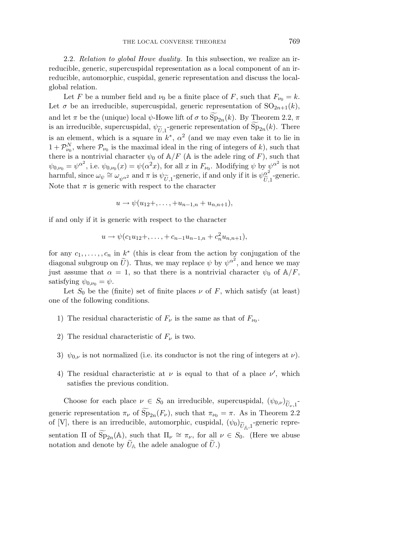2.2. Relation to global Howe duality. In this subsection, we realize an irreducible, generic, supercuspidal representation as a local component of an irreducible, automorphic, cuspidal, generic representation and discuss the localglobal relation.

Let *F* be a number field and  $\nu_0$  be a finite place of *F*, such that  $F_{\nu_0} = k$ . Let  $\sigma$  be an irreducible, supercuspidal, generic representation of  $SO_{2n+1}(k)$ , and let  $\pi$  be the (unique) local  $\psi$ -Howe lift of  $\sigma$  to  $Sp_{2n}(k)$ . By Theorem 2.2,  $\pi$ is an irreducible, supercuspidal,  $\psi_{\tilde{U},1}$ -generic representation of  $\text{Sp}_{2n}(k)$ . There is an element, which is a square in  $k^*$ ,  $\alpha^2$  (and we may even take it to lie in  $1 + \mathcal{P}_{\nu_0}^N$ , where  $\mathcal{P}_{\nu_0}$  is the maximal ideal in the ring of integers of k), such that there is a nontrivial character  $\psi_0$  of  $A/F$  (A is the adele ring of *F*), such that  $\psi_{0,\nu_0} = \psi^{\alpha^2}$ , i.e.  $\psi_{0,\nu_0}(x) = \psi(\alpha^2 x)$ , for all *x* in  $F_{\nu_0}$ . Modifying  $\psi$  by  $\psi^{\alpha^2}$  is not harmful, since  $\omega_{\psi} \cong \omega_{\psi^{\alpha^2}}$  and  $\pi$  is  $\psi_{\widetilde{U},1}$ -generic, if and only if it is  $\psi_{\widetilde{U},1}^{\alpha^2}$ <br>Note that  $\pi$  is generic with respect to the character -generic. Note that  $\pi$  is generic with respect to the character

$$
u \to \psi(u_{12} +, \ldots, + u_{n-1,n} + u_{n,n+1}),
$$

if and only if it is generic with respect to the character

$$
u \to \psi(c_1u_{12}+,\ldots,+c_{n-1}u_{n-1,n}+c_n^2u_{n,n+1}),
$$

for any  $c_1, \ldots, c_n$  in  $k^*$  (this is clear from the action by conjugation of the diagonal subgroup on  $\tilde{U}$ ). Thus, we may replace  $\psi$  by  $\psi^{\alpha^2}$ , and hence we may just assume that  $\alpha = 1$ , so that there is a nontrivial character  $\psi_0$  of  $A/F$ , satisfying  $\psi_{0,\nu_0} = \psi$ .

Let  $S_0$  be the (finite) set of finite places  $\nu$  of  $F$ , which satisfy (at least) one of the following conditions.

- 1) The residual characteristic of  $F_\nu$  is the same as that of  $F_{\nu_0}$ .
- 2) The residual characteristic of  $F_\nu$  is two.
- 3)  $\psi_{0,\nu}$  is not normalized (i.e. its conductor is not the ring of integers at  $\nu$ ).
- 4) The residual characteristic at  $\nu$  is equal to that of a place  $\nu'$ , which satisfies the previous condition.

Choose for each place  $\nu \in S_0$  an irreducible, supercuspidal,  $(\psi_{0,\nu})_{\widetilde{U}_{\nu,1}}$ . generic representation  $\pi_{\nu}$  of  $Sp_{2n}(F_{\nu})$ , such that  $\pi_{\nu_0} = \pi$ . As in Theorem 2.2 of [V], there is an irreducible, automorphic, cuspidal,  $(\psi_0)_{\widetilde{U}_{\mathbb{A}},1}$ -generic representation  $\Pi$  of  $\widetilde{\mathrm{Sp}}_{2n}(\mathbb{A})$ , such that  $\Pi_{\nu} \cong \pi_{\nu}$ , for all  $\nu \in S_0$ . (Here we abuse notation and denote by  $\hat{U}_{\mathbb{A}}$  the adele analogue of  $\hat{U}$ .)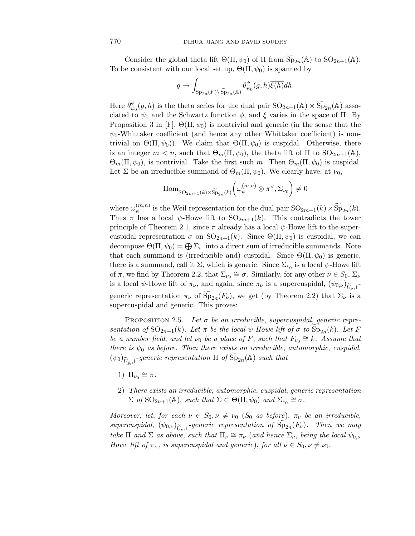Consider the global theta lift  $\Theta(\Pi, \psi_0)$  of  $\Pi$  from  $\widetilde{\mathrm{Sp}}_{2n}(\mathbb{A})$  to  $\mathrm{SO}_{2n+1}(\mathbb{A})$ . To be consistent with our local set up,  $\Theta(\Pi, \psi_0)$  is spanned by

$$
g \mapsto \int_{\mathrm{Sp}_{2n}(F)\backslash \widetilde{\mathrm{Sp}}_{2n}(\mathbb{A})} \theta_{\psi_0}^{\phi}(g,h) \overline{\xi(h)} dh.
$$

Here  $\theta_{\psi_0}^{\phi}(g, h)$  is the theta series for the dual pair  $SO_{2n+1}(\mathbb{A}) \times \widetilde{Sp}_{2n}(\mathbb{A})$  associated to  $\psi_0$  and the Schwartz function  $\phi$ , and  $\xi$  varies in the space of Π. By Proposition 3 in [F],  $\Theta(\Pi, \psi_0)$  is nontrivial and generic (in the sense that the  $\psi_0$ -Whittaker coefficient (and hence any other Whittaker coefficient) is nontrivial on  $\Theta(\Pi, \psi_0)$ . We claim that  $\Theta(\Pi, \psi_0)$  is cuspidal. Otherwise, there is an integer  $m < n$ , such that  $\Theta_m(\Pi, \psi_0)$ , the theta lift of  $\Pi$  to  $SO_{2m+1}(\mathbb{A})$ ,  $\Theta_m(\Pi, \psi_0)$ , is nontrivial. Take the first such *m*. Then  $\Theta_m(\Pi, \psi_0)$  is cuspidal. Let  $\Sigma$  be an irreducible summand of  $\Theta_m(\Pi, \psi_0)$ . We clearly have, at  $\nu_0$ ,

$$
\mathrm{Hom}_{\mathrm{SO}_{2m+1}(k)\times \widetilde{\mathrm{Sp}}_{2n}(k)}\bigg(\omega_{\psi}^{(m,n)}\otimes \pi^{\vee},\Sigma_{\nu_0}\bigg)\neq 0
$$

where  $\omega_{\psi}^{(m,n)}$  is the Weil representation for the dual pair  $SO_{2m+1}(k) \times \widetilde{Sp}_{2n}(k)$ . Thus  $\pi$  has a local  $\psi$ -Howe lift to  $SO_{2m+1}(k)$ . This contradicts the tower principle of Theorem 2.1, since  $\pi$  already has a local  $\psi$ -Howe lift to the supercuspidal representation  $\sigma$  on  $SO_{2n+1}(k)$ . Since  $\Theta(\Pi, \psi_0)$  is cuspidal, we can decompose  $\Theta(\Pi, \psi_0) = \bigoplus \Sigma_i$  into a direct sum of irreducible summands. Note that each summand is (irreducible and) cuspidal. Since  $\Theta(\Pi, \psi_0)$  is generic, there is a summand, call it  $\Sigma$ , which is generic. Since  $\Sigma_{\nu_0}$  is a local  $\psi$ -Howe lift of  $\pi$ , we find by Theorem 2.2, that  $\Sigma_{\nu_0} \cong \sigma$ . Similarly, for any other  $\nu \in S_0$ ,  $\Sigma_{\nu}$ is a local  $\psi$ -Howe lift of  $\pi_{\nu}$ , and again, since  $\pi_{\nu}$  is a supercuspidal,  $(\psi_{0,\nu})_{\widetilde{U}_{\nu},1}$ generic representation  $\pi_{\nu}$  of  $Sp_{2n}(F_{\nu})$ , we get (by Theorem 2.2) that  $\Sigma_{\nu}$  is a supercuspidal and generic. This proves:

PROPOSITION 2.5. Let  $\sigma$  be an irreducible, supercuspidal, generic representation of  $SO_{2n+1}(k)$ . Let  $\pi$  be the local  $\psi$ -Howe lift of  $\sigma$  to  $Sp_{2n}(k)$ . Let F be a number field, and let  $\nu_0$  be a place of *F*, such that  $F_{\nu_0} \cong k$ . Assume that there is  $\psi_0$  as before. Then there exists an irreducible, automorphic, cuspidal,  $(\psi_0)_{\widetilde{U}_{\mathbb{A}},1}$ -generic representation  $\Pi$  of  $\widetilde{\mathrm{Sp}}_{2n}(\mathbb{A})$  such that

- 1)  $\Pi_{\nu_0} \cong \pi$ .
- 2) There exists an irreducible, automorphic, cuspidal, generic representation  $\Sigma$  of  $\mathrm{SO}_{2n+1}(\mathbb{A})$ , such that  $\Sigma \subset \Theta(\Pi, \psi_0)$  and  $\Sigma_{\nu_0} \cong \sigma$ .

Moreover, let, for each  $\nu \in S_0$ ,  $\nu \neq \nu_0$  ( $S_0$  as before),  $\pi_{\nu}$  be an irreducible, supercuspidal,  $(\psi_{0,\nu})_{\widetilde{U}_{\nu,1}}$ -generic representation of  $\text{Sp}_{2n}(F_{\nu})$ . Then we may<br>take  $\Pi$  and  $\Sigma$  as above such that  $\Pi \cong \pi$  (and hence  $\Sigma$ , being the local the take  $\Pi$  and  $\Sigma$  as above, such that  $\Pi_{\nu} \cong \pi_{\nu}$  (and hence  $\Sigma_{\nu}$ , being the local  $\psi_{0,\nu}$ Howe lift of  $\pi_{\nu}$ , is supercuspidal and generic), for all  $\nu \in S_0$ ,  $\nu \neq \nu_0$ .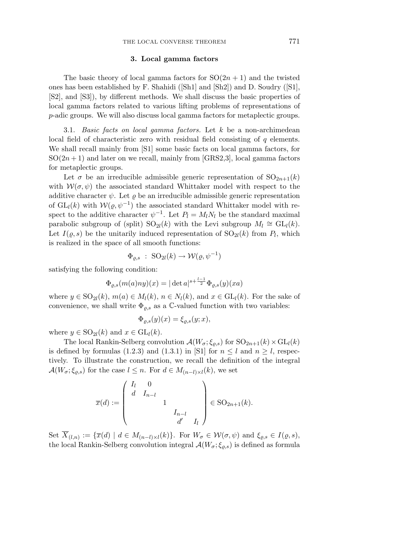### **3. Local gamma factors**

The basic theory of local gamma factors for  $SO(2n+1)$  and the twisted ones has been established by F. Shahidi ([Sh1] and [Sh2]) and D. Soudry ([S1], [S2], and [S3]), by different methods. We shall discuss the basic properties of local gamma factors related to various lifting problems of representations of *p*-adic groups. We will also discuss local gamma factors for metaplectic groups.

3.1. Basic facts on local gamma factors. Let *k* be a non-archimedean local field of characteristic zero with residual field consisting of *q* elements. We shall recall mainly from [S1] some basic facts on local gamma factors, for  $SO(2n+1)$  and later on we recall, mainly from [GRS2,3], local gamma factors for metaplectic groups.

Let  $\sigma$  be an irreducible admissible generic representation of  $SO_{2n+1}(k)$ with  $W(\sigma, \psi)$  the associated standard Whittaker model with respect to the additive character  $\psi$ . Let  $\rho$  be an irreducible admissible generic representation of  $GL_l(k)$  with  $W(\rho, \psi^{-1})$  the associated standard Whittaker model with respect to the additive character  $\psi^{-1}$ . Let  $P_l = M_l N_l$  be the standard maximal parabolic subgroup of (split) SO<sub>2l</sub>(k) with the Levi subgroup  $M_l \cong GL_l(k)$ . Let  $I(\varrho, s)$  be the unitarily induced representation of  $SO_{2l}(k)$  from  $P_l$ , which is realized in the space of all smooth functions:

$$
\Phi_{\varrho,s} : SO_{2l}(k) \to \mathcal{W}(\varrho,\psi^{-1})
$$

satisfying the following condition:

$$
\Phi_{\varrho,s}(m(a)ny)(x) = |\det a|^{s+\frac{l-1}{2}} \Phi_{\varrho,s}(y)(xa)
$$

where  $y \in SO_{2l}(k)$ ,  $m(a) \in M_l(k)$ ,  $n \in N_l(k)$ , and  $x \in GL_l(k)$ . For the sake of convenience, we shall write  $\Phi_{\rho,s}$  as a C-valued function with two variables:

$$
\Phi_{\varrho,s}(y)(x) = \xi_{\varrho,s}(y;x),
$$

where  $y \in SO_{2l}(k)$  and  $x \in GL_l(k)$ .

The local Rankin-Selberg convolution  $\mathcal{A}(W_{\sigma}; \xi_{\varrho,s})$  for  $SO_{2n+1}(k) \times GL_l(k)$ is defined by formulas (1.2.3) and (1.3.1) in [S1] for  $n \leq l$  and  $n \geq l$ , respectively. To illustrate the construction, we recall the definition of the integral  $\mathcal{A}(W_{\sigma}; \xi_{\varrho,s})$  for the case  $l \leq n$ . For  $d \in M_{(n-l)\times l}(k)$ , we set

$$
\overline{x}(d) := \begin{pmatrix} I_l & 0 & & & \\ d & I_{n-l} & & & \\ & & 1 & & \\ & & & I_{n-l} & \\ & & & d' & I_l \end{pmatrix} \in SO_{2n+1}(k).
$$

Set  $\overline{X}_{(l,n)} := {\overline{x}(d) \mid d \in M_{(n-l)\times l}(k)}$ . For  $W_{\sigma} \in \mathcal{W}(\sigma,\psi)$  and  $\xi_{\rho,s} \in I(\rho,s)$ , the local Rankin-Selberg convolution integral  $\mathcal{A}(W_{\sigma}; \xi_{\varrho,s})$  is defined as formula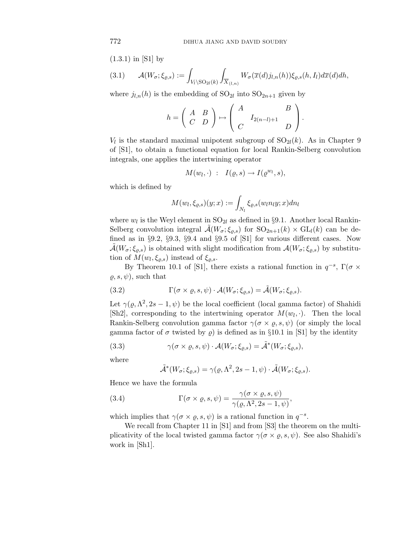(1.3.1) in [S1] by

$$
(3.1) \qquad \mathcal{A}(W_{\sigma}; \xi_{\varrho,s}) := \int_{V_l \setminus \mathrm{SO}_{2l}(k)} \int_{\overline{X}_{(l,n)}} W_{\sigma}(\overline{x}(d) j_{l,n}(h)) \xi_{\varrho,s}(h, I_l) d\overline{x}(d) dh,
$$

where  $j_{l,n}(h)$  is the embedding of  $SO_{2l}$  into  $SO_{2n+1}$  given by

$$
h = \left(\begin{array}{cc} A & B \\ C & D \end{array}\right) \mapsto \left(\begin{array}{cc} A & B \\ C & I_{2(n-l)+1} & D \end{array}\right).
$$

 $V_l$  is the standard maximal unipotent subgroup of  $SO_{2l}(k)$ . As in Chapter 9 of [S1], to obtain a functional equation for local Rankin-Selberg convolution integrals, one applies the intertwining operator

$$
M(w_l, \cdot) \; : \; I(\varrho, s) \to I(\varrho^{w_l}, s),
$$

which is defined by

$$
M(w_l, \xi_{\varrho,s})(y; x) := \int_{N_l} \xi_{\varrho,s}(w_l n_l y; x) dn_l
$$

where  $w_l$  is the Weyl element in  $SO_{2l}$  as defined in §9.1. Another local Rankin-Selberg convolution integral  $\mathcal{A}(W_{\sigma}; \xi_{\varrho,s})$  for  $SO_{2n+1}(k) \times GL_l(k)$  can be defined as in §9.2, §9.3, §9.4 and §9.5 of [S1] for various different cases. Now  $\mathcal{A}(W_{\sigma}; \xi_{\varrho,s})$  is obtained with slight modification from  $\mathcal{A}(W_{\sigma}; \xi_{\varrho,s})$  by substitution of  $M(w_l, \xi_{\varrho,s})$  instead of  $\xi_{\varrho,s}$ .

By Theorem 10.1 of [S1], there exists a rational function in  $q^{-s}$ , Γ( $\sigma \times$  $(\rho, s, \psi)$ , such that

(3.2) 
$$
\Gamma(\sigma \times \rho, s, \psi) \cdot \mathcal{A}(W_{\sigma}; \xi_{\rho, s}) = \tilde{\mathcal{A}}(W_{\sigma}; \xi_{\rho, s}).
$$

Let  $\gamma(\varrho, \Lambda^2, 2s - 1, \psi)$  be the local coefficient (local gamma factor) of Shahidi [Sh2], corresponding to the intertwining operator  $M(w_l, \cdot)$ . Then the local Rankin-Selberg convolution gamma factor  $\gamma(\sigma \times \rho, s, \psi)$  (or simply the local gamma factor of  $\sigma$  twisted by  $\rho$ ) is defined as in §10.1 in [S1] by the identity

(3.3) 
$$
\gamma(\sigma \times \varrho, s, \psi) \cdot \mathcal{A}(W_{\sigma}; \xi_{\varrho, s}) = \tilde{\mathcal{A}}^*(W_{\sigma}; \xi_{\varrho, s}),
$$

where

$$
\tilde{\mathcal{A}}^*(W_{\sigma}; \xi_{\varrho,s}) = \gamma(\varrho, \Lambda^2, 2s - 1, \psi) \cdot \tilde{\mathcal{A}}(W_{\sigma}; \xi_{\varrho,s}).
$$

Hence we have the formula

(3.4) 
$$
\Gamma(\sigma \times \varrho, s, \psi) = \frac{\gamma(\sigma \times \varrho, s, \psi)}{\gamma(\varrho, \Lambda^2, 2s - 1, \psi)},
$$

which implies that  $\gamma(\sigma \times \varrho, s, \psi)$  is a rational function in  $q^{-s}$ .

We recall from Chapter 11 in [S1] and from [S3] the theorem on the multiplicativity of the local twisted gamma factor  $\gamma(\sigma \times \varrho, s, \psi)$ . See also Shahidi's work in [Sh1].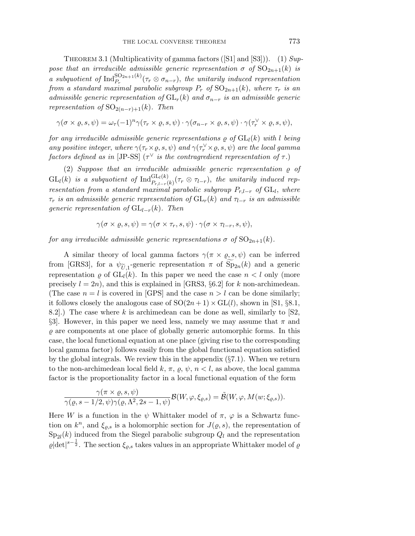THEOREM 3.1 (Multiplicativity of gamma factors ([S1] and [S3])). (1)  $Sup$ pose that an irreducible admissible generic representation  $\sigma$  of  $SO_{2n+1}(k)$  is a subquotient of  $\text{Ind}_{P_r}^{\text{SO}_{2n+1}(k)}(\tau_r \otimes \sigma_{n-r})$ , the unitarily induced representation from a standard maximal parabolic subgroup  $P_r$  of  $SO_{2n+1}(k)$ , where  $\tau_r$  is an admissible generic representation of  $GL_r(k)$  and  $\sigma_{n-r}$  is an admissible generic representation of  $SO_{2(n-r)+1}(k)$ . Then

$$
\gamma(\sigma \times \varrho, s, \psi) = \omega_{\tau}(-1)^{n} \gamma(\tau_{r} \times \varrho, s, \psi) \cdot \gamma(\sigma_{n-r} \times \varrho, s, \psi) \cdot \gamma(\tau_{r}^{\vee} \times \varrho, s, \psi),
$$

for any irreducible admissible generic representations  $\rho$  of  $GL_l(k)$  with *l* being any positive integer, where  $\gamma(\tau_r \times \varrho, s, \psi)$  and  $\gamma(\tau_r^{\vee} \times \varrho, s, \psi)$  are the local gamma factors defined as in [JP-SS] ( $\tau^{\vee}$  is the contragredient representation of  $\tau$ .)

(2) Suppose that an irreducible admissible generic representation  $\rho$  of  $GL_l(k)$  is a subquotient of  $\text{Ind}_{P_{r,l-r}(k)}^{GL_l(k)}(\tau_r \otimes \tau_{l-r})$ , the unitarily induced representation from a standard maximal parabolic subgroup  $P_{r,l-r}$  of GL<sub>l</sub>, where  $\tau_r$  is an admissible generic representation of  $GL_r(k)$  and  $\tau_{l-r}$  is an admissible generic representation of  $GL_{l-r}(k)$ . Then

$$
\gamma(\sigma \times \varrho, s, \psi) = \gamma(\sigma \times \tau_r, s, \psi) \cdot \gamma(\sigma \times \tau_{l-r}, s, \psi),
$$

for any irreducible admissible generic representations  $\sigma$  of  $SO_{2n+1}(k)$ .

A similar theory of local gamma factors  $\gamma(\pi \times \varrho, s, \psi)$  can be inferred from [GRS3], for a  $\psi_{\tilde{U},1}$ -generic representation  $\pi$  of  $\text{Sp}_{2n}(k)$  and a generic<br>representation a of  $\text{GL}_d(k)$ . In this paper we need the case  $n < l$  only (more representation  $\rho$  of  $GL_l(k)$ . In this paper we need the case  $n < l$  only (more precisely  $l = 2n$ , and this is explained in [GRS3, §6.2] for *k* non-archimedean. (The case  $n = l$  is covered in [GPS] and the case  $n > l$  can be done similarly; it follows closely the analogous case of  $SO(2n+1) \times GL(l)$ , shown in [S1, §8.1, 8.2].) The case where *k* is archimedean can be done as well, similarly to [S2, §3. However, in this paper we need less, namely we may assume that  $\pi$  and  $\rho$  are components at one place of globally generic automorphic forms. In this case, the local functional equation at one place (giving rise to the corresponding local gamma factor) follows easily from the global functional equation satisfied by the global integrals. We review this in the appendix  $(\S7.1)$ . When we return to the non-archimedean local field  $k, \pi, \varrho, \psi, n < l$ , as above, the local gamma factor is the proportionality factor in a local functional equation of the form

$$
\frac{\gamma(\pi \times \varrho, s, \psi)}{\gamma(\varrho, s - 1/2, \psi)\gamma(\varrho, \Lambda^2, 2s - 1, \psi)} \mathcal{B}(W, \varphi, \xi_{\varrho, s}) = \tilde{\mathcal{B}}(W, \varphi, M(w; \xi_{\varrho, s})).
$$

Here *W* is a function in the  $\psi$  Whittaker model of  $\pi$ ,  $\varphi$  is a Schwartz function on  $k^n$ , and  $\xi_{\rho,s}$  is a holomorphic section for  $J(\rho,s)$ , the representation of  $Sp_{2l}(k)$  induced from the Siegel parabolic subgroup  $Q_l$  and the representation  $\varrho|\text{det}|^{s-\frac{1}{2}}$ . The section  $\xi_{\varrho,s}$  takes values in an appropriate Whittaker model of  $\varrho$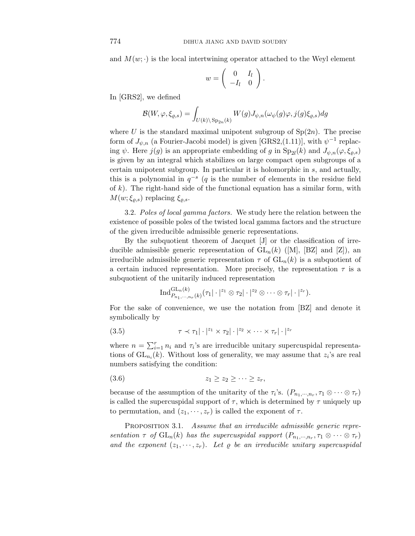and  $M(w; \cdot)$  is the local intertwining operator attached to the Weyl element

$$
w = \left(\begin{array}{cc} 0 & I_l \\ -I_l & 0 \end{array}\right).
$$

In [GRS2], we defined

$$
\mathcal{B}(W,\varphi,\xi_{\varrho,s}) = \int_{U(k)\backslash \text{Sp}_{2n}(k)} W(g) J_{\psi,n}(\omega_{\psi}(g)\varphi,j(g)\xi_{\varrho,s}) dg
$$

where U is the standard maximal unipotent subgroup of  $Sp(2n)$ . The precise form of  $J_{\psi,n}$  (a Fourier-Jacobi model) is given [GRS2,(1.11)], with  $\psi^{-1}$  replacing  $\psi$ . Here  $j(g)$  is an appropriate embedding of *g* in  $Sp_{2l}(k)$  and  $J_{\psi,n}(\varphi,\xi_{\rho,s})$ is given by an integral which stabilizes on large compact open subgroups of a certain unipotent subgroup. In particular it is holomorphic in *s*, and actually, this is a polynomial in  $q^{-s}$  (*q* is the number of elements in the residue field of *k*). The right-hand side of the functional equation has a similar form, with  $M(w; \xi_{\varrho,s})$  replacing  $\xi_{\varrho,s}$ .

3.2. Poles of local gamma factors. We study here the relation between the existence of possible poles of the twisted local gamma factors and the structure of the given irreducible admissible generic representations.

By the subquotient theorem of Jacquet [J] or the classification of irreducible admissible generic representation of  $GL_n(k)$  ([M], [BZ] and [Z]), an irreducible admissible generic representation  $\tau$  of  $GL_n(k)$  is a subquotient of a certain induced representation. More precisely, the representation  $\tau$  is a subquotient of the unitarily induced representation

$$
\operatorname{Ind}^{\operatorname{GL}_n(k)}_{P_{n_1,\cdots,n_r}(k)}(\tau_1|\cdot|^{z_1}\otimes\tau_2|\cdot|^{z_2}\otimes\cdots\otimes\tau_r|\cdot|^{z_r}).
$$

For the sake of convenience, we use the notation from [BZ] and denote it symbolically by

(3.5) 
$$
\tau \prec \tau_1 |\cdot|^{z_1} \times \tau_2 |\cdot|^{z_2} \times \cdots \times \tau_r |\cdot|^{z_r}
$$

where  $n = \sum_{i=1}^r n_i$  and  $\tau_i$ 's are irreducible unitary supercuspidal representations of  $GL_{n_i}(k)$ . Without loss of generality, we may assume that  $z_i$ 's are real numbers satisfying the condition:

$$
(3.6) \t\t\t z_1 \geq z_2 \geq \cdots \geq z_r,
$$

because of the assumption of the unitarity of the  $\tau_i$ 's.  $(P_{n_1,\dots,n_r}, \tau_1 \otimes \cdots \otimes \tau_r)$ is called the supercuspidal support of  $\tau$ , which is determined by  $\tau$  uniquely up to permutation, and  $(z_1, \dots, z_r)$  is called the exponent of  $\tau$ .

PROPOSITION 3.1. Assume that an irreducible admissible generic representation  $\tau$  of  $GL_n(k)$  has the supercuspidal support  $(P_{n_1,\dots,n_r},\tau_1\otimes\cdots\otimes\tau_r)$ and the exponent  $(z_1, \dots, z_r)$ . Let  $\varrho$  be an irreducible unitary supercuspidal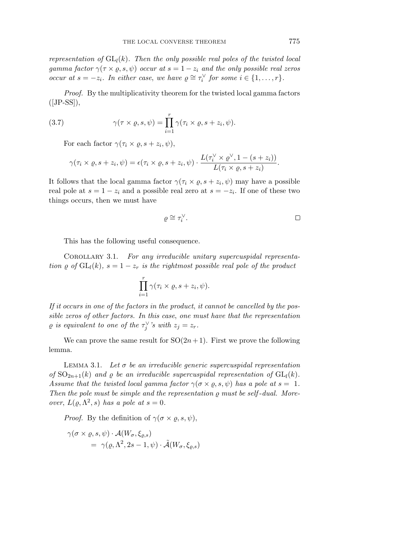representation of  $GL_l(k)$ . Then the only possible real poles of the twisted local gamma factor  $\gamma(\tau \times \varrho, s, \psi)$  occur at  $s = 1 - z_i$  and the only possible real zeros occur at  $s = -z_i$ . In either case, we have  $\rho \cong \tau_i^{\vee}$  for some  $i \in \{1, ..., r\}$ .

Proof. By the multiplicativity theorem for the twisted local gamma factors  $([JP-SS]),$ 

(3.7) 
$$
\gamma(\tau \times \varrho, s, \psi) = \prod_{i=1}^r \gamma(\tau_i \times \varrho, s + z_i, \psi).
$$

For each factor  $\gamma(\tau_i \times \rho, s + z_i, \psi)$ ,

$$
\gamma(\tau_i \times \varrho, s+z_i, \psi) = \epsilon(\tau_i \times \varrho, s+z_i, \psi) \cdot \frac{L(\tau_i^{\vee} \times \varrho^{\vee}, 1-(s+z_i))}{L(\tau_i \times \varrho, s+z_i)}.
$$

It follows that the local gamma factor  $\gamma(\tau_i \times \varrho, s + z_i, \psi)$  may have a possible real pole at  $s = 1 - z_i$  and a possible real zero at  $s = -z_i$ . If one of these two things occurs, then we must have

$$
\varrho \cong \tau_i^\vee. \qquad \qquad \Box
$$

This has the following useful consequence.

Corollary 3*.*1. For any irreducible unitary supercuspidal representation  $\rho$  of  $GL_l(k)$ ,  $s = 1 - z_r$  is the rightmost possible real pole of the product

$$
\prod_{i=1}^r \gamma(\tau_i \times \varrho, s+z_i, \psi).
$$

If it occurs in one of the factors in the product, it cannot be cancelled by the possible zeros of other factors. In this case, one must have that the representation  $\varrho$  is equivalent to one of the  $\tau_j^{\vee}$ 's with  $z_j = z_r$ .

We can prove the same result for  $SO(2n+1)$ . First we prove the following lemma.

LEMMA 3.1. Let  $\sigma$  be an irreducible generic supercuspidal representation of  $SO_{2n+1}(k)$  and  $\varrho$  be an irreducible supercuspidal representation of  $GL_l(k)$ . Assume that the twisted local gamma factor  $\gamma(\sigma \times \rho, s, \psi)$  has a pole at  $s = 1$ . Then the pole must be simple and the representation  $\rho$  must be self-dual. Moreover,  $L(\rho, \Lambda^2, s)$  has a pole at  $s = 0$ .

*Proof.* By the definition of  $\gamma(\sigma \times \rho, s, \psi)$ ,

$$
\gamma(\sigma \times \varrho, s, \psi) \cdot \mathcal{A}(W_{\sigma}, \xi_{\varrho, s})
$$
  
=  $\gamma(\varrho, \Lambda^2, 2s - 1, \psi) \cdot \tilde{\mathcal{A}}(W_{\sigma}, \xi_{\varrho, s})$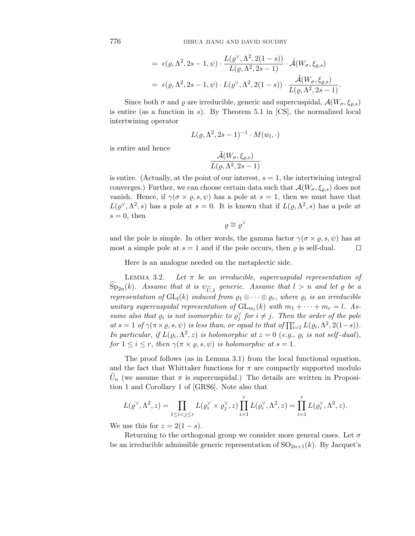$$
= \epsilon(\varrho, \Lambda^2, 2s - 1, \psi) \cdot \frac{L(\varrho^{\vee}, \Lambda^2, 2(1 - s))}{L(\varrho, \Lambda^2, 2s - 1)} \cdot \tilde{\mathcal{A}}(W_{\sigma}, \xi_{\varrho,s})
$$
  

$$
= \epsilon(\varrho, \Lambda^2, 2s - 1, \psi) \cdot L(\varrho^{\vee}, \Lambda^2, 2(1 - s)) \cdot \frac{\tilde{\mathcal{A}}(W_{\sigma}, \xi_{\varrho,s})}{L(\varrho, \Lambda^2, 2s - 1)}.
$$

Since both  $\sigma$  and  $\varrho$  are irreducible, generic and supercuspidal,  $\mathcal{A}(W_{\sigma}, \xi_{\rho,s})$ is entire (as a function in *s*). By Theorem 5.1 in [CS], the normalized local intertwining operator

$$
L(\varrho, \Lambda^2, 2s-1)^{-1} \cdot M(w_l, \cdot)
$$

is entire and hence

$$
\frac{\tilde{\mathcal{A}}(W_{\sigma}, \xi_{\varrho,s})}{L(\varrho, \Lambda^2, 2s - 1)}
$$

is entire. (Actually, at the point of our interest,  $s = 1$ , the intertwining integral converges.) Further, we can choose certain data such that  $\mathcal{A}(W_{\sigma}, \xi_{\rho,s})$  does not vanish. Hence, if  $\gamma(\sigma \times \varrho, s, \psi)$  has a pole at  $s = 1$ , then we must have that  $L(\varrho^{\vee}, \Lambda^2, s)$  has a pole at  $s = 0$ . It is known that if  $L(\varrho, \Lambda^2, s)$  has a pole at  $s = 0$ , then

 $\rho \cong \rho^{\vee}$ 

and the pole is simple. In other words, the gamma factor  $\gamma(\sigma \times \rho, s, \psi)$  has at most a simple pole at  $s = 1$  and if the pole occurs, then  $\varrho$  is self-dual. □

Here is an analogue needed on the metaplectic side.

LEMMA 3.2. Let  $\pi$  be an irreducible, supercuspidal representation of  $\text{Sp}_{2n}(k)$ . Assume that it is  $\psi_{\widetilde{U},1}$  generic. Assume that  $l > n$  and let  $\varrho$  be a<br>representation of  $\text{GL}_d(k)$  induced from  $\alpha_1 \otimes \ldots \otimes \alpha_n$  where  $\alpha_i$  is an irreducible representation of  $GL_l(k)$  induced from  $\varrho_1 \otimes \cdots \otimes \varrho_r$ , where  $\varrho_i$  is an irreducible unitary supercuspidal representation of  $GL_{m_i}(k)$  with  $m_1 + \cdots + m_r = l$ . Assume also that  $\varrho_i$  is not isomorphic to  $\varrho_j^{\vee}$  for  $i \neq j$ . Then the order of the pole  $at s = 1$  of  $\gamma(\pi \times \varrho, s, \psi)$  is less than, or equal to that of  $\prod_{i=1}^{r} L(\varrho_i, \Lambda^2, 2(1-s)).$ In particular, if  $L(\varrho_i, \Lambda^2, z)$  is holomorphic at  $z = 0$  (e.g.,  $\varrho_i$  is not self-dual), for  $1 \leq i \leq r$ , then  $\gamma(\pi \times \rho, s, \psi)$  is holomorphic at  $s = 1$ .

The proof follows (as in Lemma 3.1) from the local functional equation, and the fact that Whittaker functions for  $\pi$  are compactly supported modulo  $U_n$  (we assume that  $\pi$  is supercuspidal.) The details are written in Proposition 1 and Corollary 1 of [GRS6]. Note also that

$$
L(\varrho^\vee,\Lambda^2,z)=\prod_{1\leq i
$$

We use this for  $z = 2(1 - s)$ .

Returning to the orthogonal group we consider more general cases. Let *σ* be an irreducible admissible generic representation of  $SO_{2n+1}(k)$ . By Jacquet's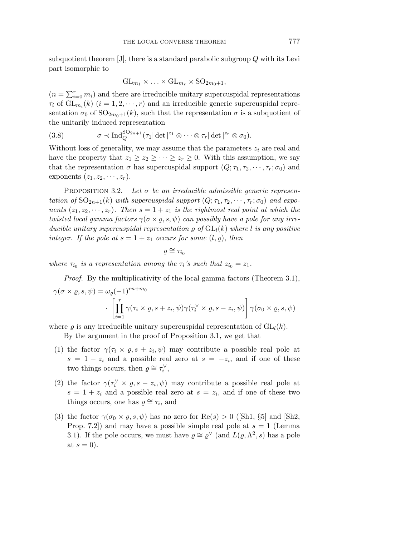subquotient theorem [J], there is a standard parabolic subgroup *Q* with its Levi part isomorphic to

$$
GL_{m_1}\times\ldots\times GL_{m_r}\times SO_{2m_0+1},
$$

 $(n = \sum_{i=0}^{r} m_i)$  and there are irreducible unitary supercuspidal representations  $\tau_i$  of  $GL_{m_i}(k)$   $(i = 1, 2, \dots, r)$  and an irreducible generic supercuspidal representation  $\sigma_0$  of  $\mathrm{SO}_{2m_0+1}(k)$ , such that the representation  $\sigma$  is a subquotient of the unitarily induced representation

(3.8) 
$$
\sigma \prec \mathrm{Ind}_{Q}^{\mathrm{SO}_{2n+1}}(\tau_1|\det|^{z_1}\otimes\cdots\otimes\tau_r|\det|^{z_r}\otimes\sigma_0).
$$

Without loss of generality, we may assume that the parameters  $z_i$  are real and have the property that  $z_1 \geq z_2 \geq \cdots \geq z_r \geq 0$ . With this assumption, we say that the representation  $\sigma$  has supercuspidal support  $(Q; \tau_1, \tau_2, \dots, \tau_r; \sigma_0)$  and exponents  $(z_1, z_2, \dots, z_r)$ .

Proposition 3.2. Let  $\sigma$  be an irreducible admissible generic representation of  $SO_{2n+1}(k)$  with supercuspidal support  $(Q; \tau_1, \tau_2, \dots, \tau_r; \sigma_0)$  and exponents  $(z_1, z_2, \dots, z_r)$ . Then  $s = 1 + z_1$  is the rightmost real point at which the twisted local gamma factors  $\gamma(\sigma \times \rho, s, \psi)$  can possibly have a pole for any irreducible unitary supercuspidal representation  $\rho$  of  $GL_l(k)$  where *l* is any positive integer. If the pole at  $s = 1 + z_1$  occurs for some  $(l, \rho)$ , then

$$
\varrho\cong\tau_{i_0}
$$

where  $\tau_{i_0}$  is a representation among the  $\tau_i$ 's such that  $z_{i_0} = z_1$ .

Proof. By the multiplicativity of the local gamma factors (Theorem 3.1),  $\gamma(\sigma \times \varrho, s, \psi) = \omega_{\rho}(-1)^{rn+m_0}$ ·  $\int_{a}^{r}$  $\frac{i=1}{i}$  $\gamma(\tau_i \times \varrho, s+z_i, \psi) \gamma(\tau_i^{\vee} \times \varrho, s-z_i, \psi) \big| \; \gamma(\sigma_0 \times \varrho, s, \psi)$ '

where  $\rho$  is any irreducible unitary supercuspidal representation of  $GL_l(k)$ .

By the argument in the proof of Proposition 3.1, we get that

- (1) the factor  $\gamma(\tau_i \times \varrho, s + z_i, \psi)$  may contribute a possible real pole at  $s = 1 - z_i$  and a possible real zero at  $s = -z_i$ , and if one of these two things occurs, then  $\varrho \cong \tau_i^{\vee}$ ,
- (2) the factor  $\gamma(\tau_i^{\vee} \times \varrho, s z_i, \psi)$  may contribute a possible real pole at  $s = 1 + z_i$  and a possible real zero at  $s = z_i$ , and if one of these two things occurs, one has  $\rho \cong \tau_i$ , and
- (3) the factor  $\gamma(\sigma_0 \times \varrho, s, \psi)$  has no zero for Re(*s*) > 0 ([Sh1, §5] and [Sh2, Prop. 7.2]) and may have a possible simple real pole at  $s = 1$  (Lemma 3.1). If the pole occurs, we must have  $\rho \cong \rho^{\vee}$  (and  $L(\rho, \Lambda^2, s)$  has a pole at  $s = 0$ ).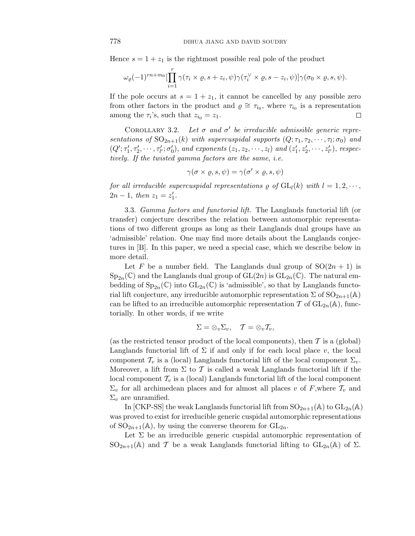Hence  $s = 1 + z_1$  is the rightmost possible real pole of the product

$$
\omega_{\varrho}(-1)^{rn+m_0} \left[\prod_{i=1}^r \gamma(\tau_i \times \varrho, s+z_i, \psi)\gamma(\tau_i^{\vee} \times \varrho, s-z_i, \psi)\right] \gamma(\sigma_0 \times \varrho, s, \psi).
$$

If the pole occurs at  $s = 1 + z_1$ , it cannot be cancelled by any possible zero from other factors in the product and  $\rho \cong \tau_{i_0}$ , where  $\tau_{i_0}$  is a representation among the  $\tau_i$ 's, such that  $z_{i_0} = z_1$ .  $\Box$ 

COROLLARY 3.2.  $\leq$  3.2. Let  $\sigma$  and  $\sigma'$  be irreducible admissible generic representations of  $SO_{2n+1}(k)$  with supercuspidal supports  $(Q; \tau_1, \tau_2, \dots, \tau_l; \sigma_0)$  and  $(Q'; \tau'_1, \tau'_2, \cdots, \tau'_{l'}; \sigma'_0)$ , and exponents  $(z_1, z_2, \cdots, z_l)$  and  $(z'_1, z'_2, \cdots, z'_{l'}),$  respectively. If the twisted gamma factors are the same, i.e.

$$
\gamma(\sigma \times \varrho, s, \psi) = \gamma(\sigma' \times \varrho, s, \psi)
$$

for all irreducible supercuspidal representations  $\varrho$  of  $GL_l(k)$  with  $l = 1, 2, \dots$ ,  $2n-1$ , then  $z_1 = z'_1$ .

3.3. Gamma factors and functorial lift. The Langlands functorial lift (or transfer) conjecture describes the relation between automorphic representations of two different groups as long as their Langlands dual groups have an 'admissible' relation. One may find more details about the Langlands conjectures in [B]. In this paper, we need a special case, which we describe below in more detail.

Let *F* be a number field. The Langlands dual group of  $SO(2n + 1)$  is  $Sp_{2n}(\mathbb{C})$  and the Langlands dual group of  $GL(2n)$  is  $GL_{2n}(\mathbb{C})$ . The natural embedding of  $Sp_{2n}(\mathbb{C})$  into  $GL_{2n}(\mathbb{C})$  is 'admissible', so that by Langlands functorial lift conjecture, any irreducible automorphic representation  $\Sigma$  of  $SO_{2n+1}(\mathbb{A})$ can be lifted to an irreducible automorphic representation T of  $GL_{2n}(\mathbb{A})$ , functorially. In other words, if we write

$$
\Sigma = \otimes_v \Sigma_v, \quad T = \otimes_v T_v,
$$

(as the restricted tensor product of the local components), then  $\mathcal T$  is a (global) Langlands functorial lift of  $\Sigma$  if and only if for each local place *v*, the local component  $\mathcal{T}_v$  is a (local) Langlands functorial lift of the local component  $\Sigma_v$ . Moreover, a lift from  $\Sigma$  to  $\mathcal T$  is called a weak Langlands functorial lift if the local component  $\mathcal{T}_v$  is a (local) Langlands functorial lift of the local component  $\Sigma_v$  for all archimedean places and for almost all places *v* of *F*, where  $\mathcal{T}_v$  and  $\Sigma_v$  are unramified.

In [CKP-SS] the weak Langlands functorial lift from  $SO_{2n+1}(\mathbb{A})$  to  $GL_{2n}(\mathbb{A})$ was proved to exist for irreducible generic cuspidal automorphic representations of  $SO_{2n+1}(\mathbb{A})$ , by using the converse theorem for  $GL_{2n}$ .

Let  $\Sigma$  be an irreducible generic cuspidal automorphic representation of  $SO_{2n+1}(\mathbb{A})$  and T be a weak Langlands functorial lifting to  $GL_{2n}(\mathbb{A})$  of  $\Sigma$ .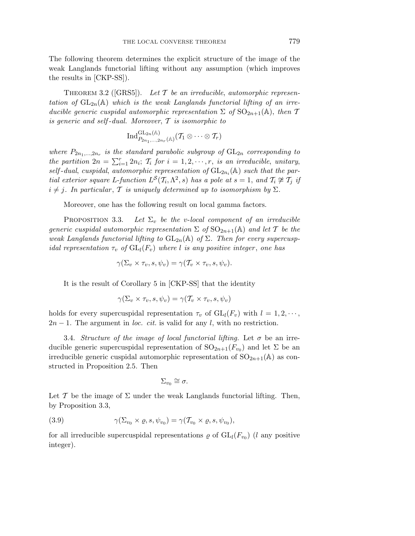The following theorem determines the explicit structure of the image of the weak Langlands functorial lifting without any assumption (which improves the results in [CKP-SS]).

THEOREM 3.2 ([GRS5]). Let  $T$  be an irreducible, automorphic representation of  $GL_{2n}(\mathbb{A})$  which is the weak Langlands functorial lifting of an irreducible generic cuspidal automorphic representation  $\Sigma$  of  $\mathrm{SO}_{2n+1}(\mathbb{A})$ , then  $\mathcal T$ is generic and self-dual. Moreover,  $\mathcal T$  is isomorphic to

$$
\operatorname{Ind}_{P_{2n_1,\ldots,2n_r}({\mathbb {A}})}^{{\rm GL}_{2n}({\mathbb {A}})}(\mathcal{T}_1 \otimes \cdots \otimes \mathcal{T}_r)
$$

where  $P_{2n_1,...,2n_r}$  is the standard parabolic subgroup of  $GL_{2n}$  corresponding to the partition  $2n = \sum_{i=1}^{r} 2n_i$ ;  $\mathcal{T}_i$  for  $i = 1, 2, \dots, r$ , is an irreducible, unitary, self-dual, cuspidal, automorphic representation of  $GL_{2n_i}(\mathbb{A})$  such that the partial exterior square *L*-function  $L^S(\mathcal{T}_i, \Lambda^2, s)$  has a pole at  $s = 1$ , and  $\mathcal{T}_i \not\cong \mathcal{T}_j$  if  $i \neq j$ . In particular, T is uniquely determined up to isomorphism by  $\Sigma$ .

Moreover, one has the following result on local gamma factors.

PROPOSITION 3.3. Let  $\Sigma_v$  be the *v*-local component of an irreducible generic cuspidal automorphic representation  $\Sigma$  of  $\mathrm{SO}_{2n+1}(\mathbb{A})$  and let  $\mathcal T$  be the weak Langlands functorial lifting to  $GL_{2n}(\mathbb{A})$  of  $\Sigma$ . Then for every supercuspidal representation  $\tau_v$  of  $GL_l(F_v)$  where *l* is any positive integer, one has

$$
\gamma(\Sigma_v \times \tau_v, s, \psi_v) = \gamma(\mathcal{T}_v \times \tau_v, s, \psi_v).
$$

It is the result of Corollary 5 in [CKP-SS] that the identity

$$
\gamma(\Sigma_v\times \tau_v,s,\psi_v)=\gamma(\mathcal{T}_v\times \tau_v,s,\psi_v)
$$

holds for every supercuspidal representation  $\tau_v$  of  $GL_l(F_v)$  with  $l = 1, 2, \dots$ ,  $2n-1$ . The argument in *loc. cit.* is valid for any *l*, with no restriction.

3.4. Structure of the image of local functorial lifting. Let  $\sigma$  be an irreducible generic supercuspidal representation of  $SO_{2n+1}(F_{v_0})$  and let  $\Sigma$  be an irreducible generic cuspidal automorphic representation of  $SO_{2n+1}(\mathbb{A})$  as constructed in Proposition 2.5. Then

$$
\Sigma_{v_0}\cong \sigma.
$$

Let T be the image of  $\Sigma$  under the weak Langlands functorial lifting. Then, by Proposition 3.3,

(3.9) 
$$
\gamma(\Sigma_{v_0} \times \varrho, s, \psi_{v_0}) = \gamma(\mathcal{T}_{v_0} \times \varrho, s, \psi_{v_0}),
$$

for all irreducible supercuspidal representations  $\rho$  of  $GL_l(F_{v_0})$  (*l* any positive integer).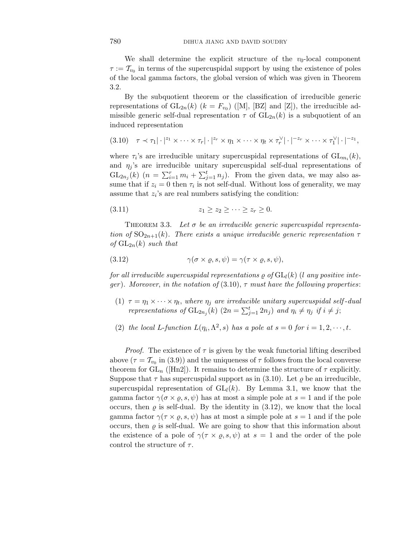We shall determine the explicit structure of the  $v_0$ -local component  $\tau := \mathcal{T}_{v_0}$  in terms of the supercuspidal support by using the existence of poles of the local gamma factors, the global version of which was given in Theorem 3.2.

By the subquotient theorem or the classification of irreducible generic representations of  $GL_{2n}(k)$   $(k = F_{v_0})$  ([M], [BZ] and [Z]), the irreducible admissible generic self-dual representation  $\tau$  of  $GL_{2n}(k)$  is a subquotient of an induced representation

$$
(3.10) \quad \tau \prec \tau_1 | \cdot |^{z_1} \times \cdots \times \tau_r | \cdot |^{z_r} \times \eta_1 \times \cdots \times \eta_t \times \tau_r^{\vee} | \cdot |^{-z_r} \times \cdots \times \tau_1^{\vee} | \cdot |^{-z_1},
$$

where  $\tau_i$ 's are irreducible unitary supercuspidal representations of  $GL_{m_i}(k)$ , and  $\eta_i$ 's are irreducible unitary supercuspidal self-dual representations of  $GL_{2n_j}(k)$   $(n = \sum_{i=1}^r m_i + \sum_{j=1}^t n_j)$ . From the given data, we may also assume that if  $z_i = 0$  then  $\tau_i$  is not self-dual. Without loss of generality, we may assume that  $z_i$ 's are real numbers satisfying the condition:

$$
(3.11) \t\t\t z_1 \geq z_2 \geq \cdots \geq z_r \geq 0.
$$

THEOREM 3.3. Let  $\sigma$  be an irreducible generic supercuspidal representation of  $SO_{2n+1}(k)$ . There exists a unique irreducible generic representation  $\tau$ of  $GL_{2n}(k)$  such that

(3.12) 
$$
\gamma(\sigma \times \varrho, s, \psi) = \gamma(\tau \times \varrho, s, \psi),
$$

for all irreducible supercuspidal representations  $\rho$  of  $GL_l(k)$  (*l* any positive integer). Moreover, in the notation of  $(3.10)$ ,  $\tau$  must have the following properties:

- (1)  $\tau = \eta_1 \times \cdots \times \eta_t$ , where  $\eta_j$  are irreducible unitary supercuspidal self-dual representations of  $GL_{2n_j}(k)$   $(2n = \sum_{j=1}^t 2n_j)$  and  $\eta_i \neq \eta_j$  if  $i \neq j$ ;
- (2) the local *L*-function  $L(\eta_i, \Lambda^2, s)$  has a pole at  $s = 0$  for  $i = 1, 2, \dots, t$ .

*Proof.* The existence of  $\tau$  is given by the weak functorial lifting described above ( $\tau = \mathcal{T}_{v_0}$  in (3.9)) and the uniqueness of  $\tau$  follows from the local converse theorem for  $GL_n$  ([Hn2]). It remains to determine the structure of  $\tau$  explicitly. Suppose that  $\tau$  has supercuspidal support as in (3.10). Let  $\rho$  be an irreducible, supercuspidal representation of  $GL_l(k)$ . By Lemma 3.1, we know that the gamma factor  $\gamma(\sigma \times \varrho, s, \psi)$  has at most a simple pole at  $s = 1$  and if the pole occurs, then  $\varrho$  is self-dual. By the identity in (3.12), we know that the local gamma factor  $\gamma(\tau \times \varrho, s, \psi)$  has at most a simple pole at  $s = 1$  and if the pole occurs, then  $\rho$  is self-dual. We are going to show that this information about the existence of a pole of  $\gamma(\tau \times \varrho, s, \psi)$  at  $s = 1$  and the order of the pole control the structure of *τ* .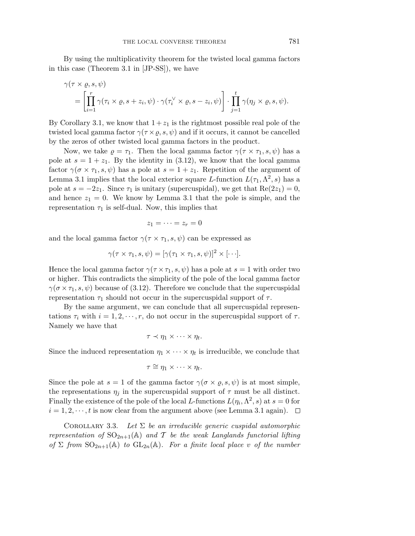By using the multiplicativity theorem for the twisted local gamma factors in this case (Theorem 3.1 in [JP-SS]), we have

$$
\gamma(\tau \times \varrho, s, \psi) = \left[ \prod_{i=1}^r \gamma(\tau_i \times \varrho, s + z_i, \psi) \cdot \gamma(\tau_i^{\vee} \times \varrho, s - z_i, \psi) \right] \cdot \prod_{j=1}^t \gamma(\eta_j \times \varrho, s, \psi).
$$

By Corollary 3.1, we know that  $1+z_1$  is the rightmost possible real pole of the twisted local gamma factor  $\gamma(\tau \times \varrho, s, \psi)$  and if it occurs, it cannot be cancelled by the zeros of other twisted local gamma factors in the product.

Now, we take  $\rho = \tau_1$ . Then the local gamma factor  $\gamma(\tau \times \tau_1, s, \psi)$  has a pole at  $s = 1 + z_1$ . By the identity in (3.12), we know that the local gamma factor  $\gamma(\sigma \times \tau_1, s, \psi)$  has a pole at  $s = 1 + z_1$ . Repetition of the argument of Lemma 3.1 implies that the local exterior square *L*-function  $L(\tau_1, \Lambda^2, s)$  has a pole at  $s = -2z_1$ . Since  $\tau_1$  is unitary (supercuspidal), we get that  $\text{Re}(2z_1) = 0$ , and hence  $z_1 = 0$ . We know by Lemma 3.1 that the pole is simple, and the representation  $\tau_1$  is self-dual. Now, this implies that

$$
z_1=\cdots=z_r=0
$$

and the local gamma factor  $\gamma(\tau \times \tau_1, s, \psi)$  can be expressed as

$$
\gamma(\tau \times \tau_1, s, \psi) = [\gamma(\tau_1 \times \tau_1, s, \psi)]^2 \times [\cdots].
$$

Hence the local gamma factor  $\gamma(\tau \times \tau_1, s, \psi)$  has a pole at  $s = 1$  with order two or higher. This contradicts the simplicity of the pole of the local gamma factor  $\gamma(\sigma \times \tau_1, s, \psi)$  because of (3.12). Therefore we conclude that the supercuspidal representation *τ*<sup>1</sup> should not occur in the supercuspidal support of *τ* .

By the same argument, we can conclude that all supercuspidal representations  $\tau_i$  with  $i = 1, 2, \dots, r$ , do not occur in the supercuspidal support of  $\tau$ . Namely we have that

$$
\tau \prec \eta_1 \times \cdots \times \eta_t.
$$

Since the induced representation  $\eta_1 \times \cdots \times \eta_t$  is irreducible, we conclude that

$$
\tau \cong \eta_1 \times \cdots \times \eta_t.
$$

Since the pole at  $s = 1$  of the gamma factor  $\gamma(\sigma \times \rho, s, \psi)$  is at most simple, the representations  $\eta_i$  in the supercuspidal support of  $\tau$  must be all distinct. Finally the existence of the pole of the local *L*-functions  $L(\eta_i, \Lambda^2, s)$  at  $s = 0$  for  $i = 1, 2, \dots, t$  is now clear from the argument above (see Lemma 3.1 again).  $\Box$ 

COROLLARY 3.3. Let  $\Sigma$  be an irreducible generic cuspidal automorphic representation of  $SO_{2n+1}(\mathbb{A})$  and T be the weak Langlands functorial lifting of  $\Sigma$  from  $\mathrm{SO}_{2n+1}(\mathbb{A})$  to  $\mathrm{GL}_{2n}(\mathbb{A})$ . For a finite local place *v* of the number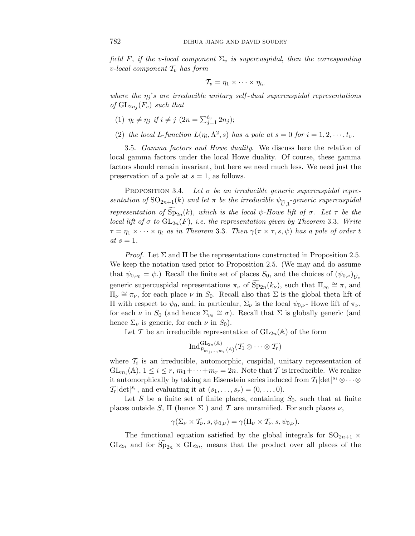field *F*, if the *v*-local component  $\Sigma_v$  is supercuspidal, then the corresponding *v*-local component  $\mathcal{T}_v$  has form

$$
\mathcal{T}_v=\eta_1\times\cdots\times\eta_{t_v}
$$

where the  $\eta_i$ 's are irreducible unitary self-dual supercuspidal representations of  $GL_{2n_i}(F_v)$  such that

- (1)  $\eta_i \neq \eta_j$  if  $i \neq j$  ( $2n = \sum_{j=1}^{t_v} 2n_j$ );
- (2) the local *L*-function  $L(\eta_i, \Lambda^2, s)$  has a pole at  $s = 0$  for  $i = 1, 2, \dots, t_v$ .

3.5. Gamma factors and Howe duality. We discuss here the relation of local gamma factors under the local Howe duality. Of course, these gamma factors should remain invariant, but here we need much less. We need just the preservation of a pole at *s* = 1, as follows.

PROPOSITION 3.4. Let  $\sigma$  be an irreducible generic supercuspidal representation of  $SO_{2n+1}(k)$  and let  $\pi$  be the irreducible  $\psi_{\widetilde{U}_1}$ -generic supercuspidal representation of  $Sp_{2n}(k)$ , which is the local *ψ*-Howe lift of *σ*. Let *τ* be the local lift of  $\sigma$  to  $GL_{2n}(F)$ , i.e. the representation given by Theorem 3.3. Write  $\tau = \eta_1 \times \cdots \times \eta_t$  as in Theorem 3.3. Then  $\gamma(\pi \times \tau, s, \psi)$  has a pole of order *t*  $at s = 1.$ 

*Proof.* Let  $\Sigma$  and  $\Pi$  be the representations constructed in Proposition 2.5. We keep the notation used prior to Proposition 2.5. (We may and do assume that  $\psi_{0,\nu_0} = \psi$ .) Recall the finite set of places  $S_0$ , and the choices of  $(\psi_{0,\nu})_{\tilde{U}_{\nu}}$ generic supercuspidal representations  $\pi_{\nu}$  of  $\widetilde{\text{Sp}}_{2n}(k_{\nu})$ , such that  $\Pi_{\nu_0} \cong \pi$ , and  $\Pi_{\nu} \cong \pi_{\nu}$ , for each place  $\nu$  in  $S_0$ . Recall also that  $\Sigma$  is the global theta lift of Π with respect to  $ψ_0$ , and, in particular,  $Σ_ν$  is the local  $ψ_{0,ν}$ - Howe lift of  $π_ν$ , for each *ν* in  $S_0$  (and hence  $\Sigma_{\nu_0} \cong \sigma$ ). Recall that  $\Sigma$  is globally generic (and hence  $\Sigma_{\nu}$  is generic, for each  $\nu$  in  $S_0$ ).

Let T be an irreducible representation of  $GL_{2n}(\mathbb{A})$  of the form

$$
\text{Ind}_{P_{m_1,...,m_r}({\mathbb {A}})}^{\text{GL}_{2n}({\mathbb {A}})}({\mathcal T}_1 \otimes \cdots \otimes {\mathcal T}_r)
$$

where  $\mathcal{T}_i$  is an irreducible, automorphic, cuspidal, unitary representation of  $GL_{m_i}(\mathbb{A}), 1 \leq i \leq r, m_1 + \cdots + m_r = 2n$ . Note that T is irreducible. We realize it automorphically by taking an Eisenstein series induced from  $\mathcal{T}_1|\text{det}|^{s_1}\otimes\cdots\otimes$  $\mathcal{T}_r[\det]^{s_r}$ , and evaluating it at  $(s_1, \ldots, s_r) = (0, \ldots, 0)$ .

Let *S* be a finite set of finite places, containing  $S_0$ , such that at finite places outside *S*,  $\Pi$  (hence  $\Sigma$ ) and  $\mathcal T$  are unramified. For such places  $\nu$ ,

$$
\gamma(\Sigma_{\nu}\times\mathcal{T}_{\nu},s,\psi_{0,\nu})=\gamma(\Pi_{\nu}\times\mathcal{T}_{\nu},s,\psi_{0,\nu}).
$$

The functional equation satisfied by the global integrals for  $SO_{2n+1}$  ×  $GL_{2n}$  and for  $Sp_{2n} \times GL_{2n}$ , means that the product over all places of the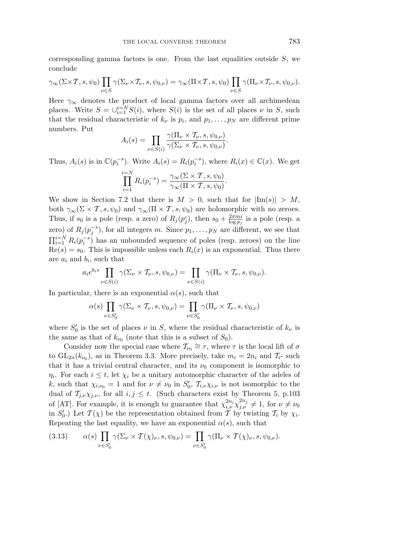corresponding gamma factors is one. From the last equalities outside *S*, we conclude

$$
\gamma_\infty(\Sigma\times\mathcal{T},s,\psi_0)\prod_{\nu\in S}\gamma(\Sigma_\nu\times\mathcal{T}_\nu,s,\psi_{0,\nu})=\gamma_\infty(\Pi\times\mathcal{T},s,\psi_0)\prod_{\nu\in S}\gamma(\Pi_\nu\times\mathcal{T}_\nu,s,\psi_{0,\nu}).
$$

Here  $\gamma_{\infty}$  denotes the product of local gamma factors over all archimedean places. Write  $S = \bigcup_{i=1}^{i=N} S(i)$ , where  $S(i)$  is the set of all places  $\nu$  in *S*, such that the residual characteristic of  $k_{\nu}$  is  $p_i$ , and  $p_1, \ldots, p_N$  are different prime numbers. Put

$$
A_i(s) = \prod_{\nu \in S(i)} \frac{\gamma(\Pi_\nu \times \mathcal{T}_\nu, s, \psi_{0,\nu})}{\gamma(\Sigma_\nu \times \mathcal{T}_\nu, s, \psi_{0,\nu})}.
$$

Thus,  $A_i(s)$  is in  $\mathbb{C}(p_i^{-s})$ . Write  $A_i(s) = R_i(p_i^{-s})$ , where  $R_i(x) \in \mathbb{C}(x)$ . We get

$$
\prod_{i=1}^{i=N} R_i(p_i^{-s}) = \frac{\gamma_\infty(\Sigma \times \mathcal{T}, s, \psi_0)}{\gamma_\infty(\Pi \times \mathcal{T}, s, \psi_0)}.
$$

We show in Section 7.2 that there is  $M > 0$ , such that for  $|\text{Im}(s)| > M$ , both  $\gamma_{\infty}(\Sigma \times \mathcal{T}, s, \psi_0)$  and  $\gamma_{\infty}(\Pi \times \mathcal{T}, s, \psi_0)$  are holomorphic with no zeroes. Thus, if  $s_0$  is a pole (resp. a zero) of  $R_j(p_j^s)$ , then  $s_0 + \frac{2\pi m i}{\log p_j}$  is a pole (resp. a zero) of  $R_j(p_j^{-s})$ , for all integers *m*. Since  $p_1, \ldots, p_N$  are different, we see that  $\prod_{i=1}^{i=N} R_i(p_i^{-s})$  has an unbounded sequence of poles (resp. zeroes) on the line  $Re(s) = s_0$ . This is impossible unless each  $R_i(x)$  is an exponential. Thus there are *a*<sup>i</sup> and *b*i, such that

$$
a_i e^{b_i s} \prod_{\nu \in S(i)} \gamma(\Sigma_\nu \times \mathcal{T}_\nu, s, \psi_{0,\nu}) = \prod_{\nu \in S(i)} \gamma(\Pi_\nu \times \mathcal{T}_\nu, s, \psi_{0,\nu}).
$$

In particular, there is an exponential  $\alpha(s)$ , such that

$$
\alpha(s) \prod_{\nu \in S'_0} \gamma(\Sigma_{\nu} \times \mathcal{T}_{\nu}, s, \psi_{0,\nu}) = \prod_{\nu \in S'_0} \gamma(\Pi_{\nu} \times \mathcal{T}_{\nu}, s, \psi_{0,\nu})
$$

where  $S'_0$  is the set of places  $\nu$  in  $S$ , where the residual characteristic of  $k_{\nu}$  is the same as that of  $k_{\nu_0}$  (note that this is a subset of  $S_0$ ).

Consider now the special case where  $\mathcal{T}_{\nu_0} \cong \tau$ , where  $\tau$  is the local lift of  $\sigma$ to  $GL_{2n}(k_{\nu_0})$ , as in Theorem 3.3. More precisely, take  $m_i = 2n_i$  and  $\mathcal{T}_i$ - such that it has a trivial central character, and its  $\nu_0$  component is isomorphic to *η*<sub>i</sub>. For each  $i \leq t$ , let  $\chi_i$  be a unitary automorphic character of the adeles of *k*, such that  $\chi_{i,\nu_0} = 1$  and for  $\nu \neq \nu_0$  in  $S'_0$ ,  $\mathcal{T}_{i,\nu}\chi_{i,\nu}$  is not isomorphic to the dual of  $\mathcal{T}_{j,\nu}\chi_{j,\nu}$ , for all  $i, j \leq t$ . (Such characters exist by Theorem 5, p.103) of [AT]. For example, it is enough to guarantee that  $\chi^{2n_i}_{i,\nu} \chi^{2n_j}_{j,\nu} \neq 1$ , for  $\nu \neq \nu_0$ in *S*<sup> $\prime$ </sup><sub>0</sub>.) Let  $\mathcal{T}(\chi)$  be the representation obtained from T by twisting  $\mathcal{T}_i$  by  $\chi_i$ . Repeating the last equality, we have an exponential  $\alpha(s)$ , such that

(3.13) 
$$
\alpha(s) \prod_{\nu \in S'_0} \gamma(\Sigma_{\nu} \times \mathcal{T}(\chi)_{\nu}, s, \psi_{0,\nu}) = \prod_{\nu \in S'_0} \gamma(\Pi_{\nu} \times \mathcal{T}(\chi)_{\nu}, s, \psi_{0,\nu}).
$$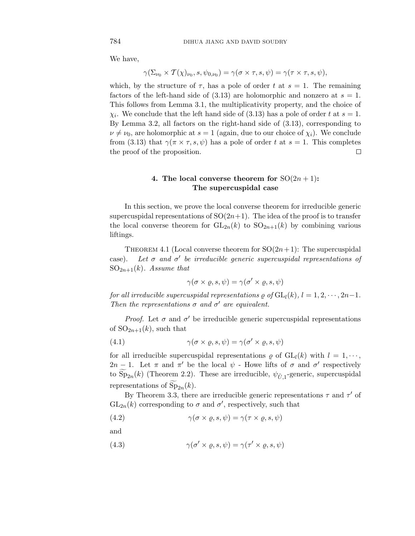We have,

$$
\gamma(\Sigma_{\nu_0}\times T(\chi)_{\nu_0}, s, \psi_{0,\nu_0})=\gamma(\sigma\times\tau, s, \psi)=\gamma(\tau\times\tau, s, \psi),
$$

which, by the structure of  $\tau$ , has a pole of order t at  $s = 1$ . The remaining factors of the left-hand side of  $(3.13)$  are holomorphic and nonzero at  $s = 1$ . This follows from Lemma 3.1, the multiplicativity property, and the choice of *χ*<sub>i</sub>. We conclude that the left hand side of (3.13) has a pole of order *t* at  $s = 1$ . By Lemma 3.2, all factors on the right-hand side of (3.13), corresponding to  $\nu \neq \nu_0$ , are holomorphic at  $s = 1$  (again, due to our choice of  $\chi_i$ ). We conclude from (3.13) that  $\gamma(\pi \times \tau, s, \psi)$  has a pole of order t at  $s = 1$ . This completes the proof of the proposition.  $\Box$ 

## **4.** The local converse theorem for  $SO(2n+1)$ : **The supercuspidal case**

In this section, we prove the local converse theorem for irreducible generic supercuspidal representations of  $SO(2n+1)$ . The idea of the proof is to transfer the local converse theorem for  $GL_{2n}(k)$  to  $SO_{2n+1}(k)$  by combining various liftings.

THEOREM 4.1 (Local converse theorem for  $SO(2n+1)$ : The supercuspidal case). Let  $\sigma$  and  $\sigma'$  be irreducible generic supercuspidal representations of  $SO_{2n+1}(k)$ . Assume that

$$
\gamma(\sigma \times \varrho, s, \psi) = \gamma(\sigma' \times \varrho, s, \psi)
$$

for all irreducible supercuspidal representations  $\varrho$  of  $GL_l(k)$ ,  $l = 1, 2, \dots, 2n-1$ . Then the representations  $\sigma$  and  $\sigma'$  are equivalent.

*Proof.* Let  $\sigma$  and  $\sigma'$  be irreducible generic supercuspidal representations of  $SO_{2n+1}(k)$ , such that

(4.1) 
$$
\gamma(\sigma \times \varrho, s, \psi) = \gamma(\sigma' \times \varrho, s, \psi)
$$

for all irreducible supercuspidal representations  $\rho$  of  $GL_l(k)$  with  $l = 1, \dots,$ 2*n* − 1. Let  $\pi$  and  $\pi'$  be the local  $\psi$  - Howe lifts of  $\sigma$  and  $\sigma'$  respectively to  $Sp_{2n}(k)$  (Theorem 2.2). These are irreducible,  $\psi_{\tilde{U},1}$ -generic, supercuspidal representations of  $Sp_{2n}(k)$ .

By Theorem 3.3, there are irreducible generic representations  $\tau$  and  $\tau'$  of  $GL_{2n}(k)$  corresponding to  $\sigma$  and  $\sigma'$ , respectively, such that

(4.2) 
$$
\gamma(\sigma \times \varrho, s, \psi) = \gamma(\tau \times \varrho, s, \psi)
$$

and

(4.3) 
$$
\gamma(\sigma' \times \varrho, s, \psi) = \gamma(\tau' \times \varrho, s, \psi)
$$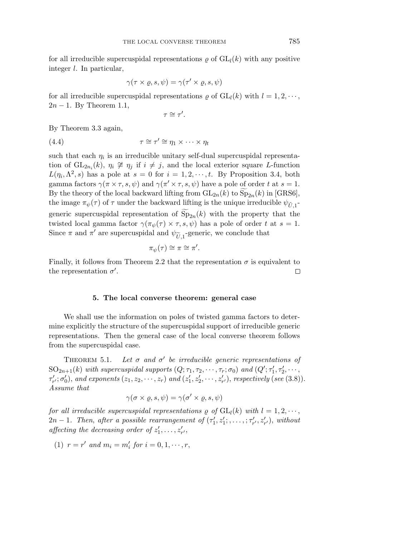for all irreducible supercuspidal representations  $\rho$  of  $GL_l(k)$  with any positive integer *l*. In particular,

$$
\gamma(\tau \times \varrho, s, \psi) = \gamma(\tau' \times \varrho, s, \psi)
$$

for all irreducible supercuspidal representations  $\rho$  of  $GL_l(k)$  with  $l = 1, 2, \dots$ , 2*n* − 1. By Theorem 1.1,

$$
\tau \cong \tau'.
$$

By Theorem 3.3 again,

(4.4) 
$$
\tau \cong \tau' \cong \eta_1 \times \cdots \times \eta_t
$$

such that each  $\eta_i$  is an irreducible unitary self-dual supercuspidal representation of  $GL_{2n_i}(k)$ ,  $\eta_i \not\cong \eta_j$  if  $i \neq j$ , and the local exterior square *L*-function  $L(\eta_i, \Lambda^2, s)$  has a pole at  $s = 0$  for  $i = 1, 2, \dots, t$ . By Proposition 3.4, both gamma factors  $\gamma(\pi \times \tau, s, \psi)$  and  $\gamma(\pi' \times \tau, s, \psi)$  have a pole of order t at  $s = 1$ . By the theory of the local backward lifting from  $GL_{2n}(k)$  to  $Sp_{2n}(k)$  in [GRS6], the image  $\pi_{\psi}(\tau)$  of  $\tau$  under the backward lifting is the unique irreducible  $\psi_{\tilde{U},1}$ generic supercuspidal representation of  $Sp_{2n}(k)$  with the property that the twisted local gamma factor  $\gamma(\pi_{\psi}(\tau) \times \tau, s, \psi)$  has a pole of order *t* at  $s = 1$ . Since  $\pi$  and  $\pi'$  are supercuspidal and  $\psi_{\widetilde{U},1}$ -generic, we conclude that

$$
\pi_{\psi}(\tau) \cong \pi \cong \pi'.
$$

Finally, it follows from Theorem 2.2 that the representation  $\sigma$  is equivalent to the representation  $\sigma'$ .  $\Box$ 

## **5. The local converse theorem: general case**

We shall use the information on poles of twisted gamma factors to determine explicitly the structure of the supercuspidal support of irreducible generic representations. Then the general case of the local converse theorem follows from the supercuspidal case.

THEOREM 5.1.  $\text{M}$  5.1. Let  $\sigma$  and  $\sigma'$  be irreducible generic representations of  $\mathrm{SO}_{2n+1}(k)$  with supercuspidal supports  $(Q; \tau_1, \tau_2, \cdots, \tau_r; \sigma_0)$  and  $(Q'; \tau_1', \tau_2', \cdots, \tau_r; \sigma_0)$  $\tau'_{r'}; \sigma'_{0}$ , and exponents  $(z_1, z_2, \cdots, z_r)$  and  $(z'_1, z'_2, \cdots, z'_{r'})$ , respectively (see (3.8)). Assume that

$$
\gamma(\sigma \times \varrho, s, \psi) = \gamma(\sigma' \times \varrho, s, \psi)
$$

for all irreducible supercuspidal representations  $\rho$  of  $GL_l(k)$  with  $l = 1, 2, \dots$ ,  $2n-1$ . Then, after a possible rearrangement of  $(\tau'_1, z'_1; , \ldots, ; \tau'_{r'}, z'_{r'})$ , without affecting the decreasing order of  $z'_1, \ldots, z'_{r'}$ ,

(1) 
$$
r = r'
$$
 and  $m_i = m'_i$  for  $i = 0, 1, \dots, r$ ,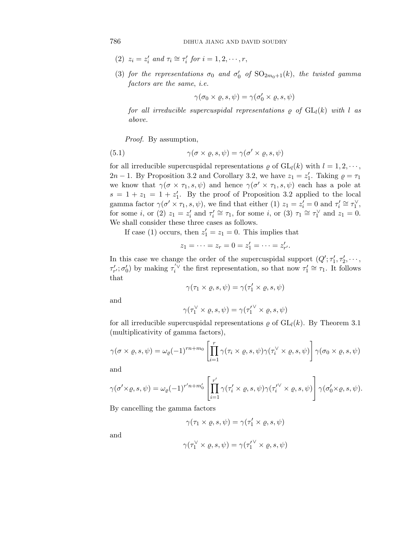- (2)  $z_i = z'_i$  and  $\tau_i \cong \tau'_i$  for  $i = 1, 2, \dots, r$ ,
- (3) for the representations  $\sigma_0$  and  $\sigma'_0$  of  $\text{SO}_{2m_0+1}(k)$ , the twisted gamma factors are the same, i.e.

$$
\gamma(\sigma_0 \times \varrho, s, \psi) = \gamma(\sigma'_0 \times \varrho, s, \psi)
$$

for all irreducible supercuspidal representations  $\rho$  of  $GL_l(k)$  with *l* as above.

Proof. By assumption,

(5.1) 
$$
\gamma(\sigma \times \varrho, s, \psi) = \gamma(\sigma' \times \varrho, s, \psi)
$$

for all irreducible supercuspidal representations  $\rho$  of  $GL_l(k)$  with  $l = 1, 2, \dots$ , 2*n* − 1. By Proposition 3.2 and Corollary 3.2, we have  $z_1 = z'_1$ . Taking  $\rho = \tau_1$ we know that  $\gamma(\sigma \times \tau_1, s, \psi)$  and hence  $\gamma(\sigma' \times \tau_1, s, \psi)$  each has a pole at  $s = 1 + z_1 = 1 + z'_1$ . By the proof of Proposition 3.2 applied to the local gamma factor  $\gamma(\sigma' \times \tau_1, s, \psi)$ , we find that either (1)  $z_1 = z'_i = 0$  and  $\tau'_i \cong \tau_1^{\vee}$ , for some *i*, or (2)  $z_1 = z'_i$  and  $\tau'_i \cong \tau_1$ , for some *i*, or (3)  $\tau_1 \cong \tau_1^{\vee}$  and  $z_1 = 0$ . We shall consider these three cases as follows.

If case (1) occurs, then  $z'_1 = z_1 = 0$ . This implies that

$$
z_1 = \cdots = z_r = 0 = z'_1 = \cdots = z'_{r'}.
$$

In this case we change the order of the supercuspidal support  $(Q'; \tau'_1, \tau'_2, \dots,$  $\tau'_{r'}$ ;  $\sigma'_{0}$ ) by making  $\tau'_{i}$ <sup> $\vee$ </sup> the first representation, so that now  $\tau'_{1} \cong \tau_{1}$ . It follows that

$$
\gamma(\tau_1 \times \varrho, s, \psi) = \gamma(\tau_1' \times \varrho, s, \psi)
$$

and

$$
\gamma(\tau_1^{\vee} \times \varrho, s, \psi) = \gamma({\tau_1'}^{\vee} \times \varrho, s, \psi)
$$

for all irreducible supercuspidal representations  $\rho$  of  $GL_l(k)$ . By Theorem 3.1 (multiplicativity of gamma factors),

$$
\gamma(\sigma \times \varrho, s, \psi) = \omega_{\varrho}(-1)^{rn+m_0} \left[ \prod_{i=1}^r \gamma(\tau_i \times \varrho, s, \psi) \gamma(\tau_i^{\vee} \times \varrho, s, \psi) \right] \gamma(\sigma_0 \times \varrho, s, \psi)
$$

and

$$
\gamma(\sigma' \times \varrho, s, \psi) = \omega_{\varrho}(-1)^{r'n+m_0'} \left[ \prod_{i=1}^{r'} \gamma(\tau_i' \times \varrho, s, \psi) \gamma(\tau_i'^{\vee} \times \varrho, s, \psi) \right] \gamma(\sigma_0' \times \varrho, s, \psi).
$$

By cancelling the gamma factors

$$
\gamma(\tau_1 \times \varrho, s, \psi) = \gamma(\tau_1' \times \varrho, s, \psi)
$$

and

$$
\gamma(\tau_1^{\vee} \times \varrho, s, \psi) = \gamma(\tau_1^{\prime \vee} \times \varrho, s, \psi)
$$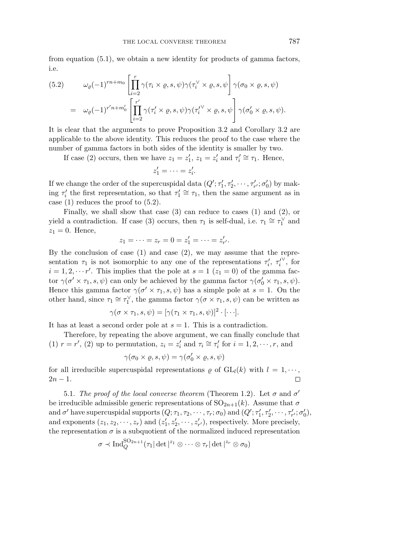from equation (5.1), we obtain a new identity for products of gamma factors, i.e.

(5.2) 
$$
\omega_{\varrho}(-1)^{rn+m_0} \left[ \prod_{i=2}^r \gamma(\tau_i \times \varrho, s, \psi) \gamma(\tau_i^{\vee} \times \varrho, s, \psi) \right] \gamma(\sigma_0 \times \varrho, s, \psi)
$$

$$
= \omega_{\varrho}(-1)^{r'n+m_0'} \left[ \prod_{i=2}^{r'} \gamma(\tau_i' \times \varrho, s, \psi) \gamma(\tau_i^{\vee} \times \varrho, s, \psi) \right] \gamma(\sigma_0' \times \varrho, s, \psi).
$$

It is clear that the arguments to prove Proposition 3.2 and Corollary 3.2 are applicable to the above identity. This reduces the proof to the case where the number of gamma factors in both sides of the identity is smaller by two.

If case (2) occurs, then we have  $z_1 = z'_1$ ,  $z_1 = z'_i$  and  $\tau'_i \cong \tau_1$ . Hence,

$$
z'_1=\cdots=z'_i.
$$

If we change the order of the supercuspidal data  $(Q'; \tau'_1, \tau'_2, \cdots, \tau'_{r'}; \sigma'_0)$  by making  $\tau'$  the first representation, so that  $\tau'_{1} \cong \tau_{1}$ , then the same argument as in case (1) reduces the proof to (5.2).

Finally, we shall show that case (3) can reduce to cases (1) and (2), or yield a contradiction. If case (3) occurs, then  $\tau_1$  is self-dual, i.e.  $\tau_1 \cong \tau_1^{\vee}$  and  $z_1 = 0$ . Hence,

$$
z_1 = \cdots = z_r = 0 = z'_1 = \cdots = z'_{r'}.
$$

By the conclusion of case  $(1)$  and case  $(2)$ , we may assume that the representation  $\tau_1$  is not isomorphic to any one of the representations  $\tau'_i$ ,  $\tau'^{\vee}_i$ , for  $i = 1, 2, \dots r'$ . This implies that the pole at  $s = 1$  ( $z_1 = 0$ ) of the gamma factor  $\gamma(\sigma' \times \tau_1, s, \psi)$  can only be achieved by the gamma factor  $\gamma(\sigma'_0 \times \tau_1, s, \psi)$ . Hence this gamma factor  $\gamma(\sigma' \times \tau_1, s, \psi)$  has a simple pole at  $s = 1$ . On the other hand, since  $\tau_1 \cong \tau_1^{\vee}$ , the gamma factor  $\gamma(\sigma \times \tau_1, s, \psi)$  can be written as

$$
\gamma(\sigma \times \tau_1, s, \psi) = [\gamma(\tau_1 \times \tau_1, s, \psi)]^2 \cdot [\cdots].
$$

It has at least a second order pole at *s* = 1. This is a contradiction.

Therefore, by repeating the above argument, we can finally conclude that (1)  $r = r'$ , (2) up to permutation,  $z_i = z'_i$  and  $\tau_i \cong \tau'_i$  for  $i = 1, 2, \dots, r$ , and

$$
\gamma(\sigma_0 \times \varrho, s, \psi) = \gamma(\sigma'_0 \times \varrho, s, \psi)
$$

for all irreducible supercuspidal representations  $\rho$  of  $GL_l(k)$  with  $l = 1, \dots,$  $2n - 1$ .  $\Box$ 

5.1. The proof of the local converse theorem (Theorem 1.2). Let  $\sigma$  and  $\sigma'$ be irreducible admissible generic representations of  $SO_{2n+1}(k)$ . Assume that  $\sigma$ and  $\sigma'$  have supercuspidal supports  $(Q; \tau_1, \tau_2, \cdots, \tau_r; \sigma_0)$  and  $(Q'; \tau'_1, \tau'_2, \cdots, \tau'_{r'}; \sigma'_0)$ , and exponents  $(z_1, z_2, \dots, z_r)$  and  $(z'_1, z'_2, \dots, z'_{r'})$ , respectively. More precisely, the representation  $\sigma$  is a subquotient of the normalized induced representation

$$
\sigma \prec \text{Ind}_{Q}^{\text{SO}_{2n+1}}(\tau_1|\det|^{z_1}\otimes\cdots\otimes\tau_r|\det|^{z_r}\otimes\sigma_0)
$$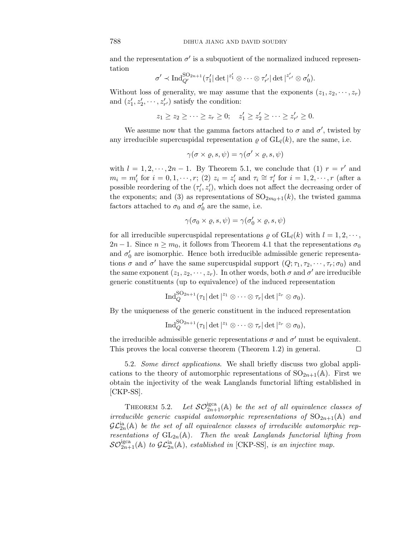and the representation  $\sigma'$  is a subquotient of the normalized induced representation

$$
\sigma' \prec \text{Ind}_{Q'}^{\text{SO}_{2n+1}}(\tau_1'|\det|^{z_1'}\otimes \cdots \otimes \tau_{r'}'|\det|^{z_{r'}'}\otimes \sigma_0').
$$

Without loss of generality, we may assume that the exponents  $(z_1, z_2, \dots, z_r)$ and  $(z'_1, z'_2, \dots, z'_{r'})$  satisfy the condition:

$$
z_1 \ge z_2 \ge \cdots \ge z_r \ge 0; \quad z'_1 \ge z'_2 \ge \cdots \ge z'_{r'} \ge 0.
$$

We assume now that the gamma factors attached to  $\sigma$  and  $\sigma'$ , twisted by any irreducible supercuspidal representation  $\rho$  of  $GL_l(k)$ , are the same, i.e.

$$
\gamma(\sigma\times\varrho,s,\psi)=\gamma(\sigma'\times\varrho,s,\psi)
$$

with  $l = 1, 2, \dots, 2n - 1$ . By Theorem 5.1, we conclude that (1)  $r = r'$  and  $m_i = m'_i$  for  $i = 0, 1, \dots, r$ ; (2)  $z_i = z'_i$  and  $\tau_i \cong \tau'_i$  for  $i = 1, 2, \dots, r$  (after a possible reordering of the  $(\tau'_i, z'_i)$ , which does not affect the decreasing order of the exponents; and (3) as representations of  $SO_{2m_0+1}(k)$ , the twisted gamma factors attached to  $\sigma_0$  and  $\sigma'_0$  are the same, i.e.

$$
\gamma(\sigma_0 \times \varrho, s, \psi) = \gamma(\sigma'_0 \times \varrho, s, \psi)
$$

for all irreducible supercuspidal representations  $\rho$  of  $GL_l(k)$  with  $l = 1, 2, \dots$ ,  $2n-1$ . Since  $n \geq m_0$ , it follows from Theorem 4.1 that the representations  $\sigma_0$ and  $\sigma'_{0}$  are isomorphic. Hence both irreducible admissible generic representations  $\sigma$  and  $\sigma'$  have the same supercuspidal support  $(Q; \tau_1, \tau_2, \dots, \tau_r; \sigma_0)$  and the same exponent  $(z_1, z_2, \dots, z_r)$ . In other words, both  $\sigma$  and  $\sigma'$  are irreducible generic constituents (up to equivalence) of the induced representation

$$
\operatorname{Ind}_Q^{\mathrm{SO}_{2n+1}}(\tau_1|\det|^{z_1}\otimes\cdots\otimes\tau_r|\det|^{z_r}\otimes\sigma_0).
$$

By the uniqueness of the generic constituent in the induced representation

$$
\operatorname{Ind}_Q^{\mathrm{SO}_{2n+1}}(\tau_1|\det|^{z_1}\otimes\cdots\otimes\tau_r|\det|^{z_r}\otimes\sigma_0),
$$

the irreducible admissible generic representations  $\sigma$  and  $\sigma'$  must be equivalent. This proves the local converse theorem (Theorem 1.2) in general.  $\Box$ 

5.2. Some direct applications. We shall briefly discuss two global applications to the theory of automorphic representations of  $SO_{2n+1}(\mathbb{A})$ . First we obtain the injectivity of the weak Langlands functorial lifting established in [CKP-SS].

THEOREM 5.2. Let  $\mathcal{SO}^{\text{igca}}_{2n+1}(\mathbb{A})$  be the set of all equivalence classes of irreducible generic cuspidal automorphic representations of  $SO_{2n+1}(\mathbb{A})$  and  $\mathcal{GL}_{2n}^{\mathrm{ia}}(\mathbb A)$  be the set of all equivalence classes of irreducible automorphic representations of  $GL_{2n}(\mathbb{A})$ . Then the weak Langlands functorial lifting from  $\mathcal{SO}_{2n+1}^{\text{igca}}(\mathbb{A})$  to  $\mathcal{GL}_{2n}^{\text{ia}}(\mathbb{A})$ , established in [CKP-SS], is an injective map.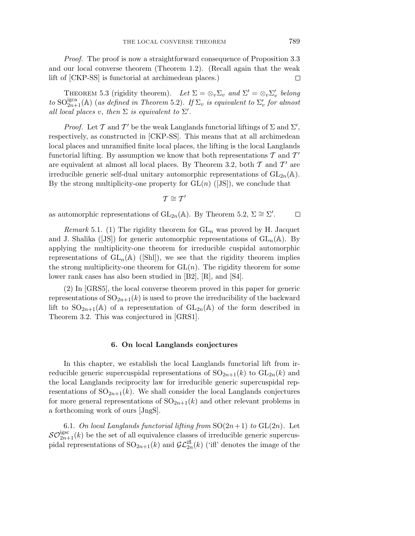Proof. The proof is now a straightforward consequence of Proposition 3.3 and our local converse theorem (Theorem 1.2). (Recall again that the weak lift of [CKP-SS] is functorial at archimedean places.) □

THEOREM 5.3 (rigidity theorem). Let  $\Sigma = \otimes_v \Sigma_v$  and  $\Sigma' = \otimes_v \Sigma'_v$  belong to  $\mathrm{SO}^\mathrm{igca}_{2n+1}(\mathbb{A})$  (as defined in Theorem 5.2). If  $\Sigma_v$  is equivalent to  $\Sigma_v'$  for almost all local places *v*, then  $\Sigma$  is equivalent to  $\Sigma'$ .

*Proof.* Let T and T' be the weak Langlands functorial liftings of  $\Sigma$  and  $\Sigma'$ , respectively, as constructed in [CKP-SS]. This means that at all archimedean local places and unramified finite local places, the lifting is the local Langlands functorial lifting. By assumption we know that both representations  $\mathcal T$  and  $\mathcal T'$ are equivalent at almost all local places. By Theorem 3.2, both  $\mathcal T$  and  $\mathcal T'$  are irreducible generic self-dual unitary automorphic representations of  $GL_{2n}(\mathbb{A})$ . By the strong multiplicity-one property for  $GL(n)$  ([JS]), we conclude that

$$
\mathcal{T}\cong\mathcal{T}'
$$

as automorphic representations of  $\text{GL}_{2n}(\mathbb{A})$ . By Theorem 5.2,  $\Sigma \cong \Sigma'$ .  $\Box$ 

Remark 5.1. (1) The rigidity theorem for  $GL_n$  was proved by H. Jacquet and J. Shalika ([JS]) for generic automorphic representations of  $GL_n(\mathbb{A})$ . By applying the multiplicity-one theorem for irreducible cuspidal automorphic representations of  $GL_n(\mathbb{A})$  ([Shl]), we see that the rigidity theorem implies the strong multiplicity-one theorem for  $GL(n)$ . The rigidity theorem for some lower rank cases has also been studied in [B2], [R], and [S4].

(2) In [GRS5], the local converse theorem proved in this paper for generic representations of  $SO_{2n+1}(k)$  is used to prove the irreducibility of the backward lift to  $SO_{2n+1}(\mathbb{A})$  of a representation of  $GL_{2n}(\mathbb{A})$  of the form described in Theorem 3.2. This was conjectured in [GRS1].

### **6. On local Langlands conjectures**

In this chapter, we establish the local Langlands functorial lift from irreducible generic supercuspidal representations of  $SO_{2n+1}(k)$  to  $GL_{2n}(k)$  and the local Langlands reciprocity law for irreducible generic supercuspidal representations of  $SO_{2n+1}(k)$ . We shall consider the local Langlands conjectures for more general representations of  $SO_{2n+1}(k)$  and other relevant problems in a forthcoming work of ours [JngS].

6.1. On local Langlands functorial lifting from  $SO(2n+1)$  to  $GL(2n)$ . Let  $\mathcal{SO}_{2n+1}^{\text{igsc}}(k)$  be the set of all equivalence classes of irreducible generic supercuspidal representations of  $\mathrm{SO}_{2n+1}(k)$  and  $\mathcal{GL}_{2n}^{\text{iff}}(k)$  ('ifl' denotes the image of the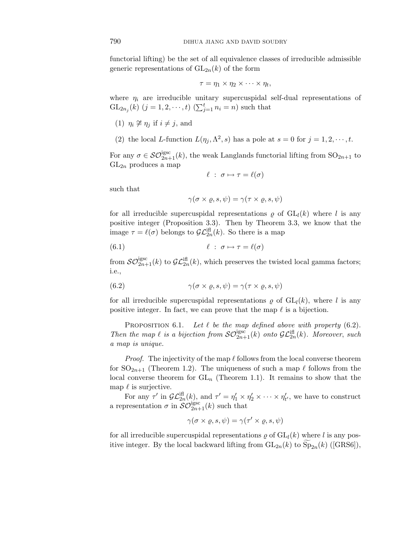functorial lifting) be the set of all equivalence classes of irreducible admissible generic representations of  $GL_{2n}(k)$  of the form

$$
\tau = \eta_1 \times \eta_2 \times \cdots \times \eta_t,
$$

where  $\eta_i$  are irreducible unitary supercuspidal self-dual representations of  $GL_{2n_j}(k)$   $(j = 1, 2, \dots, t)$   $(\sum_{j=1}^t n_i = n)$  such that

- (1)  $\eta_i \not\cong \eta_j$  if  $i \neq j$ , and
- (2) the local *L*-function  $L(\eta_i, \Lambda^2, s)$  has a pole at  $s = 0$  for  $j = 1, 2, \dots, t$ .

For any  $\sigma \in \mathcal{SO}_{2n+1}^{\text{igsc}}(k)$ , the weak Langlands functorial lifting from  $SO_{2n+1}$  to  $GL_{2n}$  produces a map

$$
\ell \; : \; \sigma \mapsto \tau = \ell(\sigma)
$$

such that

$$
\gamma(\sigma\times\varrho,s,\psi)=\gamma(\tau\times\varrho,s,\psi)
$$

for all irreducible supercuspidal representations  $\rho$  of  $GL_l(k)$  where *l* is any positive integer (Proposition 3.3). Then by Theorem 3.3, we know that the image  $\tau = \ell(\sigma)$  belongs to  $\mathcal{GL}_{2n}^{\text{iff}}(k)$ . So there is a map

(6.1) 
$$
\ell : \sigma \mapsto \tau = \ell(\sigma)
$$

from  $\mathcal{SO}_{2n+1}^{\text{igsc}}(k)$  to  $\mathcal{GL}_{2n}^{\text{iff}}(k)$ , which preserves the twisted local gamma factors; i.e.,

(6.2) 
$$
\gamma(\sigma \times \varrho, s, \psi) = \gamma(\tau \times \varrho, s, \psi)
$$

for all irreducible supercuspidal representations  $\rho$  of  $GL_l(k)$ , where *l* is any positive integer. In fact, we can prove that the map  $\ell$  is a bijection.

PROPOSITION 6.1. Let  $\ell$  be the map defined above with property  $(6.2)$ . Then the map  $\ell$  is a bijection from  $\mathcal{SO}_{2n+1}^{\text{igsc}}(k)$  onto  $\mathcal{GL}_{2n}^{\text{iff}}(k)$ . Moreover, such a map is unique.

*Proof.* The injectivity of the map  $\ell$  follows from the local converse theorem for  $SO_{2n+1}$  (Theorem 1.2). The uniqueness of such a map  $\ell$  follows from the local converse theorem for  $GL_n$  (Theorem 1.1). It remains to show that the map  $\ell$  is surjective.

For any  $\tau'$  in  $\mathcal{GL}_{2n}^{iff}(k)$ , and  $\tau' = \eta'_1 \times \eta'_2 \times \cdots \times \eta'_{t'}$ , we have to construct a representation  $\sigma$  in  $\widetilde{\mathcal{SO}_{2n+1}^{\mathrm{igsc}}}(k)$  such that

$$
\gamma(\sigma\times\varrho,s,\psi)=\gamma(\tau'\times\varrho,s,\psi)
$$

for all irreducible supercuspidal representations  $\rho$  of  $GL_l(k)$  where *l* is any positive integer. By the local backward lifting from  $GL_{2n}(k)$  to  $Sp_{2n}(k)$  ([GRS6]),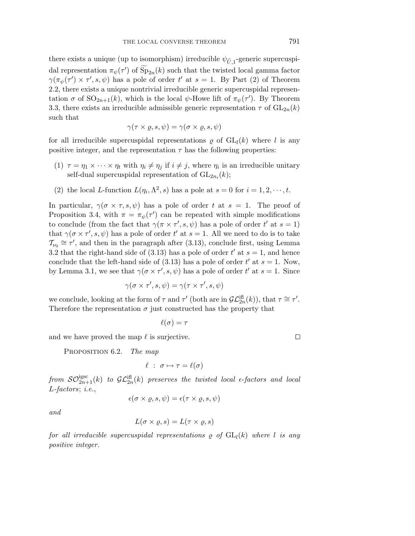there exists a unique (up to isomorphism) irreducible  $\psi_{\tilde{U},1}$ -generic supercuspidal representation  $\pi_{\psi}(\tau')$  of  $Sp_{2n}(k)$  such that the twisted local gamma factor  $\gamma(\pi_{\psi}(\tau') \times \tau', s, \psi)$  has a pole of order  $t'$  at  $s = 1$ . By Part (2) of Theorem 2.2, there exists a unique nontrivial irreducible generic supercuspidal representation  $\sigma$  of  $SO_{2n+1}(k)$ , which is the local  $\psi$ -Howe lift of  $\pi_{\psi}(\tau')$ . By Theorem 3.3, there exists an irreducible admissible generic representation  $\tau$  of  $GL_{2n}(k)$ such that

$$
\gamma(\tau \times \varrho, s, \psi) = \gamma(\sigma \times \varrho, s, \psi)
$$

for all irreducible supercuspidal representations  $\rho$  of  $GL_l(k)$  where *l* is any positive integer, and the representation  $\tau$  has the following properties:

- (1)  $\tau = \eta_1 \times \cdots \times \eta_t$  with  $\eta_i \neq \eta_j$  if  $i \neq j$ , where  $\eta_i$  is an irreducible unitary self-dual supercuspidal representation of  $GL_{2n_i}(k)$ ;
- (2) the local *L*-function  $L(\eta_i, \Lambda^2, s)$  has a pole at  $s = 0$  for  $i = 1, 2, \dots, t$ .

In particular,  $\gamma(\sigma \times \tau, s, \psi)$  has a pole of order t at  $s = 1$ . The proof of Proposition 3.4, with  $\pi = \pi_{\psi}(\tau')$  can be repeated with simple modifications to conclude (from the fact that  $\gamma(\pi \times \tau', s, \psi)$  has a pole of order  $t'$  at  $s = 1$ ) that  $\gamma(\sigma \times \tau', s, \psi)$  has a pole of order  $t'$  at  $s = 1$ . All we need to do is to take  $\mathcal{T}_{\nu_0} \cong \tau'$ , and then in the paragraph after (3.13), conclude first, using Lemma 3.2 that the right-hand side of  $(3.13)$  has a pole of order  $t'$  at  $s = 1$ , and hence conclude that the left-hand side of  $(3.13)$  has a pole of order  $t'$  at  $s = 1$ . Now, by Lemma 3.1, we see that  $\gamma(\sigma \times \tau', s, \psi)$  has a pole of order  $t'$  at  $s = 1$ . Since

$$
\gamma(\sigma\times\tau',s,\psi)=\gamma(\tau\times\tau',s,\psi)
$$

we conclude, looking at the form of  $\tau$  and  $\tau'$  (both are in  $\mathcal{GL}_{2n}^{(\text{eff})}(k)$ ), that  $\tau \cong \tau'.$ Therefore the representation  $\sigma$  just constructed has the property that

$$
\ell(\sigma)=\tau
$$

and we have proved the map  $\ell$  is surjective.

PROPOSITION 6.2. The map

$$
\ell \; : \; \sigma \mapsto \tau = \ell(\sigma)
$$

 $from~\mathcal{SO}_{2n+1}^{\mathrm{igsc}}(k)~$  to  $\mathcal{GL}_{2n}^{\mathrm{ifl}}(k)$  preserves the twisted local  $\epsilon\text{-factors}$  and local *L*-factors; i.e.,

$$
\epsilon(\sigma\times\varrho,s,\psi)=\epsilon(\tau\times\varrho,s,\psi)
$$

and

$$
L(\sigma \times \varrho, s) = L(\tau \times \varrho, s)
$$

for all irreducible supercuspidal representations  $\rho$  of  $GL_l(k)$  where *l* is any positive integer.

 $\Box$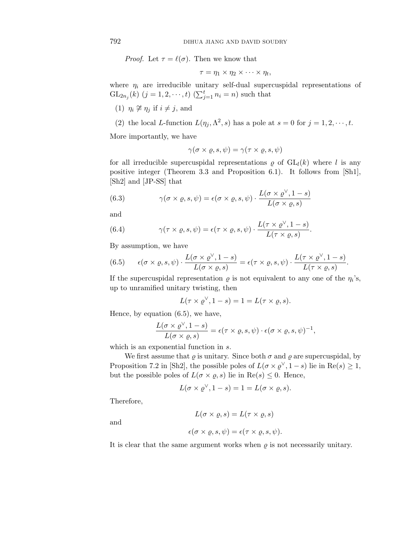*Proof.* Let  $\tau = \ell(\sigma)$ . Then we know that

$$
\tau = \eta_1 \times \eta_2 \times \cdots \times \eta_t,
$$

where  $\eta_i$  are irreducible unitary self-dual supercuspidal representations of  $GL_{2n_j}(k)$   $(j = 1, 2, \dots, t)$   $(\sum_{j=1}^t n_j = n)$  such that

- (1)  $\eta_i \not\cong \eta_j$  if  $i \neq j$ , and
- (2) the local *L*-function  $L(\eta_j, \Lambda^2, s)$  has a pole at  $s = 0$  for  $j = 1, 2, \dots, t$ .

More importantly, we have

$$
\gamma(\sigma\times\varrho,s,\psi)=\gamma(\tau\times\varrho,s,\psi)
$$

for all irreducible supercuspidal representations  $\rho$  of  $GL_l(k)$  where *l* is any positive integer (Theorem 3.3 and Proposition 6.1). It follows from [Sh1], [Sh2] and [JP-SS] that

(6.3) 
$$
\gamma(\sigma \times \varrho, s, \psi) = \epsilon(\sigma \times \varrho, s, \psi) \cdot \frac{L(\sigma \times \varrho^{\vee}, 1 - s)}{L(\sigma \times \varrho, s)}
$$

and

(6.4) 
$$
\gamma(\tau \times \varrho, s, \psi) = \epsilon(\tau \times \varrho, s, \psi) \cdot \frac{L(\tau \times \varrho^{\vee}, 1-s)}{L(\tau \times \varrho, s)}.
$$

By assumption, we have

(6.5) 
$$
\epsilon(\sigma \times \varrho, s, \psi) \cdot \frac{L(\sigma \times \varrho^{\vee}, 1-s)}{L(\sigma \times \varrho, s)} = \epsilon(\tau \times \varrho, s, \psi) \cdot \frac{L(\tau \times \varrho^{\vee}, 1-s)}{L(\tau \times \varrho, s)}.
$$

If the supercuspidal representation  $\rho$  is not equivalent to any one of the  $\eta_i$ 's, up to unramified unitary twisting, then

$$
L(\tau \times \varrho^{\vee}, 1 - s) = 1 = L(\tau \times \varrho, s).
$$

Hence, by equation (6.5), we have,

$$
\frac{L(\sigma \times \varrho^{\vee}, 1-s)}{L(\sigma \times \varrho, s)} = \epsilon(\tau \times \varrho, s, \psi) \cdot \epsilon(\sigma \times \varrho, s, \psi)^{-1},
$$

which is an exponential function in *s*.

We first assume that  $\rho$  is unitary. Since both  $\sigma$  and  $\rho$  are supercuspidal, by Proposition 7.2 in [Sh2], the possible poles of  $L(\sigma \times \rho^{\vee}, 1-s)$  lie in Re(*s*)  $\geq 1$ , but the possible poles of  $L(\sigma \times \rho, s)$  lie in  $\text{Re}(s) \leq 0$ . Hence,

$$
L(\sigma \times \varrho^{\vee}, 1 - s) = 1 = L(\sigma \times \varrho, s).
$$

Therefore,

$$
L(\sigma \times \varrho, s) = L(\tau \times \varrho, s)
$$

and

$$
\epsilon(\sigma \times \varrho, s, \psi) = \epsilon(\tau \times \varrho, s, \psi).
$$

It is clear that the same argument works when  $\rho$  is not necessarily unitary.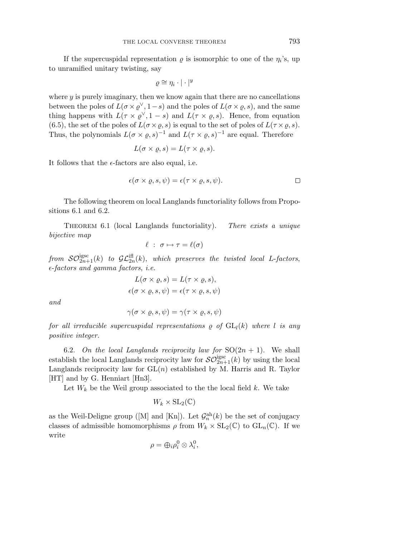If the supercuspidal representation  $\rho$  is isomorphic to one of the  $\eta_i$ 's, up to unramified unitary twisting, say

$$
\varrho \cong \eta_i \cdot |\cdot|^y
$$

where *y* is purely imaginary, then we know again that there are no cancellations between the poles of  $L(\sigma \times \rho^{\vee}, 1-s)$  and the poles of  $L(\sigma \times \rho, s)$ , and the same thing happens with  $L(\tau \times \varrho^{\vee}, 1-s)$  and  $L(\tau \times \varrho, s)$ . Hence, from equation (6.5), the set of the poles of  $L(\sigma \times \rho, s)$  is equal to the set of poles of  $L(\tau \times \rho, s)$ . Thus, the polynomials  $L(\sigma \times \rho, s)^{-1}$  and  $L(\tau \times \rho, s)^{-1}$  are equal. Therefore

$$
L(\sigma \times \varrho, s) = L(\tau \times \varrho, s).
$$

It follows that the  $\epsilon$ -factors are also equal, i.e.

$$
\epsilon(\sigma \times \varrho, s, \psi) = \epsilon(\tau \times \varrho, s, \psi).
$$

The following theorem on local Langlands functoriality follows from Propositions 6.1 and 6.2.

THEOREM 6.1 (local Langlands functoriality). There exists a unique bijective map

$$
\ell \; : \; \sigma \mapsto \tau = \ell(\sigma)
$$

from  $\mathcal{SO}^{\text{igsc}}_{2n+1}(k)$  to  $\mathcal{GL}^{\text{ifl}}_{2n}(k)$ , which preserves the twisted local *L*-factors,  $\epsilon\text{-}factors$  and gamma factors, i.e.

$$
L(\sigma \times \varrho, s) = L(\tau \times \varrho, s),
$$
  

$$
\epsilon(\sigma \times \varrho, s, \psi) = \epsilon(\tau \times \varrho, s, \psi)
$$

and

$$
\gamma(\sigma\times\varrho,s,\psi)=\gamma(\tau\times\varrho,s,\psi)
$$

for all irreducible supercuspidal representations  $\rho$  of  $GL_l(k)$  where *l* is any positive integer.

6.2. On the local Langlands reciprocity law for  $SO(2n + 1)$ . We shall establish the local Langlands reciprocity law for  $\mathcal{SO}_{2n+1}^{\text{igsc}}(k)$  by using the local Langlands reciprocity law for GL(*n*) established by M. Harris and R. Taylor [HT] and by G. Henniart [Hn3].

Let  $W_k$  be the Weil group associated to the the local field  $k$ . We take

$$
W_k\times\mathrm{SL}_2(\mathbb{C})
$$

as the Weil-Deligne group ([M] and [Kn]). Let  $\mathcal{G}_n^{\text{ah}}(k)$  be the set of conjugacy classes of admissible homomorphisms  $\rho$  from  $W_k \times SL_2(\mathbb{C})$  to  $GL_n(\mathbb{C})$ . If we write

$$
\rho = \bigoplus_i \rho_i^0 \otimes \lambda_i^0,
$$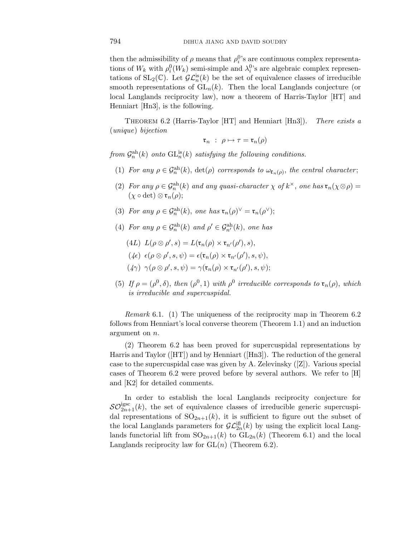then the admissibility of  $\rho$  means that  $\rho_i^0$ 's are continuous complex representations of  $W_k$  with  $\rho_i^0(W_k)$  semi-simple and  $\lambda_i^0$ 's are algebraic complex representations of  $SL_2(\mathbb{C})$ . Let  $\mathcal{GL}_n^{is}(k)$  be the set of equivalence classes of irreducible smooth representations of  $GL_n(k)$ . Then the local Langlands conjecture (or local Langlands reciprocity law), now a theorem of Harris-Taylor [HT] and Henniart [Hn3], is the following.

THEOREM 6.2 (Harris-Taylor [HT] and Henniart [Hn3]). There exists a (unique) bijection

$$
\mathfrak{r}_n \ : \ \rho \mapsto \tau = \mathfrak{r}_n(\rho)
$$

from  $\mathcal{G}_n^{\text{ah}}(k)$  onto  $\text{GL}_n^{\text{is}}(k)$  satisfying the following conditions.

- (1) For any  $\rho \in \mathcal{G}_n^{\text{ah}}(k)$ ,  $\det(\rho)$  corresponds to  $\omega_{\mathfrak{r}_n(\rho)}$ , the central character;
- (2) For any  $\rho \in \mathcal{G}_n^{\text{ah}}(k)$  and any quasi-character  $\chi$  of  $k^{\times}$ , one has  $\mathfrak{r}_n(\chi \otimes \rho)$  =  $(\chi \circ \det) \otimes \mathfrak{r}_n(\rho);$
- (3) For any  $\rho \in \mathcal{G}_n^{\text{ah}}(k)$ , one has  $\mathfrak{r}_n(\rho)^\vee = \mathfrak{r}_n(\rho^\vee)$ ;
- (4) For any  $\rho \in \mathcal{G}_n^{\text{ah}}(k)$  and  $\rho' \in \mathcal{G}_{n'}^{\text{ah}}(k)$ , one has
	- (4*L*)  $L(\rho \otimes \rho', s) = L(\mathfrak{r}_n(\rho) \times \mathfrak{r}_{n'}(\rho'), s),$
	- $(\mathcal{L}\epsilon) \epsilon(\rho \otimes \rho', s, \psi) = \epsilon(\mathfrak{r}_n(\rho) \times \mathfrak{r}_{n'}(\rho'), s, \psi),$
	- $(\n4\gamma) \ \ \gamma(\rho \otimes \rho',s,\psi) = \gamma(\mathfrak{r}_n(\rho) \times \mathfrak{r}_{n'}(\rho'),s,\psi);$
- (5) If  $\rho = (\rho^0, \delta)$ , then  $(\rho^0, 1)$  with  $\rho^0$  irreducible corresponds to  $\mathfrak{r}_n(\rho)$ , which is irreducible and supercuspidal.

Remark 6.1. (1) The uniqueness of the reciprocity map in Theorem 6.2 follows from Henniart's local converse theorem (Theorem 1.1) and an induction argument on *n*.

(2) Theorem 6.2 has been proved for supercuspidal representations by Harris and Taylor ([HT]) and by Henniart ([Hn3]). The reduction of the general case to the supercuspidal case was given by A. Zelevinsky ([Z]). Various special cases of Theorem 6.2 were proved before by several authors. We refer to [H] and [K2] for detailed comments.

In order to establish the local Langlands reciprocity conjecture for  $\mathcal{SO}_{2n+1}^{\text{igsc}}(k)$ , the set of equivalence classes of irreducible generic supercuspidal representations of  $SO_{2n+1}(k)$ , it is sufficient to figure out the subset of the local Langlands parameters for  $\mathcal{GL}_{2n}^{iff}(k)$  by using the explicit local Langlands functorial lift from  $SO_{2n+1}(k)$  to  $GL_{2n}(k)$  (Theorem 6.1) and the local Langlands reciprocity law for GL(*n*) (Theorem 6.2).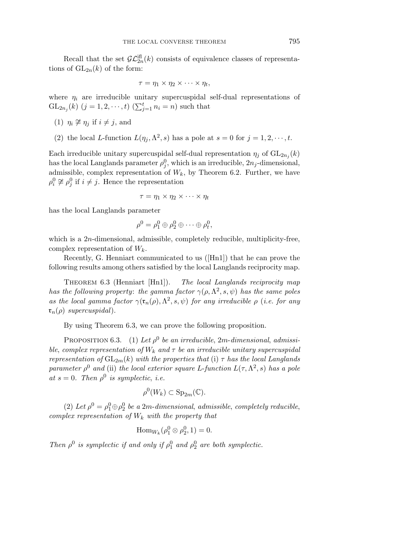Recall that the set  $\mathcal{GL}_{2n}^{(\text{eff})}(k)$  consists of equivalence classes of representations of  $GL_{2n}(k)$  of the form:

$$
\tau = \eta_1 \times \eta_2 \times \cdots \times \eta_t,
$$

where  $\eta_i$  are irreducible unitary supercuspidal self-dual representations of  $GL_{2n_j}(k)$   $(j = 1, 2, \dots, t)$   $(\sum_{j=1}^t n_i = n)$  such that

- (1)  $\eta_i \not\cong \eta_j$  if  $i \neq j$ , and
- (2) the local *L*-function  $L(\eta_i, \Lambda^2, s)$  has a pole at  $s = 0$  for  $j = 1, 2, \dots, t$ .

Each irreducible unitary supercuspidal self-dual representation  $\eta_i$  of  $GL_{2n_i}(k)$ has the local Langlands parameter  $\rho_j^0$ , which is an irreducible,  $2n_j$ -dimensional, admissible, complex representation of  $W_k$ , by Theorem 6.2. Further, we have  $\rho_i^0 \not\cong \rho_j^0$  if  $i \neq j$ . Hence the representation

$$
\tau = \eta_1 \times \eta_2 \times \cdots \times \eta_t
$$

has the local Langlands parameter

$$
\rho^0 = \rho_1^0 \oplus \rho_2^0 \oplus \cdots \oplus \rho_t^0,
$$

which is a 2*n*-dimensional, admissible, completely reducible, multiplicity-free, complex representation of  $W_k$ .

Recently, G. Henniart communicated to us ([Hn1]) that he can prove the following results among others satisfied by the local Langlands reciprocity map.

THEOREM  $6.3$  (Henniart [Hn1]). The local Langlands reciprocity map has the following property: the gamma factor  $\gamma(\rho,\Lambda^2,s,\psi)$  has the same poles as the local gamma factor  $\gamma(\mathfrak{r}_n(\rho), \Lambda^2, s, \psi)$  for any irreducible  $\rho$  (i.e. for any  $\mathfrak{r}_n(\rho)$  supercuspidal).

By using Theorem 6.3, we can prove the following proposition.

PROPOSITION 6.3. (1) Let  $\rho^0$  be an irreducible, 2*m*-dimensional, admissible, complex representation of  $W_k$  and  $\tau$  be an irreducible unitary supercuspidal representation of  $GL_{2m}(k)$  with the properties that (i)  $\tau$  has the local Langlands parameter  $\rho^0$  and (ii) the local exterior square *L*-function  $L(\tau, \Lambda^2, s)$  has a pole at  $s = 0$ . Then  $\rho^0$  is symplectic, i.e.

$$
\rho^0(W_k) \subset \mathrm{Sp}_{2m}(\mathbb{C}).
$$

(2) Let  $\rho^0 = \rho_1^0 \oplus \rho_2^0$  be a 2*m*-dimensional, admissible, completely reducible, complex representation of  $W_k$  with the property that

$$
\operatorname{Hom}_{W_k}(\rho_1^0 \otimes \rho_2^0, 1) = 0.
$$

Then  $\rho^0$  is symplectic if and only if  $\rho_1^0$  and  $\rho_2^0$  are both symplectic.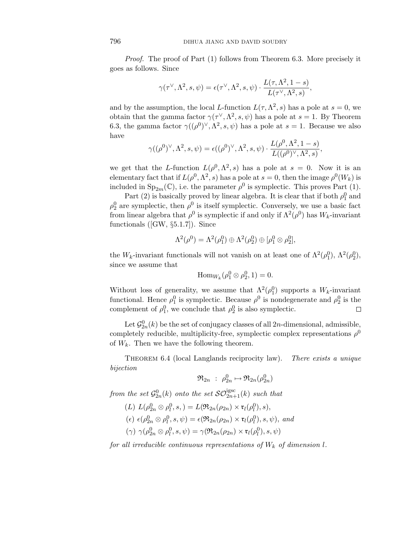Proof. The proof of Part (1) follows from Theorem 6.3. More precisely it goes as follows. Since

$$
\gamma(\tau^{\vee},\Lambda^2,s,\psi)=\epsilon(\tau^{\vee},\Lambda^2,s,\psi)\cdot\frac{L(\tau,\Lambda^2,1-s)}{L(\tau^{\vee},\Lambda^2,s)},
$$

and by the assumption, the local *L*-function  $L(\tau, \Lambda^2, s)$  has a pole at  $s = 0$ , we obtain that the gamma factor  $\gamma(\tau^{\vee}, \Lambda^2, s, \psi)$  has a pole at  $s = 1$ . By Theorem 6.3, the gamma factor  $\gamma((\rho^0)^\vee, \Lambda^2, s, \psi)$  has a pole at  $s = 1$ . Because we also have

$$
\gamma((\rho^0)^\vee,\Lambda^2,s,\psi)=\epsilon((\rho^0)^\vee,\Lambda^2,s,\psi)\cdot\frac{L(\rho^0,\Lambda^2,1-s)}{L((\rho^0)^\vee,\Lambda^2,s)},
$$

we get that the *L*-function  $L(\rho^0, \Lambda^2, s)$  has a pole at  $s = 0$ . Now it is an elementary fact that if  $L(\rho^0, \Lambda^2, s)$  has a pole at  $s = 0$ , then the image  $\rho^0(W_k)$  is included in  $Sp_{2m}(\mathbb{C})$ , i.e. the parameter  $\rho^0$  is symplectic. This proves Part (1).

Part (2) is basically proved by linear algebra. It is clear that if both  $\rho_1^0$  and  $\rho_2^0$  are symplectic, then  $\rho^0$  is itself symplectic. Conversely, we use a basic fact from linear algebra that  $\rho^0$  is symplectic if and only if  $\Lambda^2(\rho^0)$  has  $W_k$ -invariant functionals ([GW, §5.1.7]). Since

$$
\Lambda^2(\rho^0)=\Lambda^2(\rho^0_1)\oplus\Lambda^2(\rho^0_2)\oplus[\rho^0_1\otimes\rho^0_2],
$$

the *W<sub>k</sub>*-invariant functionals will not vanish on at least one of  $\Lambda^2(\rho_1^0)$ ,  $\Lambda^2(\rho_2^0)$ , since we assume that

$$
\mathrm{Hom}_{W_k}(\rho_1^0 \otimes \rho_2^0, 1) = 0.
$$

Without loss of generality, we assume that  $\Lambda^2(\rho_1^0)$  supports a  $W_k$ -invariant functional. Hence  $\rho_1^0$  is symplectic. Because  $\rho_0^0$  is nondegenerate and  $\rho_2^0$  is the complement of  $\rho_1^0$ , we conclude that  $\rho_2^0$  is also symplectic.  $\Box$ 

Let  $\mathcal{G}_{2n}^0(k)$  be the set of conjugacy classes of all  $2n$ -dimensional, admissible, completely reducible, multiplicity-free, symplectic complex representations  $\rho^0$ of  $W_k$ . Then we have the following theorem.

THEOREM 6.4 (local Langlands reciprocity law). There exists a unique bijection

$$
\mathfrak{R}_{2n} \; : \; \rho_{2n}^0 \mapsto \mathfrak{R}_{2n}(\rho_{2n}^0)
$$

from the set  $\mathcal{G}_{2n}^{0}(k)$  onto the set  $\mathcal{SO}^{\text{igsc}}_{2n+1}(k)$  such that

 $(L) L(\rho_{2n}^0 \otimes \rho_l^0, s, ) = L(\Re_{2n}(\rho_{2n}) \times \mathfrak{r}_l(\rho_l^0), s),$ 

$$
(\epsilon) \epsilon(\rho_{2n}^0 \otimes \rho_l^0, s, \psi) = \epsilon(\Re_{2n}(\rho_{2n}) \times \mathfrak{r}_l(\rho_l^0), s, \psi), \text{ and}
$$

$$
(\gamma) \ \gamma(\rho_{2n}^0 \otimes \rho_l^0, s, \psi) = \gamma(\mathfrak{R}_{2n}(\rho_{2n}) \times \mathfrak{r}_l(\rho_l^0), s, \psi)
$$

for all irreducible continuous representations of  $W_k$  of dimension *l*.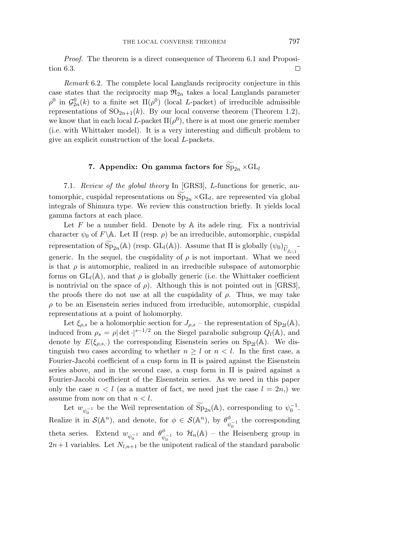Proof. The theorem is a direct consequence of Theorem 6.1 and Proposition 6.3. □

Remark 6.2. The complete local Langlands reciprocity conjecture in this case states that the reciprocity map  $\mathfrak{R}_{2n}$  takes a local Langlands parameter  $\rho^0$  in  $\mathcal{G}_{2n}^0(k)$  to a finite set  $\Pi(\rho^0)$  (local *L*-packet) of irreducible admissible representations of  $SO_{2n+1}(k)$ . By our local converse theorem (Theorem 1.2), we know that in each local *L*-packet  $\Pi(\rho^0)$ , there is at most one generic member (i.e. with Whittaker model). It is a very interesting and difficult problem to give an explicit construction of the local *L*-packets.

## **7.** Appendix: On gamma factors for  $Sp_{2n} \times GL_l$

7.1. Review of the global theory In [GRS3], *L*-functions for generic, automorphic, cuspidal representations on  $Sp_{2n} \times GL_l$ , are represented via global integrals of Shimura type. We review this construction briefly. It yields local gamma factors at each place.

Let  $F$  be a number field. Denote by  $A$  its adele ring. Fix a nontrivial character  $\psi_0$  of  $F \backslash \mathbb{A}$ . Let  $\Pi$  (resp.  $\rho$ ) be an irreducible, automorphic, cuspidal representation of  $\widetilde{\mathrm{Sp}}_{2n}(\mathbb{A})$  (resp.  $\mathrm{GL}_{l}(\mathbb{A})$ ). Assume that  $\Pi$  is globally  $(\psi_0)$  $\widetilde{U}_{\mathbb{A}:\mathbb{A}}$ <sup>-</sup> generic. In the sequel, the cuspidality of  $\rho$  is not important. What we need is that  $\rho$  is automorphic, realized in an irreducible subspace of automorphic forms on  $GL_l(\mathbb{A})$ , and that  $\rho$  is globally generic (i.e. the Whittaker coefficient is nontrivial on the space of  $\rho$ ). Although this is not pointed out in [GRS3], the proofs there do not use at all the cuspidality of  $\rho$ . Thus, we may take  $\rho$  to be an Eisenstein series induced from irreducible, automorphic, cuspidal representations at a point of holomorphy.

Let  $\xi_{\rho,s}$  be a holomorphic section for  $J_{\rho,s}$  – the representation of Sp<sub>2l</sub>(A), induced from  $\rho_s = \rho |\det|^{s-1/2}$  on the Siegel parabolic subgroup  $Q_l(A)$ , and denote by  $E(\xi_{\rho,s,\cdot})$  the corresponding Eisenstein series on  $Sp_{2l}(\mathbb{A})$ . We distinguish two cases according to whether  $n \geq l$  or  $n < l$ . In the first case, a Fourier-Jacobi coefficient of a cusp form in Π is paired against the Eisenstein series above, and in the second case, a cusp form in  $\Pi$  is paired against a Fourier-Jacobi coefficient of the Eisenstein series. As we need in this paper only the case  $n < l$  (as a matter of fact, we need just the case  $l = 2n$ .) we assume from now on that  $n < l$ .

Let  $w_{\psi_0^{-1}}$  be the Weil representation of  $\widetilde{\mathrm{Sp}}_{2n}(\mathbb{A})$ , corresponding to  $\psi_0^{-1}$ . Realize it in  $\mathcal{S}(\mathbb{A}^n)$ , and denote, for  $\phi \in \mathcal{S}(\mathbb{A}^n)$ , by  $\theta_{\psi_0^{-1}}^{\phi}$  the corresponding theta series. Extend  $w_{\psi_0^{-1}}$  and  $\theta_{\psi_0^{-1}}^{\phi}$  to  $\mathcal{H}_n(\mathbb{A})$  – the Heisenberg group in  $2n+1$  variables. Let  $N_{l,n+1}$  be the unipotent radical of the standard parabolic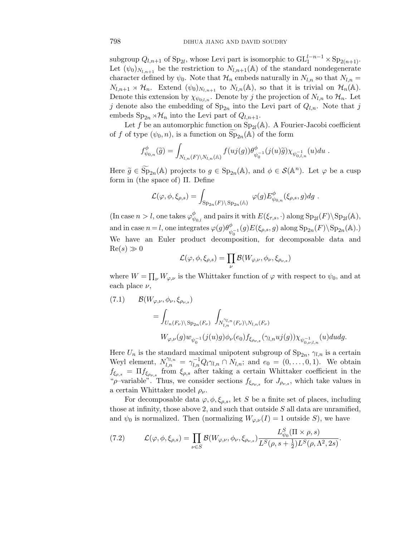subgroup  $Q_{l,n+1}$  of Sp<sub>2l</sub>, whose Levi part is isomorphic to  $\mathrm{GL}_1^{l-n-1}\times \mathrm{Sp}_{2(n+1)}$ . Let  $(\psi_0)_{N_{l,n+1}}$  be the restriction to  $N_{l,n+1}(\mathbb{A})$  of the standard nondegenerate character defined by  $\psi_0$ . Note that  $\mathcal{H}_n$  embeds naturally in  $N_{l,n}$  so that  $N_{l,n}$  =  $N_{l,n+1} \rtimes \mathcal{H}_n$ . Extend  $(\psi_0)_{N_{l,n+1}}$  to  $N_{l,n}(\mathbb{A})$ , so that it is trivial on  $\mathcal{H}_n(\mathbb{A})$ . Denote this extension by  $\chi_{\psi_{0:L,n}}$ . Denote by *j* the projection of  $N_{l,n}$  to  $\mathcal{H}_n$ . Let *j* denote also the embedding of  $Sp_{2n}$  into the Levi part of  $Q_{l,n}$ . Note that *j* embeds  $\text{Sp}_{2n} \rtimes \mathcal{H}_n$  into the Levi part of  $Q_{l,n+1}$ .

Let f be an automorphic function on  $Sp_{2l}(A)$ . A Fourier-Jacobi coefficient of *f* of type  $(\psi_0, n)$ , is a function on  $\widetilde{\mathrm{Sp}}_{2n}(\mathbb{A})$  of the form

$$
f^{\phi}_{\psi_{0,n}}(\tilde{g}) = \int_{N_{l,n}(F)\backslash N_{l,n}(\mathbb{A})} f(uj(g)) \theta^{\phi}_{\psi_0^{-1}}(j(u)\tilde{g}) \chi_{\psi_{0,l,n}^{-1}}(u) du.
$$

Here  $\widetilde{g} \in \widetilde{\mathrm{Sp}}_{2n}(\mathbb{A})$  projects to  $g \in \mathrm{Sp}_{2n}(\mathbb{A})$ , and  $\phi \in \mathcal{S}(\mathbb{A}^n)$ . Let  $\varphi$  be a cusp form in (the space of) Π. Define

$$
\mathcal{L}(\varphi,\phi,\xi_{\rho,s})=\int_{\mathrm{Sp}_{2n}(F)\backslash \mathrm{Sp}_{2n}(\mathbb{A})}\ \varphi(g)E^{\phi}_{\psi_{0,n}}(\xi_{\rho,s},g)dg\ .
$$

(In case  $n > l$ , one takes  $\varphi_{\psi_{0,l}}^{\phi}$  and pairs it with  $E(\xi_{\tau,s},\cdot)$  along  $Sp_{2l}(F)\backslash Sp_{2l}(A)$ , and in case  $n = l$ , one integrates  $\varphi(g)\theta_{\psi_0^{-1}}^{\phi}(g)E(\xi_{\rho,s},g)$  along  $Sp_{2n}(F)\backslash Sp_{2n}(\mathbb{A})$ .) We have an Euler product decomposition, for decomposable data and  $Re(s) \gg 0$ 

$$
\mathcal{L}(\varphi,\phi,\xi_{\rho,s})=\prod_{\nu}\mathcal{B}(W_{\varphi,\nu},\phi_{\nu},\xi_{\rho_{\nu,s}})
$$

where  $W = \prod_{\nu} W_{\varphi,\nu}$  is the Whittaker function of  $\varphi$  with respect to  $\psi_0$ , and at each place *ν*,

(7.1) 
$$
\mathcal{B}(W_{\varphi,\nu}, \phi_{\nu}, \xi_{\rho_{\nu,s}})
$$
  
= 
$$
\int_{U_n(F_{\nu}) \backslash Sp_{2n}(F_{\nu})} \int_{N_{l,n}^{\gamma_{l,n}}(F_{\nu}) \backslash N_{l,n}(F_{\nu})} \psi_{\varphi_{\nu}}(\phi) \psi_{\varphi_{\nu,s}}(\gamma_{l,n} u_j(g)) \chi_{\psi_{0,\nu;l,n}}(u) du dg.
$$

Here  $U_n$  is the standard maximal unipotent subgroup of  $Sp_{2n}$ ,  $\gamma_{l,n}$  is a certain Weyl element,  $N_{l,n}^{\gamma_{l,n}} = \gamma_{l,n}^{-1} Q_l \gamma_{l,n} \cap N_{l,n}$ ; and  $e_0 = (0,\ldots,0,1)$ . We obtain  $f_{\xi_{\rho,s}} = \Pi f_{\xi_{\rho\nu}}$  from  $\xi_{\rho,s}$  after taking a certain Whittaker coefficient in the " $\rho$ -variable". Thus, we consider sections  $f_{\xi_{\rho_{\nu,s}}}$  for  $J_{\rho_{\nu,s}}$ , which take values in a certain Whittaker model *ρ*ν.

For decomposable data  $\varphi, \phi, \xi_{\rho,s}$ , let *S* be a finite set of places, including those at infinity, those above 2, and such that outside *S* all data are unramified, and  $\psi_0$  is normalized. Then (normalizing  $W_{\varphi,\nu}(I) = 1$  outside *S*), we have

*.*

(7.2) 
$$
\mathcal{L}(\varphi,\phi,\xi_{\rho,s}) = \prod_{\nu \in S} \mathcal{B}(W_{\varphi,\nu},\phi_{\nu},\xi_{\rho_{\nu,s}}) \frac{L_{\psi_0}^S(\Pi \times \rho, s)}{L^S(\rho, s + \frac{1}{2})L^S(\rho, \Lambda^2, 2s)}
$$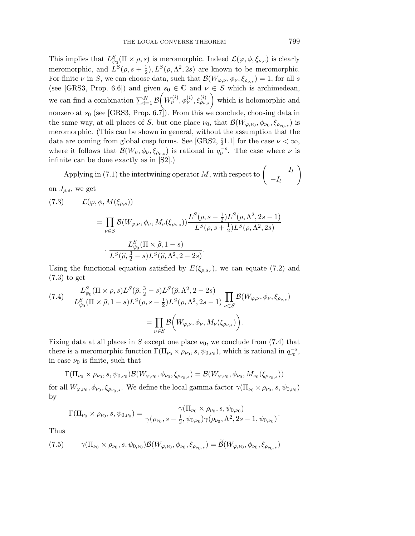This implies that  $L^S_{\psi_0}(\Pi \times \rho, s)$  is meromorphic. Indeed  $\mathcal{L}(\varphi, \phi, \xi_{\rho, s})$  is clearly meromorphic, and  $L^S(\rho, s + \frac{1}{2}), L^S(\rho, \Lambda^2, 2s)$  are known to be meromorphic. For finite  $\nu$  in *S*, we can choose data, such that  $\mathcal{B}(W_{\varphi,\nu}, \phi_{\nu}, \xi_{\rho_{\nu,s}}) = 1$ , for all *s* (see [GRS3, Prop. 6.6]) and given  $s_0 \in \mathbb{C}$  and  $\nu \in S$  which is archimedean, we can find a combination  $\sum_{i=1}^{N} \mathcal{B}\left(W^{(i)}_{\nu}, \phi^{(i)}_{\nu}, \xi^{(i)}_{\rho_{\nu,s}}\right)$  which is holomorphic and nonzero at *s*<sup>0</sup> (see [GRS3, Prop. 6.7]). From this we conclude, choosing data in the same way, at all places of *S*, but one place  $\nu_0$ , that  $\mathcal{B}(W_{\varphi,\nu_0}, \phi_{\nu_0}, \xi_{\rho_{\nu_0,s}})$  is meromorphic. (This can be shown in general, without the assumption that the data are coming from global cusp forms. See [GRS2, §1.1] for the case  $\nu < \infty$ , where it follows that  $\mathcal{B}(W_\nu, \phi_\nu, \xi_{\rho_{\nu,s}})$  is rational in  $q_\nu^{-s}$ . The case where  $\nu$  is infinite can be done exactly as in [S2].)

Applying in (7.1) the intertwining operator M, with respect to  $\begin{pmatrix} I_l \ I_l \end{pmatrix}$  $-I<sub>l</sub>$  $\setminus$ on *J*ρ,s, we get

(7.3) 
$$
\mathcal{L}(\varphi, \phi, M(\xi_{\rho,s})) = \prod_{\nu \in S} \mathcal{B}(W_{\varphi,\nu}, \phi_{\nu}, M_{\nu}(\xi_{\rho_{\nu,s}})) \frac{L^S(\rho, s - \frac{1}{2})L^S(\rho, \Lambda^2, 2s - 1)}{L^S(\rho, s + \frac{1}{2})L^S(\rho, \Lambda^2, 2s)} \cdot \frac{L^S_{\psi_0}(\Pi \times \hat{\rho}, 1 - s)}{L^S(\hat{\rho}, \frac{3}{2} - s)L^S(\hat{\rho}, \Lambda^2, 2 - 2s)}.
$$

Using the functional equation satisfied by  $E(\xi_{\rho,s,\cdot})$ , we can equate (7.2) and (7.3) to get

(7.4) 
$$
\frac{L_{\psi_0}^S(\Pi \times \rho, s) L^S(\hat{\rho}, \frac{3}{2} - s) L^S(\hat{\rho}, \Lambda^2, 2 - 2s)}{L_{\psi_0}^S(\Pi \times \hat{\rho}, 1 - s) L^S(\rho, s - \frac{1}{2}) L^S(\rho, \Lambda^2, 2s - 1)} \prod_{\nu \in S} \mathcal{B}(W_{\varphi, \nu}, \phi_{\nu}, \xi_{\rho_{\nu, s}})
$$

$$
= \prod_{\nu \in S} \mathcal{B}\Big(W_{\varphi, \nu}, \phi_{\nu}, M_{\nu}(\xi_{\rho_{\nu, s}})\Big).
$$

Fixing data at all places in *S* except one place  $\nu_0$ , we conclude from (7.4) that there is a meromorphic function  $\Gamma(\Pi_{\nu_0} \times \rho_{\nu_0}, s, \psi_{0, \nu_0})$ , which is rational in  $q_{\nu_0}^{-s}$ , in case  $\nu_0$  is finite, such that

$$
\Gamma(\Pi_{\nu_0} \times \rho_{\nu_0}, s, \psi_{0,\nu_0}) \mathcal{B}(W_{\varphi,\nu_0}, \phi_{\nu_0}, \xi_{\rho_{\nu_0,s}}) = \mathcal{B}(W_{\varphi,\nu_0}, \phi_{\nu_0}, M_{\nu_0}(\xi_{\rho_{\nu_0,s}}))
$$

for all  $W_{\varphi,\nu_0}, \phi_{\nu_0}, \xi_{\rho_{\nu_0,s}}$ . We define the local gamma factor  $\gamma(\Pi_{\nu_0} \times \rho_{\nu_0}, s, \psi_{0,\nu_0})$ by

$$
\Gamma(\Pi_{\nu_0} \times \rho_{\nu_0}, s, \psi_{0,\nu_0}) = \frac{\gamma(\Pi_{\nu_0} \times \rho_{\nu_0}, s, \psi_{0,\nu_0})}{\gamma(\rho_{\nu_0}, s - \frac{1}{2}, \psi_{0,\nu_0})\gamma(\rho_{\nu_0}, \Lambda^2, 2s - 1, \psi_{0,\nu_0})}.
$$

Thus

$$
(7.5) \qquad \gamma(\Pi_{\nu_0} \times \rho_{\nu_0}, s, \psi_{0,\nu_0}) \mathcal{B}(W_{\varphi,\nu_0}, \phi_{\nu_0}, \xi_{\rho_{\nu_0},s}) = \widetilde{\mathcal{B}}(W_{\varphi,\nu_0}, \phi_{\nu_0}, \xi_{\rho_{\nu_0},s})
$$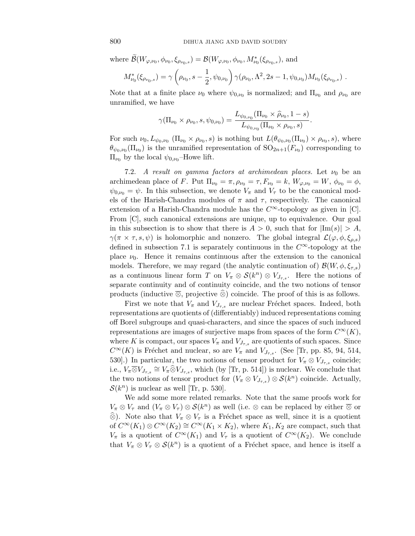where  $\mathcal{B}(W_{\varphi,\nu_0}, \phi_{\nu_0}, \xi_{\rho_{\nu_0,s}}) = \mathcal{B}(W_{\varphi,\nu_0}, \phi_{\nu_0}, M^*_{\nu_0}(\xi_{\rho_{\nu_0,s}})$ , and

$$
M^*_{\nu_0}(\xi_{\rho_{\nu_0,s}}) = \gamma\left(\rho_{\nu_0}, s - \frac{1}{2}, \psi_{0,\nu_0}\right) \gamma(\rho_{\nu_0}, \Lambda^2, 2s - 1, \psi_{0,\nu_0}) M_{\nu_0}(\xi_{\rho_{\nu_0,s}}) .
$$

Note that at a finite place  $\nu_0$  where  $\psi_{0,\nu_0}$  is normalized; and  $\Pi_{\nu_0}$  and  $\rho_{\nu_0}$  are unramified, we have

$$
\gamma(\Pi_{\nu_0} \times \rho_{\nu_0}, s, \psi_{0, \nu_0}) = \frac{L_{\psi_{0, \nu_0}}(\Pi_{\nu_0} \times \widehat{\rho}_{\nu_0}, 1-s)}{L_{\psi_{0, \nu_0}}(\Pi_{\nu_0} \times \rho_{\nu_0}, s)}.
$$

For such  $\nu_0, L_{\psi_0, \nu_0} (\Pi_{\nu_0} \times \rho_{\nu_0}, s)$  is nothing but  $L(\theta_{\psi_0, \nu_0} (\Pi_{\nu_0}) \times \rho_{\nu_0}, s)$ , where  $\theta_{\psi_0,\nu_0}(\Pi_{\nu_0})$  is the unramified representation of  $SO_{2n+1}(F_{\nu_0})$  corresponding to  $\Pi_{\nu_0}$  by the local  $\psi_{0,\nu_0}$ -Howe lift.

7.2. A result on gamma factors at archimedean places. Let  $\nu_0$  be an archimedean place of *F*. Put  $\Pi_{\nu_0} = \pi, \rho_{\nu_0} = \tau, F_{\nu_0} = k, W_{\varphi, \nu_0} = W, \phi_{\nu_0} = \phi,$  $\psi_{0,\nu_0} = \psi$ . In this subsection, we denote  $V_\pi$  and  $V_\tau$  to be the canonical models of the Harish-Chandra modules of  $\pi$  and  $\tau$ , respectively. The canonical extension of a Harish-Chandra module has the  $C^{\infty}$ -topology as given in [C]. From [C], such canonical extensions are unique, up to equivalence. Our goal in this subsection is to show that there is  $A > 0$ , such that for  $|\text{Im}(s)| > A$ , *γ*(*π* × *τ, s, ψ*) is holomorphic and nonzero. The global integral  $\mathcal{L}(\varphi, \phi, \xi_{\rho,s})$ defined in subsection 7.1 is separately continuous in the *C*∞-topology at the place  $\nu_0$ . Hence it remains continuous after the extension to the canonical models. Therefore, we may regard (the analytic continuation of)  $\mathcal{B}(W, \phi, \xi_{\tau,s})$ as a continuous linear form *T* on  $V_\pi \otimes \mathcal{S}(k^n) \otimes V_{J_\tau s}$ . Here the notions of separate continuity and of continuity coincide, and the two notions of tensor products (inductive  $\overline{\otimes}$ , projective  $\hat{\otimes}$ ) coincide. The proof of this is as follows.

First we note that  $V_{\pi}$  and  $V_{J_{\tau,s}}$  are nuclear Fréchet spaces. Indeed, both representations are quotients of (differentiably) induced representations coming off Borel subgroups and quasi-characters, and since the spaces of such induced representations are images of surjective maps from spaces of the form  $C^{\infty}(K)$ , where *K* is compact, our spaces  $V_{\pi}$  and  $V_{J_{\tau,s}}$  are quotients of such spaces. Since  $C^{\infty}(K)$  is Fréchet and nuclear, so are  $V_{\pi}$  and  $V_{J_{\tau,s}}$ . (See [Tr, pp. 85, 94, 514, 530].) In particular, the two notions of tensor product for  $V_{\pi} \otimes V_{J_{\tau,s}}$  coincide; i.e.,  $V_{\pi} \overline{\otimes} V_{J_{\tau,s}} \cong V_{\pi} \widehat{\otimes} V_{J_{\tau,s}}$ , which (by [Tr, p. 514]) is nuclear. We conclude that the two notions of tensor product for  $(V_\pi \otimes V_{J_{\tau,s}}) \otimes S(k^n)$  coincide. Actually,  $\mathcal{S}(k^n)$  is nuclear as well [Tr, p. 530].

We add some more related remarks. Note that the same proofs work for  $V_{\pi} \otimes V_{\tau}$  and  $(V_{\pi} \otimes V_{\tau}) \otimes S(k^n)$  as well (i.e.  $\otimes$  can be replaced by either  $\overline{\otimes}$  or  $\widehat{\otimes}$ ). Note also that  $V_{\pi} \otimes V_{\tau}$  is a Fréchet space as well, since it is a quotient of  $C^{\infty}(K_1) \otimes C^{\infty}(K_2) \cong C^{\infty}(K_1 \times K_2)$ , where  $K_1, K_2$  are compact, such that *V*<sup>π</sup> is a quotient of  $C^{\infty}(K_1)$  and *V*<sub>τ</sub> is a quotient of  $C^{\infty}(K_2)$ . We conclude that  $V_{\pi} \otimes V_{\tau} \otimes \mathcal{S}(k^n)$  is a quotient of a Fréchet space, and hence is itself a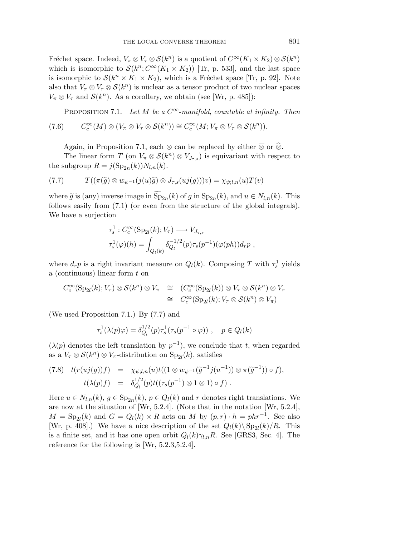Fréchet space. Indeed,  $V_\pi \otimes V_\tau \otimes \mathcal{S}(k^n)$  is a quotient of  $C^\infty(K_1 \times K_2) \otimes \mathcal{S}(k^n)$ which is isomorphic to  $\mathcal{S}(k^n; C^\infty(K_1 \times K_2))$  [Tr, p. 533], and the last space is isomorphic to  $\mathcal{S}(k^n \times K_1 \times K_2)$ , which is a Fréchet space [Tr, p. 92]. Note also that  $V_{\pi} \otimes V_{\tau} \otimes \mathcal{S}(k^n)$  is nuclear as a tensor product of two nuclear spaces  $V_{\pi} \otimes V_{\tau}$  and  $\mathcal{S}(k^n)$ . As a corollary, we obtain (see [Wr, p. 485]):

PROPOSITION 7.1. Let *M* be a  $C^{\infty}$ -manifold, countable at infinity. Then

$$
(7.6) \qquad C_c^{\infty}(M)\otimes (V_{\pi}\otimes V_{\tau}\otimes \mathcal{S}(k^n))\cong C_c^{\infty}(M;V_{\pi}\otimes V_{\tau}\otimes \mathcal{S}(k^n)).
$$

Again, in Proposition 7.1, each  $\otimes$  can be replaced by either  $\overline{\otimes}$  or  $\widehat{\otimes}$ .

The linear form *T* (on  $V_{\pi} \otimes S(k^n) \otimes V_{J_{\tau,s}}$ ) is equivariant with respect to the subgroup  $R = j(\mathrm{Sp}_{2n}(k))N_{l,n}(k)$ .

(7.7) 
$$
T((\pi(\widetilde{g}) \otimes w_{\psi^{-1}}(j(u)\widetilde{g}) \otimes J_{\tau,s}(uj(g)))v) = \chi_{\psi;l,n}(u)T(v)
$$

where  $\tilde{g}$  is (any) inverse image in  $\text{Sp}_{2n}(k)$  of *g* in  $\text{Sp}_{2n}(k)$ , and  $u \in N_{l,n}(k)$ . This follows easily from (7.1) (or even from the structure of the global integrals). We have a surjection

$$
\tau_s^1 : C_c^{\infty}(\text{Sp}_{2l}(k); V_\tau) \longrightarrow V_{J_{\tau,s}} \tau_s^1(\varphi)(h) = \int_{Q_l(k)} \delta_{Q_l}^{-1/2}(p) \tau_s(p^{-1})(\varphi(ph)) d_r p ,
$$

where  $d_r p$  is a right invariant measure on  $Q_l(k)$ . Composing *T* with  $\tau_s^1$  yields a (continuous) linear form *t* on

$$
C_c^{\infty}(\mathrm{Sp}_{2l}(k); V_{\tau}) \otimes \mathcal{S}(k^n) \otimes V_{\pi} \cong (C_c^{\infty}(\mathrm{Sp}_{2l}(k)) \otimes V_{\tau} \otimes \mathcal{S}(k^n) \otimes V_{\pi}
$$
  

$$
\cong C_c^{\infty}(\mathrm{Sp}_{2l}(k); V_{\tau} \otimes \mathcal{S}(k^n) \otimes V_{\pi})
$$

(We used Proposition 7*.*1.) By (7.7) and

$$
\tau_s^1(\lambda(p)\varphi) = \delta_{Q_l}^{1/2}(p)\tau_s^1(\tau_s(p^{-1}\circ\varphi)), \quad p \in Q_l(k)
$$

 $(\lambda(p)$  denotes the left translation by  $p^{-1}$ ), we conclude that *t*, when regarded as a  $V_\tau \otimes \mathcal{S}(k^n) \otimes V_\pi$ -distribution on Sp<sub>2l</sub>(k), satisfies

$$
(7.8) \t t(r(uj(g))f) = \chi_{\psi;l,n}(u)t((1 \otimes w_{\psi^{-1}}(\tilde{g}^{-1}j(u^{-1})) \otimes \pi(\tilde{g}^{-1})) \circ f),
$$
  

$$
t(\lambda(p)f) = \delta_{Q_l}^{1/2}(p)t((\tau_s(p^{-1}) \otimes 1 \otimes 1) \circ f).
$$

Here  $u \in N_{l,n}(k)$ ,  $g \in \text{Sp}_{2n}(k)$ ,  $p \in Q_l(k)$  and  $r$  denotes right translations. We are now at the situation of [Wr, 5.2.4]. (Note that in the notation [Wr, 5.2.4],  $M = Sp_{2l}(k)$  and  $G = Q_l(k) \times R$  acts on *M* by  $(p, r) \cdot h = phr^{-1}$ . See also [Wr, p. 408].) We have a nice description of the set  $Q_l(k) \text{Sp}_{2l}(k)/R$ . This is a finite set, and it has one open orbit  $Q_l(k)\gamma_{l,n}R$ . See [GRS3, Sec. 4]. The reference for the following is [Wr, 5.2.3,5.2.4].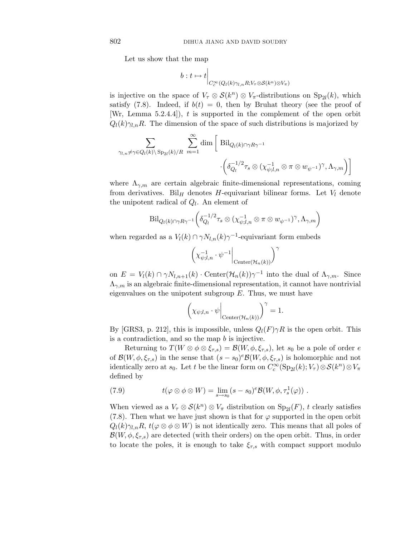Let us show that the map

$$
b: t \mapsto t \Big|_{C_c^{\infty}(Q_l(k)\gamma_{l,n}R; V_\tau \otimes \mathcal{S}(k^n) \otimes V_\pi)}
$$

is injective on the space of  $V_\tau \otimes \mathcal{S}(k^n) \otimes V_\tau$ -distributions on Sp<sub>2l</sub>(*k*), which satisfy  $(7.8)$ . Indeed, if  $b(t) = 0$ , then by Bruhat theory (see the proof of [Wr, Lemma 5.2.4.4]), *t* is supported in the complement of the open orbit  $Q_l(k)\gamma_{l,n}R$ . The dimension of the space of such distributions is majorized by

$$
\sum_{\gamma_{l,n}\neq\gamma\in Q_{l}(k)\backslash\text{Sp}_{2l}(k)/R} \sum_{m=1}^{\infty} \dim\left[\text{ Bil}_{Q_{l}(k)\cap\gamma R\gamma^{-1}}\right] \cdot \left(\delta_{Q_{l}}^{-1/2}\tau_{s}\otimes(\chi_{\psi;l,n}^{-1}\otimes\pi\otimes w_{\psi^{-1}})^{\gamma},\Lambda_{\gamma,m}\right)\right]
$$

where  $\Lambda_{\gamma,m}$  are certain algebraic finite-dimensional representations, coming from derivatives. Bil<sub>H</sub> denotes H-equivariant bilinear forms. Let  $V_l$  denote the unipotent radical of  $Q_l$ . An element of

$$
\text{Bil}_{Q_{l}(k)\cap\gamma R\gamma^{-1}}\bigg(\delta_{Q_{l}}^{-1/2}\tau_{s}\otimes(\chi_{\psi;l,n}^{-1}\otimes\pi\otimes w_{\psi^{-1}})^{\gamma},\Lambda_{\gamma,m}\bigg)
$$

when regarded as a  $V_l(k) \cap \gamma N_{l,n}(k) \gamma^{-1}$ -equivariant form embeds

$$
\left(\chi_{\psi;l,n}^{-1} \cdot \psi^{-1}\bigg|_{\text{Center}(\mathcal{H}_n(k))}\right)^\gamma
$$

on  $E = V_l(k) \cap \gamma N_{l,n+1}(k) \cdot \text{Center}(\mathcal{H}_n(k))\gamma^{-1}$  into the dual of  $\Lambda_{\gamma,m}$ . Since  $\Lambda_{\gamma,m}$  is an algebraic finite-dimensional representation, it cannot have nontrivial eigenvalues on the unipotent subgroup *E*. Thus, we must have

$$
\left(\chi_{\psi;l,n}\cdot\psi\bigg|_{\text{Center}(\mathcal{H}_n(k))}\right)^\gamma=1.
$$

By [GRS3, p. 212], this is impossible, unless  $Q_l(F)\gamma R$  is the open orbit. This is a contradiction, and so the map *b* is injective.

Returning to  $T(W \otimes \phi \otimes \xi_{\tau,s}) = \mathcal{B}(W, \phi, \xi_{\tau,s})$ , let  $s_0$  be a pole of order *e* of  $\mathcal{B}(W, \phi, \xi_{\tau,s})$  in the sense that  $(s - s_0)^e \mathcal{B}(W, \phi, \xi_{\tau,s})$  is holomorphic and not identically zero at  $s_0$ . Let *t* be the linear form on  $C_c^{\infty}(\text{Sp}_{2l}(k); V_\tau) \otimes \mathcal{S}(k^n) \otimes V_\pi$ defined by

(7.9) 
$$
t(\varphi \otimes \phi \otimes W) = \lim_{s \to s_0} (s - s_0)^e \mathcal{B}(W, \phi, \tau_s^1(\varphi)) .
$$

When viewed as a  $V_\tau \otimes \mathcal{S}(k^n) \otimes V_\pi$  distribution on  $\text{Sp}_{2l}(F)$ , *t* clearly satisfies (7.8). Then what we have just shown is that for  $\varphi$  supported in the open orbit  $Q_l(k)\gamma_{l,n}R$ ,  $t(\varphi \otimes \varphi \otimes W)$  is not identically zero. This means that all poles of  $\mathcal{B}(W, \phi, \xi_{\tau,s})$  are detected (with their orders) on the open orbit. Thus, in order to locate the poles, it is enough to take  $\xi_{\tau,s}$  with compact support modulo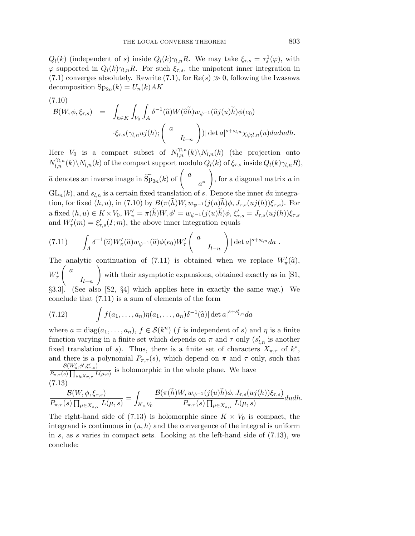*Q*l(*k*) (independent of *s*) inside  $Q_l(k)\gamma_{l,n}R$ . We may take  $\xi_{\tau,s} = \tau_s^1(\varphi)$ , with  $\varphi$  supported in  $Q_l(k)\gamma_{l,n}R$ . For such  $\xi_{\tau,s}$ , the unipotent inner integration in (7.1) converges absolutely. Rewrite (7.1), for  $\text{Re}(s) \gg 0$ , following the Iwasawa decomposition  $Sp_{2n}(k) = U_n(k)AK$ 

(7.10)  
\n
$$
\mathcal{B}(W,\phi,\xi_{\tau,s}) = \int_{h\in K} \int_{V_0} \int_A \delta^{-1}(\widehat{a}) W(\widehat{a}\widetilde{h}) w_{\psi^{-1}}(\widehat{a}j(u)\widetilde{h}) \phi(e_0)
$$
\n
$$
\cdot \xi_{\tau,s}(\gamma_{l,n}uj(h); \begin{pmatrix} a \\ I_{l-n} \end{pmatrix}) |\det a|^{s+s_{l,n}} \chi_{\psi;l,n}(u) dadudh.
$$

Here  $V_0$  is a compact subset of  $N_{l,n}^{\gamma_{l,n}}(k)\setminus N_{l,n}(k)$  (the projection onto  $N_{l,n}^{\gamma_{l,n}}(k)\backslash N_{l,n}(k)$  of the compact support modulo  $Q_l(k)$  of  $\xi_{\tau,s}$  inside  $Q_l(k)\gamma_{l,n}R$ ),  $\widehat{a}$  denotes an inverse image in  $\widetilde{\mathrm{Sp}}_{2n}(k)$  of  $\left( \begin{array}{c} a \end{array} \right)$ *a*∗  $\setminus$ , for a diagonal matrix *a* in  $GL_n(k)$ , and  $s_{l,n}$  is a certain fixed translation of *s*. Denote the inner *da* integration, for fixed  $(h, u)$ , in (7.10) by  $B(\pi(h)W, w_{\psi^{-1}}(j(u)h)\phi, J_{\tau,s}(uj(h))\xi_{\tau,s})$ . For  $a \text{ fixed } (h, u) \in K \times V_0, W'_\pi = \pi(h)W, \phi' = w_{\psi^{-1}}(j(u)h)\phi, \xi'_{\tau,s} = J_{\tau,s}(uj(h))\xi_{\tau,s}$ and  $W'_{\tau}(m) = \xi'_{\tau,s}(I;m)$ , the above inner integration equals

$$
(7.11) \qquad \int_A \delta^{-1}(\widehat{a}) W'_{\pi}(\widehat{a}) w_{\psi^{-1}}(\widehat{a}) \phi(e_0) W'_{\tau} \begin{pmatrix} a \\ I_{l-n} \end{pmatrix} |\det a|^{s+s_{l,n}} da.
$$

The analytic continuation of (7.11) is obtained when we replace  $W'_{\pi}(\hat{a})$ ,  $W_{\tau}'$  *a I*l−<sup>n</sup>  $\setminus$ with their asymptotic expansions, obtained exactly as in [S1, §3.3]. (See also [S2, §4] which applies here in exactly the same way.) We conclude that (7.11) is a sum of elements of the form

(7.12) 
$$
\int f(a_1,\ldots,a_n)\eta(a_1,\ldots,a_n)\delta^{-1}(\widehat{a})|\det a|^{s+s'_{1,n}}da
$$

where  $a = \text{diag}(a_1, \ldots, a_n)$ ,  $f \in \mathcal{S}(k^n)$  (*f* is independent of *s*) and *η* is a finite function varying in a finite set which depends on  $\pi$  and  $\tau$  only  $(s'_{l,n}$  is another fixed translation of *s*). Thus, there is a finite set of characters  $X_{\pi,\tau}$  of  $k^*$ , and there is a polynomial  $P_{\pi,\tau}(s)$ , which depend on  $\pi$  and  $\tau$  only, such that  $\mathcal{B}(W_\pi',\phi',\xi_{\tau,s}')$  $\frac{D(W_{\pi}, \varphi, \varsigma_{\tau,s})}{P_{\pi,\tau}(s)\prod_{\mu\in X_{\pi,\tau}}L(\mu,s)}$  is holomorphic in the whole plane. We have (7.13)

$$
\frac{\mathcal{B}(W,\phi,\xi_{\tau,s})}{P_{\pi,\tau}(s)\prod_{\mu\in X_{\pi,\tau}}L(\mu,s)}=\int_{K\times V_0}\frac{\mathcal{B}(\pi(\widetilde{h})W,w_{\psi^{-1}}(j(u)\widetilde{h})\phi,J_{\tau,s}(uj(h))\xi_{\tau,s})}{P_{\pi,\tau}(s)\prod_{\mu\in X_{\pi,\tau}}L(\mu,s)}dudh.
$$

The right-hand side of (7.13) is holomorphic since  $K \times V_0$  is compact, the integrand is continuous in  $(u, h)$  and the convergence of the integral is uniform in *s*, as *s* varies in compact sets. Looking at the left-hand side of (7.13), we conclude: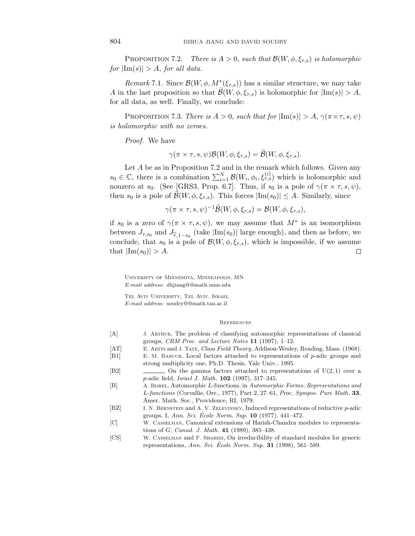PROPOSITION 7.2. There is  $A > 0$ , such that  $\mathcal{B}(W, \phi, \xi_{\tau,s})$  is holomorphic for  $|\text{Im}(s)| > A$ , for all data.

Remark 7.1. Since  $\mathcal{B}(W, \phi, M^*(\xi_{\tau,s}))$  has a similar structure, we may take *A* in the last proposition so that  $\mathcal{B}(W, \phi, \xi_{\tau,s})$  is holomorphic for  $|\text{Im}(s)| > A$ , for all data, as well. Finally, we conclude:

PROPOSITION 7.3. There is  $A > 0$ , such that for  $|\text{Im}(s)| > A$ ,  $\gamma(\pi \times \tau, s, \psi)$ is holomorphic with no zeroes.

Proof. We have

$$
\gamma(\pi \times \tau, s, \psi) \mathcal{B}(W, \phi, \xi_{\tau, s}) = \mathcal{B}(W, \phi, \xi_{\tau, s}).
$$

Let *A* be as in Proposition 7*.*2 and in the remark which follows. Given any  $s_0 \in \mathbb{C}$ , there is a combination  $\sum_{i=1}^N \mathcal{B}(W_i, \phi_i, \xi_{\tau,s}^{(i)})$  which is holomorphic and nonzero at  $s_0$ . (See [GRS3, Prop. 6.7]. Thus, if  $s_0$  is a pole of  $\gamma(\pi \times \tau, s, \psi)$ , then  $s_0$  is a pole of  $\mathcal{B}(W, \phi, \xi_{\tau,s})$ . This forces  $|\text{Im}(s_0)| \leq A$ . Similarly, since

$$
\gamma(\pi \times \tau, s, \psi)^{-1} \widetilde{\mathcal{B}}(W, \phi, \xi_{\tau, s}) = \mathcal{B}(W, \phi, \xi_{\tau, s}),
$$

if  $s_0$  is a zero of  $\gamma(\pi \times \tau, s, \psi)$ , we may assume that  $M^*$  is an isomorphism between  $J_{\tau,s_0}$  and  $J_{\hat{\tau},1-s_0}$  (take  $|\text{Im}(s_0)|$  large enough), and then as before, we conclude, that  $s_0$  is a pole of  $\mathcal{B}(W, \phi, \xi_{\tau,s})$ , which is impossible, if we assume that  $|\text{Im}(s_0)| > A$ .  $\Box$ 

University of Minnesota, Minneapolis, MN *E-mail address*: dhjiang@@math.umn.edu

Tel Aviv University, Tel Aviv, Israel *E-mail address*: soudry@@math.tau.ac.il

#### **REFERENCES**

- [A] J. Arthur, The problem of classifying automorphic representations of classical groups, *CRM Proc. and Lecture Notes* **11** (1997), 1–12.
- [AT] E. Artin and J. Tate, *Class Field Theory*, Addison-Wesley, Reading, Mass. (1968).
- [B1] E. M. Baruch, Local factors attached to representations of *p*-adic groups and strong multiplicity one, Ph.D. Thesis, Yale Univ., 1995.
- $[2]$  , On the gamma factors attached to representations of  $U(2,1)$  over a *p*-adic field, *Israel J. Math*. **102** (1997), 317–345.
- [B] A. Borel, Automorphic *L*-functions, in *Automorphic Forms*, *Representations and L-functions* (Corvallis, Ore., 1977), Part 2, 27–61, *Proc. Sympos. Pure Math*. **33**, Amer. Math. Soc., Providence, RI, 1979.
- [BZ] I. N. Bernstein and A. V. Zelevinsky, Induced representations of reductive *p*-adic groups. I, *Ann. Sci. Ecole Norm. Sup.* **10** (1977), 441–472.
- [C] W. Casselman, Canonical extensions of Harish-Chandra modules to representations of *G*, *Canad. J. Math*. **41** (1989), 385–438.
- [CS] W. Casselman and F. Shahidi, On irreducibility of standard modules for generic representations, *Ann. Sci. Ecole Norm. Sup.* **31** (1998), 561–589.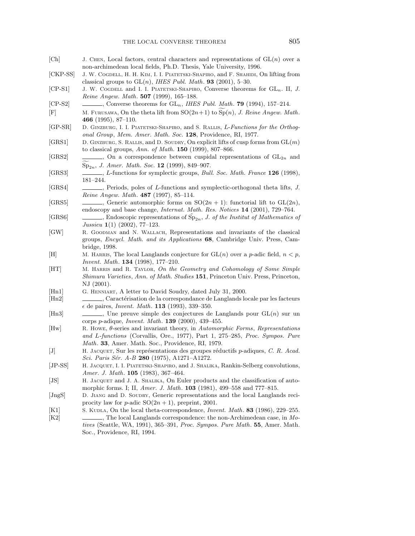| [Ch]            | J. CHEN, Local factors, central characters and representations of $GL(n)$ over a                                                                                       |
|-----------------|------------------------------------------------------------------------------------------------------------------------------------------------------------------------|
| $[CHP-SS]$      | non-archimedean local fields, Ph.D. Thesis, Yale University, 1996.<br>J. W. COGDELL, H. H. KIM, I. I. PIATETSKI-SHAPIRO, and F. SHAHIDI, On lifting from               |
|                 | classical groups to $GL(n)$ , <i>IHES Publ. Math.</i> <b>93</b> (2001), 5-30.                                                                                          |
| $[CP-S1]$       | J. W. COGDELL and I. I. PIATETSKI-SHAPIRO, Converse theorems for $GL_n$ . II, J.                                                                                       |
|                 | Reine Angew. Math. 507 (1999), 165-188.                                                                                                                                |
| $[CP-S2]$       | $\_,$ Converse theorems for GL <sub>n</sub> , IHES Publ. Math. <b>79</b> (1994), 157-214.                                                                              |
| F               | M. FURUSAWA, On the theta lift from $SO(2n+1)$ to $Sp(n)$ , J. Reine Angew. Math.                                                                                      |
|                 | 466 (1995), 87–110.<br>D. GINZBURG, I. I. PIATETSKI-SHAPIRO, and S. RALLIS, L-Functions for the Orthog-                                                                |
| $[GP-SR]$       | onal Group, Mem. Amer. Math. Soc. 128, Providence, RI, 1977.                                                                                                           |
| [GRS1]          | D. GINZBURG, S. RALLIS, and D. SOUDRY, On explicit lifts of cusp forms from $GL(m)$                                                                                    |
|                 | to classical groups, Ann. of Math. $150$ (1999), 807-866.                                                                                                              |
| [GRS2]          | $\qquad \qquad$ , On a correspondence between cuspidal representations of $GL_{2n}$ and                                                                                |
|                 | $Sp_{2n}$ , J. Amer. Math. Soc. 12 (1999), 849-907.                                                                                                                    |
| [GRS3]          | <i>L</i> -functions for symplectic groups, <i>Bull. Soc. Math. France</i> 126 (1998),                                                                                  |
| [GRS4]          | $181 - 244.$                                                                                                                                                           |
|                 | Reine Angew. Math. 487 (1997), 85-114.                                                                                                                                 |
| [GRS5]          | , Generic automorphic forms on $SO(2n + 1)$ : functorial lift to $GL(2n)$ ,                                                                                            |
|                 | endoscopy and base change, <i>Internat. Math. Res. Notices</i> 14 (2001), 729-764.                                                                                     |
| [GRS6]          | $\frac{1}{1}$ , Endoscopic representations of Sp <sub>2n</sub> , <i>J. of the Institut of Mathematics of</i>                                                           |
| [GW]            | Jussieu $1(1)$ (2002), 77–123.                                                                                                                                         |
|                 | R. GOODMAN and N. WALLACH, Representations and invariants of the classical<br>groups, Encycl. Math. and its Applications 68, Cambridge Univ. Press, Cam-               |
|                 | bridge, 1998.                                                                                                                                                          |
| [H]             | M. HARRIS, The local Langlands conjecture for $GL(n)$ over a <i>p</i> -adic field, $n < p$ ,                                                                           |
|                 | <i>Invent. Math.</i> <b>134</b> (1998), 177-210.                                                                                                                       |
| [HT]            | M. HARRIS and R. TAYLOR, On the Geometry and Cohomology of Some Simple                                                                                                 |
|                 | Shimura Varieties, Ann. of Math. Studies 151, Princeton Univ. Press, Princeton,<br>NJ (2001).                                                                          |
| Hn1             | G. HENNIART, A letter to David Soudry, dated July 31, 2000.                                                                                                            |
| Hn2             | Caractérisation de la correspondance de Langlands locale par les facteurs,                                                                                             |
|                 | $\epsilon$ de paires, <i>Invent. Math.</i> <b>113</b> (1993), 339-350.                                                                                                 |
| [Hn3]           | $\qquad \qquad$ , Une preuve simple des conjectures de Langlands pour $GL(n)$ sur un                                                                                   |
|                 | corps <i>p</i> -adique, <i>Invent. Math.</i> <b>139</b> (2000), 439-455.                                                                                               |
| $[\mathrm{Hw}]$ | R. Howe, $\theta$ -series and invariant theory, in Automorphic Forms, Representations<br>and L-functions (Corvallis, Ore., 1977), Part 1, 275-285, Proc. Sympos. Pure  |
|                 | Math. 33, Amer. Math. Soc., Providence, RI, 1979.                                                                                                                      |
| $[J]$           | H. JACQUET, Sur les représentations des groupes réductifs p-adiques, C. R. Acad.                                                                                       |
|                 | Sci. Paris Sér. A-B 280 (1975), A1271-A1272.                                                                                                                           |
| $[JP-SS]$       | H. JACQUET, I. I. PIATETSKI-SHAPIRO, and J. SHALIKA, Rankin-Selberg convolutions,                                                                                      |
|                 | <i>Amer. J. Math.</i> <b>105</b> (1983), 367-464.                                                                                                                      |
| [JS]            | H. JACQUET and J. A. SHALIKA, On Euler products and the classification of auto-<br>morphic forms. I; II, <i>Amer. J. Math.</i> <b>103</b> (1981), 499–558 and 777–815. |
| [JngS]          | D. JIANG and D. SOUDRY, Generic representations and the local Langlands reci-                                                                                          |
|                 | procity law for p-adic $SO(2n + 1)$ , preprint, 2001.                                                                                                                  |
| [K1]            | S. KUDLA, On the local theta-correspondence, <i>Invent. Math.</i> <b>83</b> (1986), 229–255.                                                                           |
| K2              | , The local Langlands correspondence: the non-Archimedean case, in $Mo-$                                                                                               |
|                 | tives (Seattle, WA, 1991), 365-391, Proc. Sympos. Pure Math. 55, Amer. Math.<br>Soc., Providence, RI, 1994.                                                            |
|                 |                                                                                                                                                                        |